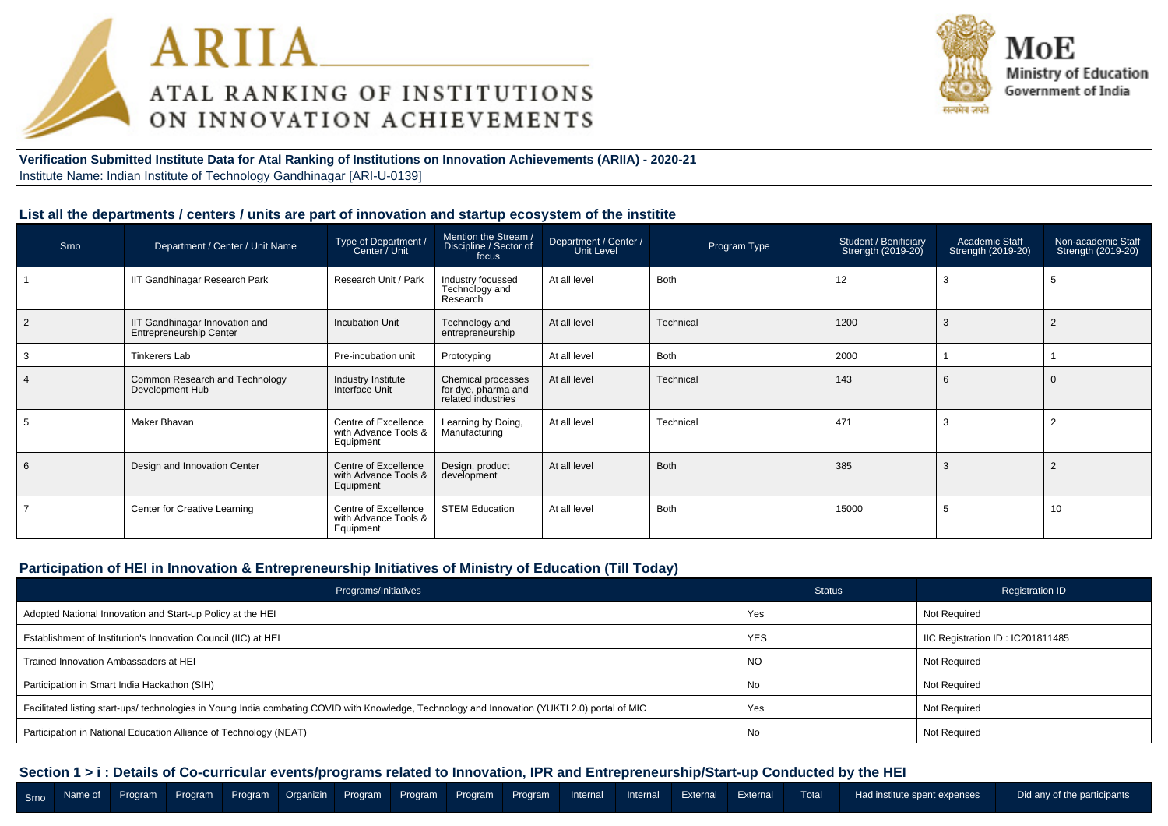



**Verification Submitted Institute Data for Atal Ranking of Institutions on Innovation Achievements (ARIIA) - 2020-21**Institute Name: Indian Institute of Technology Gandhinagar [ARI-U-0139]

#### **List all the departments / centers / units are part of innovation and startup ecosystem of the institite**

| Srno           | Department / Center / Unit Name                           | Type of Department /<br>Center / Unit                     | Mention the Stream /<br>Discipline / Sector of<br>focus         | Department / Center /<br>Unit Level | Program Type | Student / Benificiary<br>Strength (2019-20) | <b>Academic Staff</b><br>Strength (2019-20) | Non-academic Staff<br>Strength (2019-20) |
|----------------|-----------------------------------------------------------|-----------------------------------------------------------|-----------------------------------------------------------------|-------------------------------------|--------------|---------------------------------------------|---------------------------------------------|------------------------------------------|
|                | IIT Gandhinagar Research Park                             | Research Unit / Park                                      | Industry focussed<br>Technology and<br>Research                 | At all level                        | <b>Both</b>  | 12                                          | 3                                           | 5                                        |
| $\overline{2}$ | IIT Gandhinagar Innovation and<br>Entrepreneurship Center | <b>Incubation Unit</b>                                    | Technology and<br>entrepreneurship                              | At all level                        | Technical    | 1200                                        | 3                                           |                                          |
| -3             | <b>Tinkerers Lab</b>                                      | Pre-incubation unit                                       | Prototyping                                                     | At all level                        | <b>Both</b>  | 2000                                        |                                             |                                          |
| $\overline{4}$ | Common Research and Technology<br>Development Hub         | Industry Institute<br>Interface Unit                      | Chemical processes<br>for dye, pharma and<br>related industries | At all level                        | Technical    | 143                                         | 6                                           | $\Omega$                                 |
|                | Maker Bhavan                                              | Centre of Excellence<br>with Advance Tools &<br>Equipment | Learning by Doing,<br>Manufacturing                             | At all level                        | Technical    | 471                                         | 3                                           | $\overline{2}$                           |
| 6              | Design and Innovation Center                              | Centre of Excellence<br>with Advance Tools &<br>Equipment | Design, product<br>development                                  | At all level                        | <b>Both</b>  | 385                                         | 3                                           | $\overline{2}$                           |
|                | Center for Creative Learning                              | Centre of Excellence<br>with Advance Tools &<br>Equipment | <b>STEM Education</b>                                           | At all level                        | <b>Both</b>  | 15000                                       | 5                                           | 10                                       |

#### **Participation of HEI in Innovation & Entrepreneurship Initiatives of Ministry of Education (Till Today)**

| Programs/Initiatives                                                                                                                           | <b>Status</b> | <b>Registration ID</b>           |
|------------------------------------------------------------------------------------------------------------------------------------------------|---------------|----------------------------------|
| Adopted National Innovation and Start-up Policy at the HEI                                                                                     | Yes           | Not Required                     |
| Establishment of Institution's Innovation Council (IIC) at HEI                                                                                 | <b>YES</b>    | IIC Registration ID: IC201811485 |
| Trained Innovation Ambassadors at HEI                                                                                                          | <b>NO</b>     | Not Required                     |
| Participation in Smart India Hackathon (SIH)                                                                                                   | No            | Not Required                     |
| Facilitated listing start-ups/ technologies in Young India combating COVID with Knowledge, Technology and Innovation (YUKTI 2.0) portal of MIC | Yes           | Not Required                     |
| Participation in National Education Alliance of Technology (NEAT)                                                                              | No            | Not Required                     |

**Section 1 > i : Details of Co-curricular events/programs related to Innovation, IPR and Entrepreneurship/Start-up Conducted by the HEI**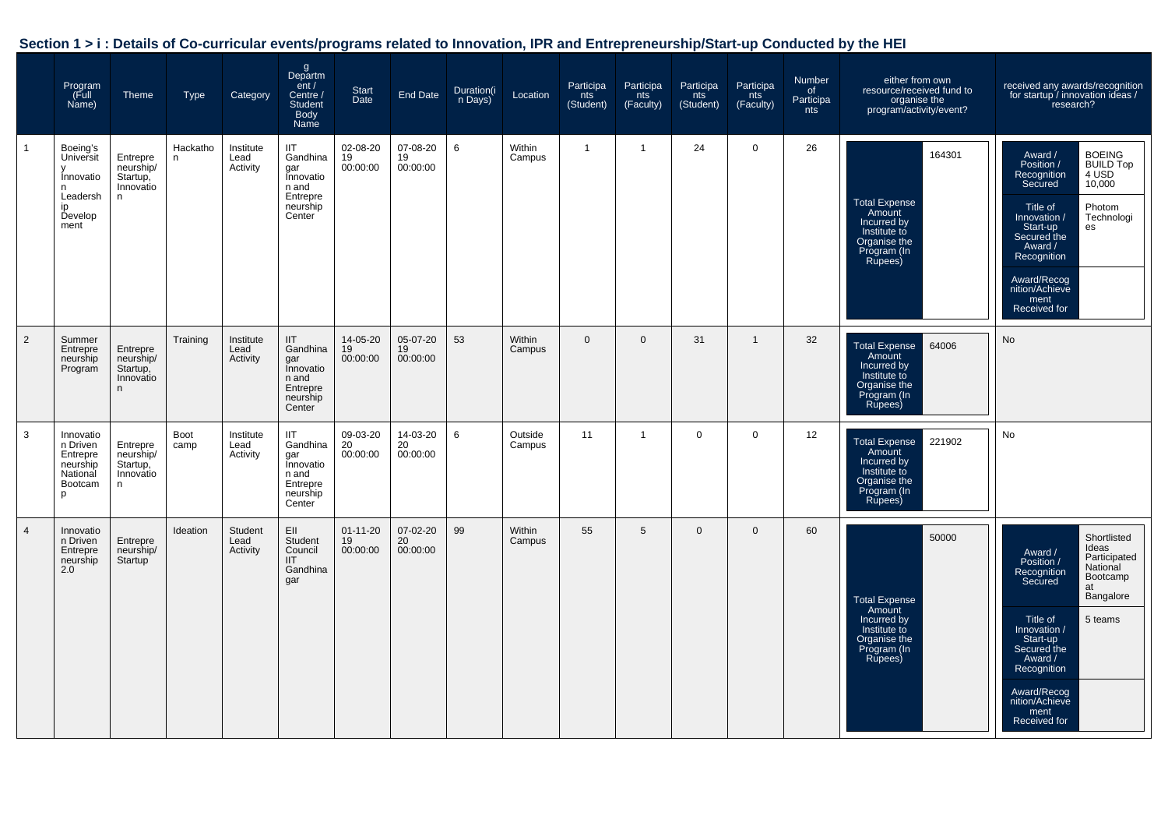| Section 1 > i : Details of Co-curricular events/programs related to Innovation, IPR and Entrepreneurship/Start-up Conducted by the HEI |  |  |  |  |
|----------------------------------------------------------------------------------------------------------------------------------------|--|--|--|--|
|----------------------------------------------------------------------------------------------------------------------------------------|--|--|--|--|

|                | Program<br>Full)<br>Name)                                                    | <b>Theme</b>                                        | <b>Type</b>    | Category                      | g<br>Departm<br>ent /<br>Centre /<br><b>Student</b><br>Body<br>Name            | Start<br>Date                    | End Date                   | Duration(i<br>n Days) | Location          | Participa<br>nts<br>(Student) | Participa<br>nts<br>(Faculty) | Participa<br>nts<br>(Student) | Participa<br>nts<br>(Faculty) | Number<br>of<br>Participa<br>nts | either from own<br>resource/received fund to<br>organise the<br>program/activity/event?                           | received any awards/recognition<br>for startup / innovation ideas /<br>research?                                                                                                                                                                                                        |
|----------------|------------------------------------------------------------------------------|-----------------------------------------------------|----------------|-------------------------------|--------------------------------------------------------------------------------|----------------------------------|----------------------------|-----------------------|-------------------|-------------------------------|-------------------------------|-------------------------------|-------------------------------|----------------------------------|-------------------------------------------------------------------------------------------------------------------|-----------------------------------------------------------------------------------------------------------------------------------------------------------------------------------------------------------------------------------------------------------------------------------------|
|                | Boeing's<br>Universit<br>Innovatio<br>n<br>Leadersh<br>in<br>Develop<br>ment | Entrepre<br>neurship/<br>Startup,<br>Innovatio<br>n | Hackatho<br>n. | Institute<br>Lead<br>Activity | IIT<br>Gandhina<br>gar<br>Innovatio<br>n and<br>Entrepre<br>neurship<br>Center | 02-08-20<br>19<br>00:00:00       | 07-08-20<br>19<br>00:00:00 | 6                     | Within<br>Campus  | $\overline{1}$                | $\overline{1}$                | 24                            | 0                             | 26                               | 164301<br><b>Total Expense</b><br>Amount<br>Incurred by<br>Institute to<br>Organise the<br>Program (In<br>Rupees) | <b>BOEING</b><br>Award /<br><b>BUILD Top</b><br>Position /<br>Recognition<br>4 USD<br>Secured<br>10,000<br>Photom<br>Title of<br>Technologi<br>Innovation /<br>Start-up<br>es<br>Secured the<br>Award /<br>Recognition<br>Award/Recog<br>nition/Achieve<br>ment<br>Received for         |
| 2              | Summer<br>Entrepre<br>neurship<br>Program                                    | Entrepre<br>neurship/<br>Startup,<br>Innovatio<br>n | Training       | Institute<br>Lead<br>Activity | IIT<br>Gandhina<br>gar<br>Innovatio<br>n and<br>Entrepre<br>neurship<br>Center | 14-05-20<br>19<br>00:00:00       | 05-07-20<br>19<br>00:00:00 | 53                    | Within<br>Campus  | $\mathbf{0}$                  | $\mathbf 0$                   | 31                            | $\mathbf{1}$                  | 32                               | <b>Total Expense</b><br>64006<br>Amount<br>Incurred by<br>Institute to<br>Organise the<br>Program (In<br>Rupees)  | No                                                                                                                                                                                                                                                                                      |
| 3              | Innovatio<br>n Driven<br>Entrepre<br>neurship<br>National<br>Bootcam<br>p    | Entrepre<br>neurship/<br>Startup,<br>Innovatio<br>n | Boot<br>camp   | Institute<br>Lead<br>Activity | IIT<br>Gandhina<br>gar<br>Innovatio<br>n and<br>Entrepre<br>neurship<br>Center | 09-03-20<br>20<br>00:00:00       | 14-03-20<br>20<br>00:00:00 | 6                     | Outside<br>Campus | 11                            | $\overline{1}$                | $\mathbf 0$                   | $\mathbf 0$                   | 12                               | 221902<br><b>Total Expense</b><br>Amount<br>Incurred by<br>Institute to<br>Organise the<br>Program (In<br>Rupees) | No                                                                                                                                                                                                                                                                                      |
| $\overline{4}$ | Innovatio<br>n Driven<br>Entrepre<br>neurship<br>2.0                         | Entrepre<br>neurship/<br>Startup                    | Ideation       | Student<br>Lead<br>Activity   | EII<br>Student<br>Council<br><b>IIT</b><br>Gandhina<br>gar                     | $01 - 11 - 20$<br>19<br>00:00:00 | 07-02-20<br>20<br>00:00:00 | 99                    | Within<br>Campus  | 55                            | 5                             | $\mathbf 0$                   | $\Omega$                      | 60                               | 50000<br><b>Total Expense</b><br>Amount<br>Incurred by<br>Institute to<br>Organise the<br>Program (In<br>Rupees)  | Shortlisted<br>Ideas<br>Award /<br>Participated<br>Position /<br>National<br>Recognition<br>Bootcamp<br>Secured<br>at<br>Bangalore<br>Title of<br>5 teams<br>Innovation /<br>Start-up<br>Secured the<br>Award /<br>Recognition<br>Award/Recog<br>nition/Achieve<br>ment<br>Received for |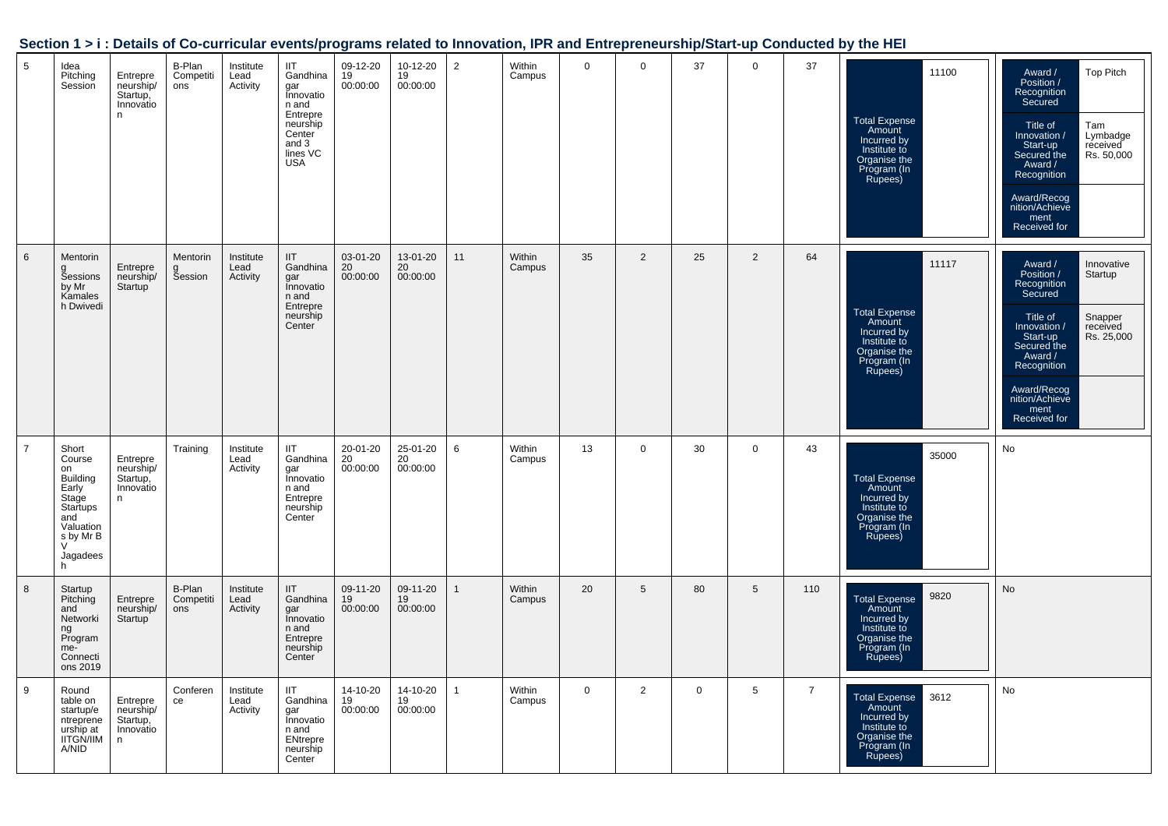| Section 1 > i : Details of Co-curricular events/programs related to Innovation, IPR and Entrepreneurship/Start-up Conducted by the HEI |  |  |
|----------------------------------------------------------------------------------------------------------------------------------------|--|--|
|                                                                                                                                        |  |  |

| 5              | Idea<br>Pitching<br>Session                                                                                                               | Entrepre<br>neurship/<br>Startup,<br>Innovatio<br>n  | B-Plan<br>Competiti<br>ons | Institute<br>Lead<br>Activity | <b>IIT</b><br>Gandhina<br>gar<br>Innovatio<br>n and<br>Entrepre<br>neurship<br>Center<br>and 3<br>lines VC<br><b>USA</b> | 09-12-20<br>19<br>00:00:00 | 10-12-20<br>19<br>00:00:00 | $\overline{2}$ | Within<br>Campus | 0           | 0               | 37           | 0           | 37             | 11100<br><b>Total Expense</b><br>Amount<br>Incurred by<br>Institute to<br>Organise the<br>Program (In<br>Rupees) | <b>Top Pitch</b><br>Award /<br>Position /<br>Recognition<br>Secured<br>Tam<br>Title of<br>Innovation /<br>Lymbadge<br>Start-up<br>received<br>Rs. 50,000<br>Secured the<br>Award /<br>Recognition<br>Award/Recog<br>nition/Achieve<br>ment<br>Received for |
|----------------|-------------------------------------------------------------------------------------------------------------------------------------------|------------------------------------------------------|----------------------------|-------------------------------|--------------------------------------------------------------------------------------------------------------------------|----------------------------|----------------------------|----------------|------------------|-------------|-----------------|--------------|-------------|----------------|------------------------------------------------------------------------------------------------------------------|------------------------------------------------------------------------------------------------------------------------------------------------------------------------------------------------------------------------------------------------------------|
| 6              | Mentorin<br><b>Šessions</b><br>by Mr<br>Kamales<br>h Dwivedi                                                                              | Entrepre<br>neurship/<br><b>Startup</b>              | Mentorin<br>g<br>Session   | Institute<br>Lead<br>Activity | <b>IIT</b><br>Gandhina<br>gar<br>Innovatio<br>n and<br>Entrepre<br>neurship<br>Center                                    | 03-01-20<br>20<br>00:00:00 | 13-01-20<br>20<br>00:00:00 | 11             | Within<br>Campus | 35          | $\overline{2}$  | 25           | 2           | 64             | 11117<br><b>Total Expense</b><br>Amount<br>Incurred by<br>Institute to<br>Organise the<br>Program (In<br>Rupees) | Innovative<br>Award /<br>Position /<br>Startup<br>Recognition<br>Secured<br>Snapper<br>Title of<br>Innovation /<br>received<br>Rs. 25,000<br>Start-up<br>Secured the<br>Award /<br>Recognition<br>Award/Recog<br>nition/Achieve<br>ment<br>Received for    |
| $\overline{7}$ | Short<br>Course<br>on<br><b>Building</b><br>Early<br>Stage<br>Startups<br>and<br>Valuation<br>s by Mr B<br>$\mathcal{U}$<br>Jagadees<br>h | Entrepre<br>neurship/<br>Startup,<br>Innovatio<br>n  | Training                   | Institute<br>Lead<br>Activity | <b>IIT</b><br>Gandhina<br>gar<br>Innovatio<br>n and<br>Entrepre<br>neurship<br>Center                                    | 20-01-20<br>20<br>00:00:00 | 25-01-20<br>20<br>00:00:00 | 6              | Within<br>Campus | 13          | $\mathbf 0$     | 30           | $\mathbf 0$ | 43             | 35000<br><b>Total Expense</b><br>Amount<br>Incurred by<br>Institute to<br>Organise the<br>Program (In<br>Rupees) | No                                                                                                                                                                                                                                                         |
| 8              | Startup<br>Pitching<br>and<br>Networki<br>ng<br>Program<br>me-<br>Connecti<br>ons 2019                                                    | Entrepre<br>neurship/<br>Startup                     | B-Plan<br>Competiti<br>ons | Institute<br>Lead<br>Activity | <b>IIT</b><br>Gandhina<br>gar<br>Innovatio<br>n and<br>Entrepre<br>neurship<br>Center                                    | 09-11-20<br>19<br>00:00:00 | 09-11-20<br>19<br>00:00:00 | $\mathbf{1}$   | Within<br>Campus | 20          | $5\phantom{.0}$ | 80           | 5           | 110            | 9820<br>Total Expense<br>Amount<br>Incurred by<br>Institute to<br>Organise the<br>Program (In<br>Rupees)         | No                                                                                                                                                                                                                                                         |
| 9              | Round<br>table on<br>startup/e<br>ntreprene<br>urship at<br><b>IITGN/IIM</b><br>A/NID                                                     | Entrepre<br>neurship/<br>Startup,<br>Innovatio<br>n. | Conferen<br>ce             | Institute<br>Lead<br>Activity | <b>IIT</b><br>Gandhina<br>gar<br>Innovatio<br>n and<br>ENtrepre<br>neurship<br>Center                                    | 14-10-20<br>19<br>00:00:00 | 14-10-20<br>19<br>00:00:00 | 1              | Within<br>Campus | $\mathbf 0$ | $\overline{2}$  | $\mathbf{0}$ | 5           | $\overline{7}$ | 3612<br><b>Total Expense</b><br>Amount<br>Incurred by<br>Institute to<br>Organise the<br>Program (In<br>Rupees)  | No                                                                                                                                                                                                                                                         |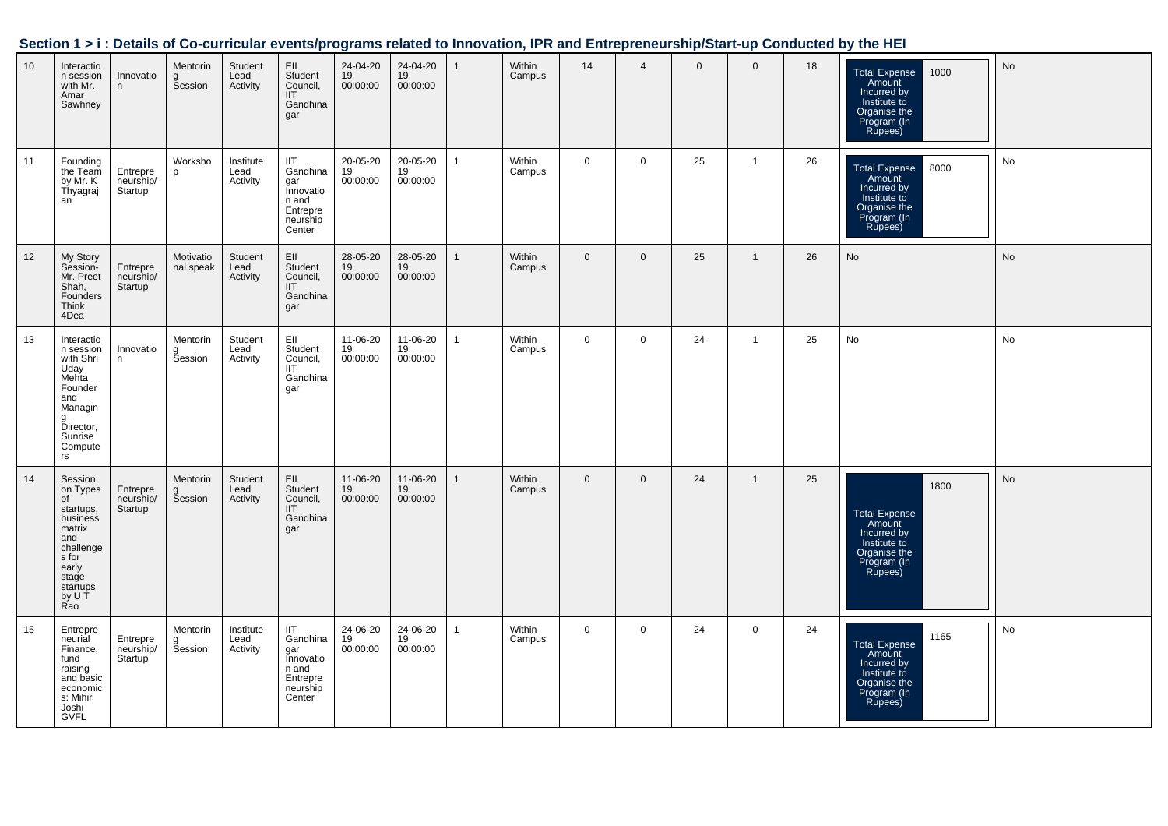|  |  | Section 1 > i : Details of Co-curricular events/programs related to Innovation, IPR and Entrepreneurship/Start-up Conducted by the HEI |  |
|--|--|----------------------------------------------------------------------------------------------------------------------------------------|--|
|  |  |                                                                                                                                        |  |

| 10 | Interactio<br>n session<br>with Mr.<br>Amar<br>Sawhney                                                                                   | Innovatio<br>n                                | Mentorin<br><b>Session</b>      | Student<br>Lead<br>Activity   | EII<br>Student<br>Council,<br>III<br>Gandhina<br>gar                                  | 24-04-20<br>19<br>00:00:00 | 24-04-20<br>19<br>00:00:00 | $\mathbf{1}$   | Within<br>Campus | 14           | $\overline{4}$ | $\mathbf{0}$ | $\mathbf{0}$   | 18 | Total Expense<br>Amount<br>1000<br>Incurred by<br>Institute to<br>Organise the<br>Program (In<br>Rupees)        | No |
|----|------------------------------------------------------------------------------------------------------------------------------------------|-----------------------------------------------|---------------------------------|-------------------------------|---------------------------------------------------------------------------------------|----------------------------|----------------------------|----------------|------------------|--------------|----------------|--------------|----------------|----|-----------------------------------------------------------------------------------------------------------------|----|
| 11 | Founding<br>the Team<br>by Mr. K<br>Thyagraj<br>an                                                                                       | Entrepre<br>neurship/<br>Startup <sup>'</sup> | Worksho<br>p                    | Institute<br>Lead<br>Activity | <b>IIT</b><br>Gandhina<br>gar<br>Innovatio<br>n and<br>Entrepre<br>neurship<br>Center | 20-05-20<br>19<br>00:00:00 | 20-05-20<br>19<br>00:00:00 | $\overline{1}$ | Within<br>Campus | $\mathbf{0}$ | $\mathbf 0$    | 25           | $\overline{1}$ | 26 | 8000<br><b>Total Expense</b><br>Amount<br>Incurred by<br>Institute to<br>Organise the<br>Program (In<br>Rupees) | No |
| 12 | My Story<br>Session-<br>Mr. Preet<br>Shah,<br>Founders<br>Think<br>4Dea                                                                  | Entrepre<br>neurship/<br>Startup <sup>'</sup> | Motivatio<br>nal speak          | Student<br>Lead<br>Activity   | EII<br>Student<br>Council,<br>III<br>Gandhina<br>gar                                  | 28-05-20<br>19<br>00:00:00 | 28-05-20<br>19<br>00:00:00 | $\mathbf{1}$   | Within<br>Campus | $\Omega$     | $\mathbf 0$    | 25           | $\mathbf{1}$   | 26 | No                                                                                                              | No |
| 13 | Interactio<br>n session<br>with Shri<br>Uday<br>Mehta<br>Founder<br>and<br>Managin<br>Director,<br>Sunrise<br>Compute<br>rs              | Innovatio<br>n                                | Mentorin<br>a<br>Session        | Student<br>Lead<br>Activity   | Ell<br>Student<br>Council,<br>IIT<br>Gandhina<br>gar                                  | 11-06-20<br>19<br>00:00:00 | 11-06-20<br>19<br>00:00:00 | $\overline{1}$ | Within<br>Campus | $\mathbf 0$  | $\mathbf 0$    | 24           | $\mathbf{1}$   | 25 | No                                                                                                              | No |
| 14 | Session<br>on Types<br>of<br>startups,<br>business<br>matrix<br>and<br>challenge<br>s for<br>early<br>stage<br>startups<br>by U T<br>Rao | Entrepre<br>neurship/<br>Startup              | Mentorin<br><b>Šession</b>      | Student<br>Lead<br>Activity   | EII<br>Student<br>Council,<br>III<br>Gandhina<br>gar                                  | 11-06-20<br>19<br>00:00:00 | 11-06-20<br>19<br>00:00:00 | $\mathbf{1}$   | Within<br>Campus | $\mathbf{0}$ | $\mathbf 0$    | 24           | $\mathbf{1}$   | 25 | 1800<br><b>Total Expense</b><br>Amount<br>Incurred by<br>Institute to<br>Organise the<br>Program (In<br>Rupees) | No |
| 15 | Entrepre<br>neurial<br>Finance,<br>fund<br>raising<br>and basic<br>economic<br>s: Mihir<br>Joshi<br><b>GVFL</b>                          | Entrepre<br>neurship/<br>Startup              | Mentorin<br>a<br><b>Šession</b> | Institute<br>Lead<br>Activity | <b>IIT</b><br>Gandhina<br>gar<br>Innovatio<br>n and<br>Entrepre<br>neurship<br>Center | 24-06-20<br>19<br>00:00:00 | 24-06-20<br>19<br>00:00:00 | $\overline{1}$ | Within<br>Campus | 0            | $\mathbf 0$    | 24           | $\mathsf{O}$   | 24 | 1165<br><b>Total Expense</b><br>Amount<br>Incurred by<br>Institute to<br>Organise the<br>Program (In<br>Rupees) | No |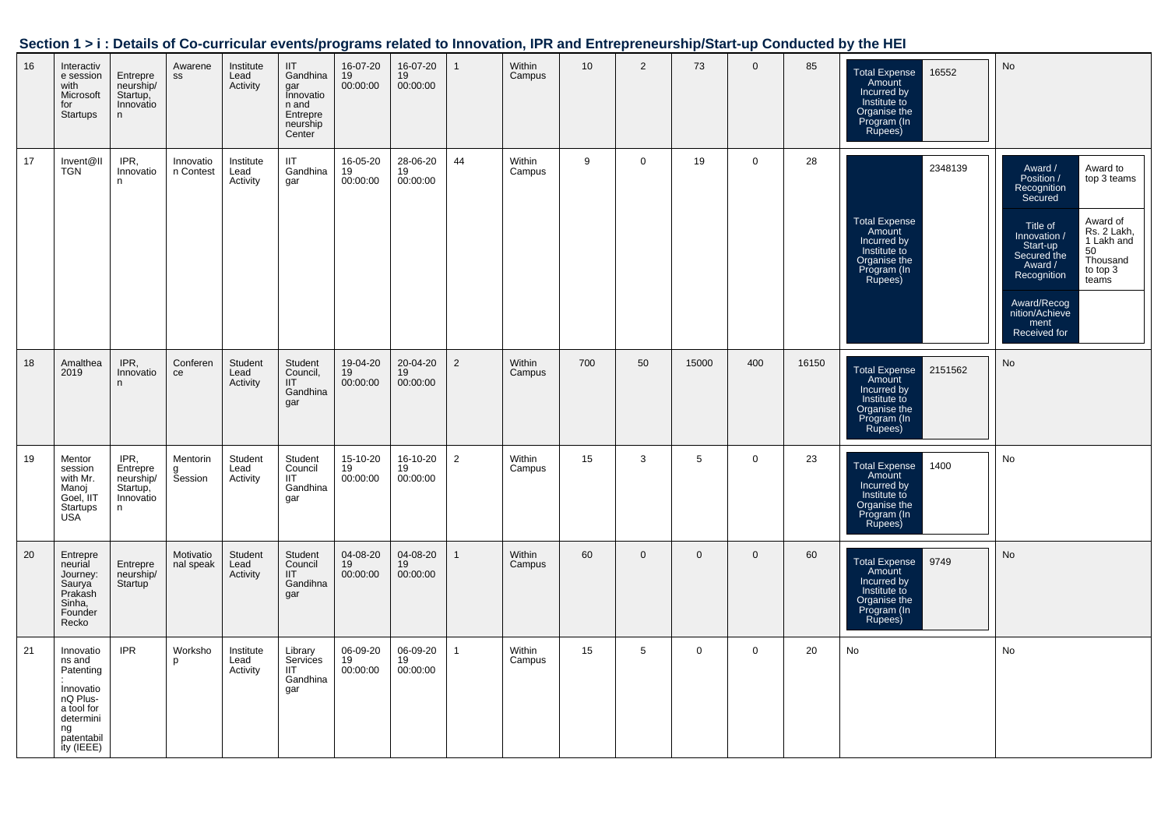|    | overen i ki i betalle el es sambalar overleggenho relatea te innovation; il it ana Entreprenearenpretart ap conaastea by the mEr |                                                             |                          |                               |                                                                                       |                            |                            |                |                  |     |                 |              |                |       |                                                                                                                  |                                                                                                                                                                                                                                                                                                      |
|----|----------------------------------------------------------------------------------------------------------------------------------|-------------------------------------------------------------|--------------------------|-------------------------------|---------------------------------------------------------------------------------------|----------------------------|----------------------------|----------------|------------------|-----|-----------------|--------------|----------------|-------|------------------------------------------------------------------------------------------------------------------|------------------------------------------------------------------------------------------------------------------------------------------------------------------------------------------------------------------------------------------------------------------------------------------------------|
| 16 | Interactiv<br>e session<br>with<br>Microsoft<br>for<br>Startups                                                                  | Entrepre<br>neurship/<br>Startup,<br>Innovatio<br>n         | Awarene<br>$\texttt{SS}$ | Institute<br>Lead<br>Activity | <b>IIT</b><br>Gandhina<br>gar<br>Innovatio<br>n and<br>Entrepre<br>neurship<br>Center | 16-07-20<br>19<br>00:00:00 | 16-07-20<br>19<br>00:00:00 | $\mathbf{1}$   | Within<br>Campus | 10  | $\overline{2}$  | 73           | $\mathbf 0$    | 85    | 16552<br><b>Total Expense</b><br>Amount<br>Incurred by<br>Institute to<br>Organise the<br>Program (In<br>Rupees) | No                                                                                                                                                                                                                                                                                                   |
| 17 | Invent@II<br><b>TGN</b>                                                                                                          | IPR,<br>Innovatio<br>n.                                     | Innovatio<br>n Contest   | Institute<br>Lead<br>Activity | IIT<br>Gandhina<br>gar                                                                | 16-05-20<br>19<br>00:00:00 | 28-06-20<br>19<br>00:00:00 | 44             | Within<br>Campus | 9   | $\mathbf{0}$    | 19           | $\mathbf 0$    | 28    | 2348139<br>Total Expense<br>Amount<br>Incurred by<br>Institute to<br>Organise the<br>Program (In<br>Rupees)      | Award /<br>Award to<br>Position /<br>top 3 teams<br>Recognition<br>Secured<br>Award of<br>Title of<br>Rs. 2 Lakh,<br>1 Lakh and<br>Innovation /<br>Start-up<br>Secured the<br>50<br>Thousand<br>Award /<br>to top 3<br>Recognition<br>teams<br>Award/Recog<br>nition/Achieve<br>ment<br>Received for |
| 18 | Amalthea<br>2019                                                                                                                 | IPR,<br>Innovatio<br>n                                      | Conferen<br>ce           | Student<br>Lead<br>Activity   | Student<br>Council,<br>III<br>Gandhina<br>gar                                         | 19-04-20<br>19<br>00:00:00 | 20-04-20<br>19<br>00:00:00 | $\overline{2}$ | Within<br>Campus | 700 | 50              | 15000        | 400            | 16150 | 2151562<br>Total Expense<br>Amount<br>Incurred by<br>Institute to<br>Organise the<br>Program (In<br>Rupees)      | No                                                                                                                                                                                                                                                                                                   |
| 19 | Mentor<br>session<br>with Mr.<br>Manoj<br>Goel, IIT<br>Startups<br>USA                                                           | IPR,<br>Entrepre<br>neurship/<br>Startup,<br>Innovatio<br>n | Mentorin<br>g<br>Session | Student<br>Lead<br>Activity   | Student<br>Council<br><b>IIT</b><br>Gandhina<br>gar                                   | 15-10-20<br>19<br>00:00:00 | 16-10-20<br>19<br>00:00:00 | $\overline{2}$ | Within<br>Campus | 15  | 3               | 5            | $\mathbf 0$    | 23    | Total Expense<br>Amount<br>1400<br>Incurred by<br>Institute to<br>Organise the<br>Program (In<br>Rupees)         | No                                                                                                                                                                                                                                                                                                   |
| 20 | Entrepre<br>neurial<br>Journey:<br>Saurya<br>Prakash<br>Sinha,<br>Founder<br>Recko                                               | Entrepre<br>neurship/<br>Startup <sup>'</sup>               | Motivatio<br>nal speak   | Student<br>Lead<br>Activity   | Student<br>Council<br>IIT<br>Gandihna<br>gar                                          | 04-08-20<br>19<br>00:00:00 | 04-08-20<br>19<br>00:00:00 | $\mathbf{1}$   | Within<br>Campus | 60  | $\overline{0}$  | $\mathbf{0}$ | $\mathbf 0$    | 60    | Total Expense<br>Amount<br>9749<br>Incurred by<br>Institute to<br>Organise the<br>Program (In<br>Rupees)         | No                                                                                                                                                                                                                                                                                                   |
| 21 | Innovatio<br>ns and<br>Patenting<br>Innovatio<br>nQ Plus-<br>a tool for<br>determini<br>ng<br>pătentabil<br>ity (IEEE)           | <b>IPR</b>                                                  | Worksho<br>p             | Institute<br>Lead<br>Activity | Library<br>Services<br>IIT<br>Gandhina<br>gar                                         | 06-09-20<br>19<br>00:00:00 | 06-09-20<br>19<br>00:00:00 | $\mathbf{1}$   | Within<br>Campus | 15  | $5\overline{5}$ | $\mathbf 0$  | $\overline{0}$ | 20    | No                                                                                                               | No                                                                                                                                                                                                                                                                                                   |

# **Section 1 > i : Details of Co-curricular events/programs related to Innovation, IPR and Entrepreneurship/Start-up Conducted by the HEI**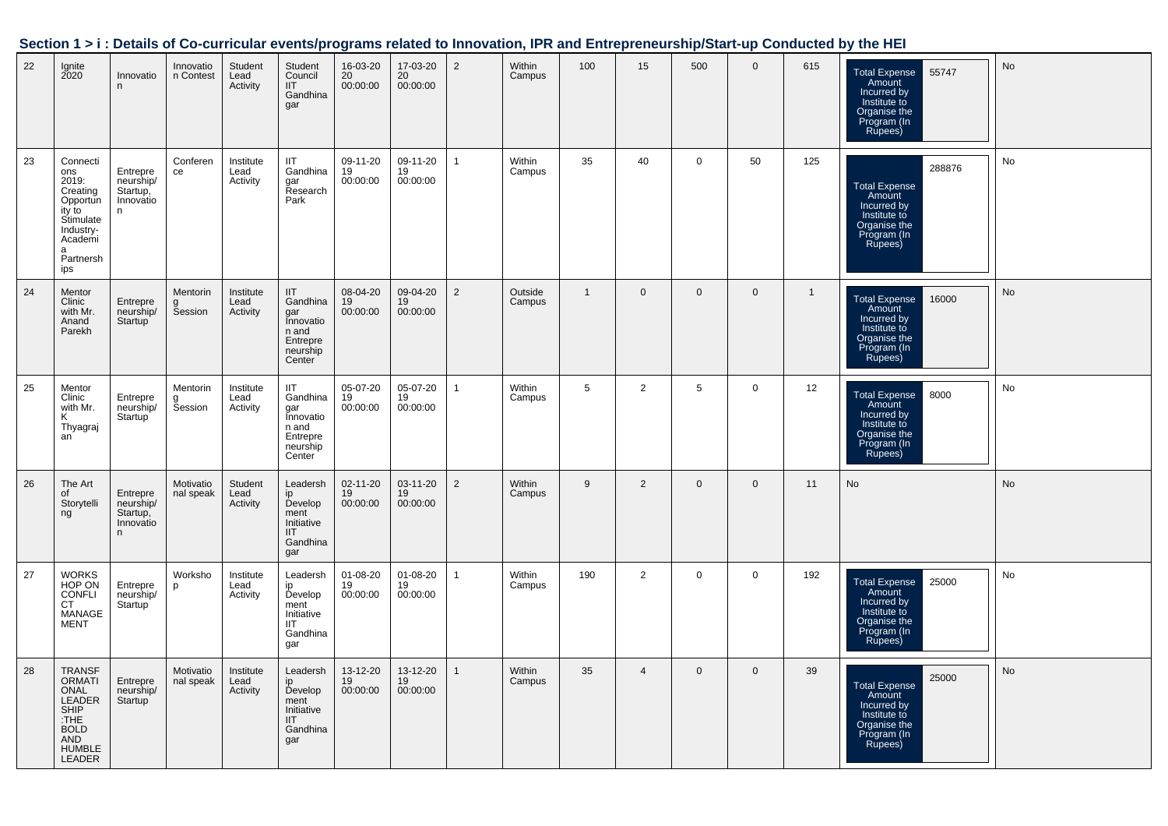|    |                                                                                                                          |                                                      |                          |                               |                                                                                                        |                                         |                                   |                |                   |                 |                |                 |                |              | <u>Jection 191. Details of Co-curricular eventsipi ograms related to impovation, in Kand Entrepreneurship/Jarr-dp Conducted by the HET</u> |    |
|----|--------------------------------------------------------------------------------------------------------------------------|------------------------------------------------------|--------------------------|-------------------------------|--------------------------------------------------------------------------------------------------------|-----------------------------------------|-----------------------------------|----------------|-------------------|-----------------|----------------|-----------------|----------------|--------------|--------------------------------------------------------------------------------------------------------------------------------------------|----|
| 22 | Ignite<br>2020                                                                                                           | Innovatio<br>n                                       | Innovatio<br>n Contest   | Student<br>Lead<br>Activity   | Student<br>Council<br>IIT<br>Gandhina<br>gar                                                           | 16-03-20<br>20<br>00:00:00              | 17-03-20<br>20<br>00:00:00        | 2              | Within<br>Campus  | 100             | 15             | 500             | $\mathbf{0}$   | 615          | Total Expense<br>Amount<br>Incurred by<br>Institute to<br>Organise the<br>Program (In<br>Rupees)<br>55747                                  | No |
| 23 | Connecti<br>ons<br>2019:<br>Creating<br>Opportun<br>ity to<br>Stimulate<br>Industry-<br>Academi<br>a<br>Partnersh<br>ips | Entrepre<br>neurship/<br>Startup,<br>Innovatio<br>n  | Conferen<br>ce           | Institute<br>Lead<br>Activity | <b>IIT</b><br>Gandhina<br>gar<br>Research<br>Park                                                      | 09-11-20<br>19<br>00:00:00              | 09-11-20<br>19<br>00:00:00        | $\mathbf{1}$   | Within<br>Campus  | 35              | 40             | $\mathbf 0$     | 50             | 125          | 288876<br>Total Expense<br>Amount<br>Incurred by<br>Institute to<br>Organise the<br>Program (In<br>Runees)<br>Rupees)                      | No |
| 24 | Mentor<br>Clinic<br>with Mr.<br>Anand<br>Parekh                                                                          | Entrepre<br>neurship/<br>Startup                     | Mentorin<br>g<br>Session | Institute<br>Lead<br>Activity | <b>IIT</b><br>Gandhina<br>gar<br>Innovatio<br>n and<br>Entrepre<br>neurship<br>Center                  | 08-04-20<br>$\frac{19}{19}$<br>00:00:00 | 09-04-20<br>19<br>00:00:00        | $\overline{2}$ | Outside<br>Campus | $\overline{1}$  | $\overline{0}$ | $\mathbf 0$     | $\overline{0}$ | $\mathbf{1}$ | Total Expense<br>Amount<br>Incurred by<br>Institute to<br>Organise the<br>Program (In<br>Rupees)<br>16000                                  | No |
| 25 | Mentor<br>Clinic<br>with Mr.<br>Κ<br>Thyagraj<br>an                                                                      | Entrepre<br>neurship/<br>Startup <sup>'</sup>        | Mentorin<br>g<br>Session | Institute<br>Lead<br>Activity | $\ensuremath{\mathsf{IIT}}$<br>Gandhina<br>gar<br>Innovatio<br>n and<br>Entrepre<br>neurship<br>Center | 05-07-20<br>19<br>00:00:00              | 05-07-20<br>$\frac{19}{00:00:00}$ | $\mathbf{1}$   | Within<br>Campus  | $5\overline{)}$ | $\overline{2}$ | $5\overline{)}$ | $\mathbf 0$    | 12           | Total Expense<br>Amount<br>Incurred by<br>Institute to<br>Organise the<br>Program (In<br>Rupees)<br>8000                                   | No |
| 26 | The Art<br>of<br>Storytelli<br>ng                                                                                        | Entrepre<br>neurship/<br>Startup,<br>Innovatio<br>n. | Motivatio<br>nal speak   | Student<br>Lead<br>Activity   | Leadersh<br>ip<br>Develop<br>ment<br>Initiative<br><b>IIT</b><br>Gandhina<br>gar                       | 02-11-20<br>$\frac{19}{19}$<br>00:00:00 | 03-11-20<br>19<br>00:00:00        | $\vert$ 2      | Within<br>Campus  | 9               | 2              | $\mathbf 0$     | $\overline{0}$ | 11           | No                                                                                                                                         | No |
| 27 | WORKS<br>HOP ON<br>CONFLI<br>CT<br>MANAGE<br><b>MENT</b>                                                                 | Entrepre<br>neurship/<br>Startup <sup>1</sup>        | Worksho<br>p             | Institute<br>Lead<br>Activity | Leadersh<br>ip<br>Develop<br>ment<br>Initiative<br><b>IIT</b><br>Gandhina<br>gar                       | 01-08-20<br>19<br>00:00:00              | 01-08-20<br>19<br>00:00:00        | $\overline{1}$ | Within<br>Campus  | 190             | 2              | $\mathbf 0$     | $\overline{0}$ | 192          | Total Expense<br>Amount<br>Incurred by<br>Institute to<br>Organise the<br>Program (In<br>25000<br>Rupees)                                  | No |
| 28 | <b>TRANSF</b><br>ORMATI<br>ONAL<br>LEADER<br>SHIP<br>THE<br>COLD<br>BOLD<br>AND<br>HUMBLE<br>LEADER                      | Entrepre<br>neurship/<br>Startup                     | Motivatio<br>nal speak   | Institute<br>Lead<br>Activity | Leadersh<br>ip<br>Develop<br>ment<br>Initiative<br>III<br>Gandhina<br>gar                              | 13-12-20<br>19<br>00:00:00              | 13-12-20<br>19<br>00:00:00        | $\mathbf{1}$   | Within<br>Campus  | 35              | $\overline{4}$ | $\mathbf 0$     | $\mathbf 0$    | 39           | 25000<br>Total Expense<br>Amount<br>Incurred by<br>Institute to<br>Organise the<br>Program (In<br>Rupees)                                  | No |

#### **Section 1 > i : Details of Co-curricular events/programs related to Innovation, IPR and Entrepreneurship/Start-up Conducted by the HEI**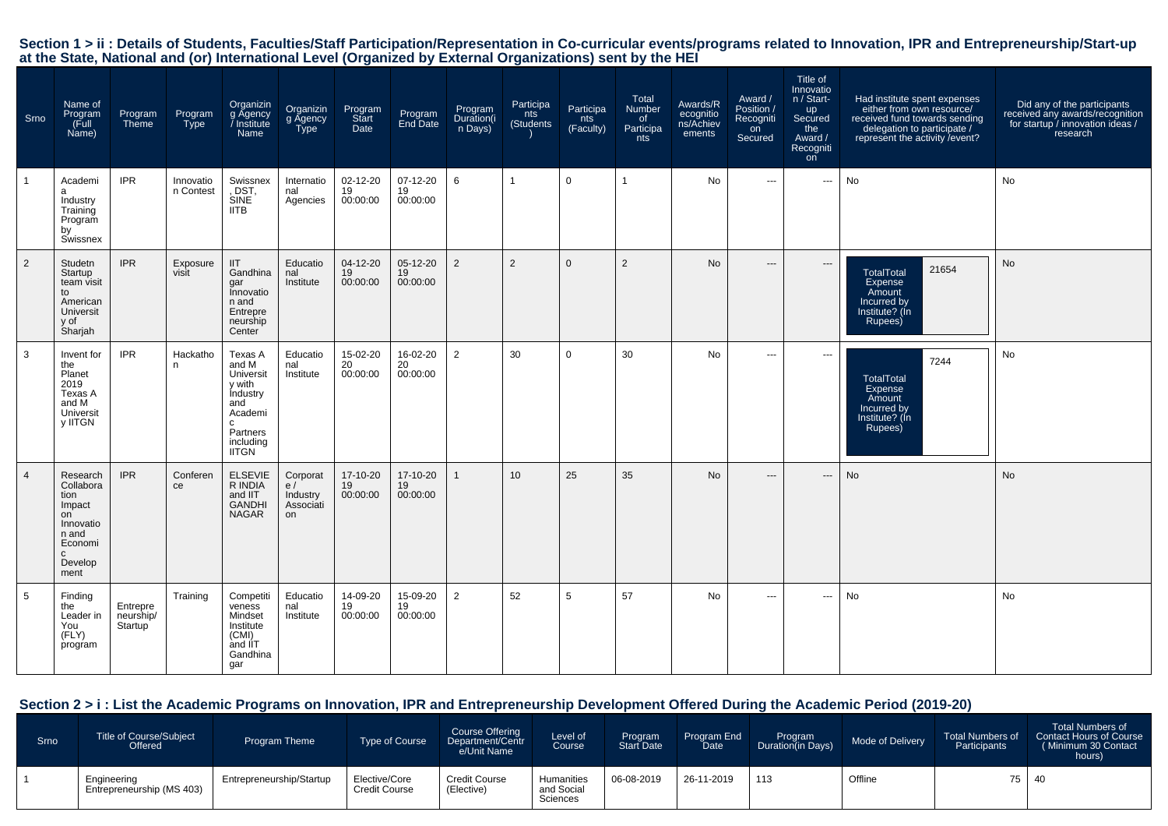# Section 1 > ii : Details of Students, Faculties/Staff Participation/Representation in Co-curricular events/programs related to Innovation, IPR and Entrepreneurship/Start-up<br>at the State, National and (or) International Lev

| Srno           | Name of<br>Program<br>(Full<br>Name)                                                                              | Program<br>Theme                              | Program<br>Type        | Organizin<br>g Agency<br>Institute<br><b>Name</b>                                                                          | Organizin<br>g Agency<br>Type                 | Program<br>Start<br>Date   | Program<br>End Date        | Program<br>Duration(i<br>n Days) | Participa<br>nts<br>(Students | Participa<br>nts<br>(Faculty) | Total<br>Number<br>of<br>Participa<br>nts | Awards/R<br>ecognitio<br>ns/Achiev<br>ements | Award /<br>Position /<br>Recogniti<br>on<br>Secured | Title of<br>Innovatio<br>n / Start-<br>up<br>Secured<br>the<br>Award /<br>Recogniti<br>on | Had institute spent expenses<br>either from own resource/<br>received fund towards sending<br>delegation to participate /<br>represent the activity / event? | Did any of the participants<br>received any awards/recognition<br>for startup / innovation ideas /<br>research |
|----------------|-------------------------------------------------------------------------------------------------------------------|-----------------------------------------------|------------------------|----------------------------------------------------------------------------------------------------------------------------|-----------------------------------------------|----------------------------|----------------------------|----------------------------------|-------------------------------|-------------------------------|-------------------------------------------|----------------------------------------------|-----------------------------------------------------|-------------------------------------------------------------------------------------------|--------------------------------------------------------------------------------------------------------------------------------------------------------------|----------------------------------------------------------------------------------------------------------------|
| $\mathbf{1}$   | Academi<br>a<br>Industry<br>Training<br>Program<br>by<br>Swissnex                                                 | <b>IPR</b>                                    | Innovatio<br>n Contest | Swissnex<br>, DST,<br>SINE<br><b>IITB</b>                                                                                  | Internatio<br>nal<br>Agencies                 | 02-12-20<br>19<br>00:00:00 | 07-12-20<br>19<br>00:00:00 | 6                                | $\mathbf{1}$                  | $\mathbf 0$                   | 1                                         | No                                           | $\cdots$                                            | $\cdots$                                                                                  | No                                                                                                                                                           | No                                                                                                             |
| $\overline{2}$ | Studetn<br>Startup<br>team visit<br>to<br>American<br>Universit<br>y of<br>Sharjah                                | <b>IPR</b>                                    | Exposure<br>visit      | <b>IIT</b><br>Gandhina<br>gar<br>Innovatio<br>n and<br>Entrepre<br>neurship<br>Center                                      | Educatio<br>nal<br>Institute                  | 04-12-20<br>19<br>00:00:00 | 05-12-20<br>19<br>00:00:00 | 2                                | $\overline{2}$                | $\mathbf{0}$                  | 2                                         | No                                           | $---$                                               | $\hspace{0.05cm} \ldots$                                                                  | 21654<br><b>TotalTotal</b><br>Expense<br>Amount<br>Incurred by<br>Institute? (Ín<br>Rupees)                                                                  | No                                                                                                             |
| 3              | Invent for<br>the<br>Planet<br>2019<br>Texas A<br>and M<br>Universit<br>y IITGN                                   | <b>IPR</b>                                    | Hackatho<br>n          | Texas A<br>and M<br>Universit<br>y with<br><b>Industry</b><br>and<br>Academi<br>C<br>Partners<br>including<br><b>IITGN</b> | Educatio<br>nal<br>Institute                  | 15-02-20<br>20<br>00:00:00 | 16-02-20<br>20<br>00:00:00 | $\overline{2}$                   | 30                            | $\mathbf 0$                   | 30                                        | No                                           | $\cdots$                                            | $\cdots$                                                                                  | 7244<br><b>TotalTotal</b><br>Expense<br>Amount<br>Incurred by<br>Institute? (Ín<br>Rupees)                                                                   | No                                                                                                             |
| $\overline{4}$ | Research<br>Collabora<br>tion<br>Impact<br>on<br>Innovatio<br>n and<br>Economi<br>$\mathbf{C}$<br>Develop<br>ment | <b>IPR</b>                                    | Conferen<br>ce         | <b>ELSEVIE</b><br>R INDIA<br>and IIT<br><b>GANDHI</b><br><b>NAGAR</b>                                                      | Corporat<br>e/<br>Industry<br>Associati<br>on | 17-10-20<br>19<br>00:00:00 | 17-10-20<br>19<br>00:00:00 | $\mathbf{1}$                     | 10                            | 25                            | 35                                        | <b>No</b>                                    | $---$                                               | $\hspace{0.05cm} \cdots$                                                                  | No                                                                                                                                                           | No                                                                                                             |
| 5              | Finding<br>the<br>Leader in<br>You<br>(FLY)<br>program                                                            | Entrepre<br>neurship/<br>Startup <sup>1</sup> | Training               | Competiti<br>veness<br>Mindset<br>Institute<br>(CMI)<br>and IIT<br>Gandhina<br>gar                                         | Educatio<br>nal<br>Institute                  | 14-09-20<br>19<br>00:00:00 | 15-09-20<br>19<br>00:00:00 | $\overline{2}$                   | 52                            | 5                             | 57                                        | No                                           | $\cdots$                                            | $\cdots$                                                                                  | No                                                                                                                                                           | No                                                                                                             |

# **Section 2 > i : List the Academic Programs on Innovation, IPR and Entrepreneurship Development Offered During the Academic Period (2019-20)**

| Srno | <b>Title of Course/Subject</b><br>Offered | <b>Program Theme</b>     | Type of Course                        | Course Offering<br>Department/Centr<br>e/Unit Name | Level of<br>Course <sup>1</sup>      | Program<br><b>Start Date</b> | Program End<br>Date <sup>1</sup> | Program<br>Duration(in Days) | Mode of Delivery | <b>Total Numbers of</b><br>Participants | <b>Total Numbers of</b><br><b>Contact Hours of Course</b><br>(Minimum 30 Contact<br>hours) |
|------|-------------------------------------------|--------------------------|---------------------------------------|----------------------------------------------------|--------------------------------------|------------------------------|----------------------------------|------------------------------|------------------|-----------------------------------------|--------------------------------------------------------------------------------------------|
|      | Engineering<br>Entrepreneurship (MS 403)  | Entrepreneurship/Startup | Elective/Core<br><b>Credit Course</b> | <b>Credit Course</b><br>(Elective)                 | Humanities<br>and Social<br>Sciences | 06-08-2019                   | 26-11-2019                       | 113                          | Offline          | 75                                      | 40                                                                                         |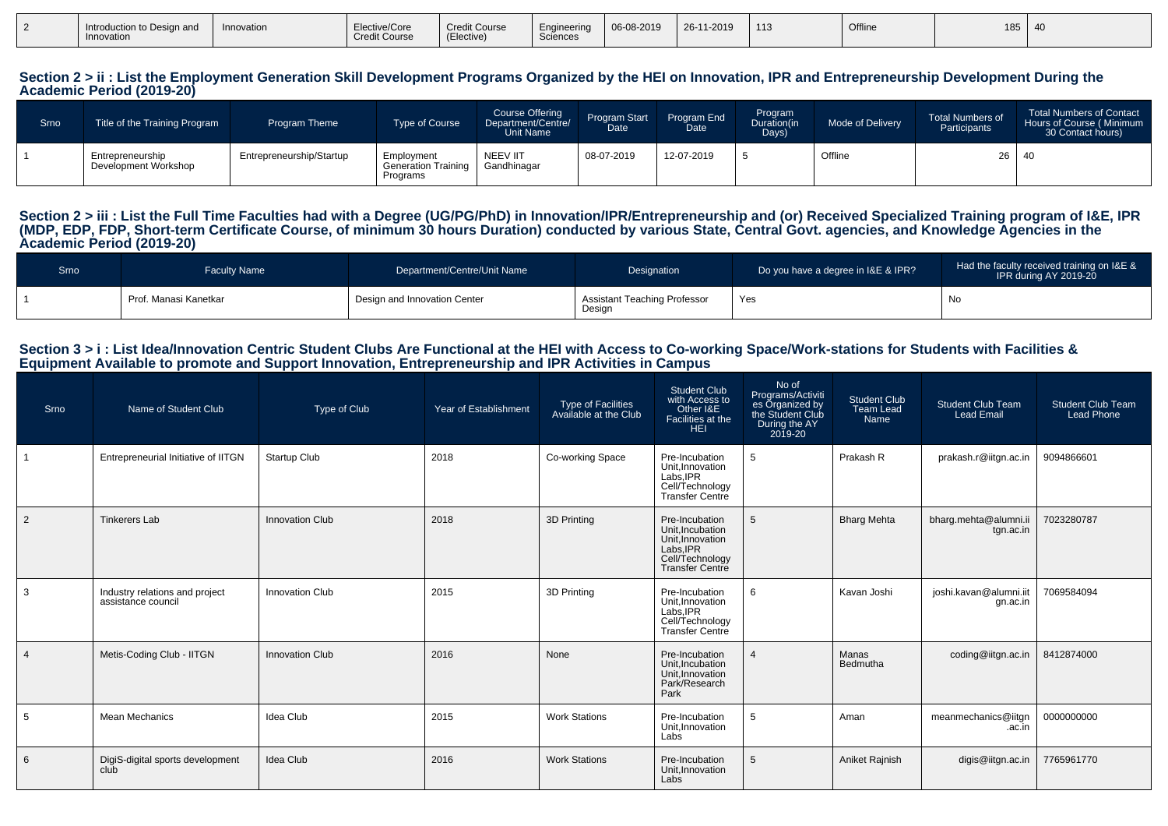| Introduction to Design and<br>Innovation | Innovation | Elective/Core<br><b>Credit Course</b> | <b>Credit Course</b><br><b><i><u>Property</u></i></b><br>Elective) | Engineering<br>Sciences | 06-08-2019 | 26-11-2019 | 113 | Offline | 185 | - 40 |
|------------------------------------------|------------|---------------------------------------|--------------------------------------------------------------------|-------------------------|------------|------------|-----|---------|-----|------|
|                                          |            |                                       |                                                                    |                         |            |            |     |         |     |      |

#### Section 2 > ii : List the Employment Generation Skill Development Programs Organized by the HEI on Innovation, IPR and Entrepreneurship Development During the **Academic Period (2019-20)**

| Srno | Title of the Training Program            | <b>Program Theme</b>     | Type of Course                                | <b>Course Offering</b><br>Department/Centre/<br>Unit Name | Program Start<br>Date | Program End<br>Date | Program<br>Duration(in<br>Days) | Mode of Delivery | <b>Total Numbers of</b><br>Participants | <b>Total Numbers of Contact</b><br>Hours of Course (Minimum<br>30 Contact hours) |
|------|------------------------------------------|--------------------------|-----------------------------------------------|-----------------------------------------------------------|-----------------------|---------------------|---------------------------------|------------------|-----------------------------------------|----------------------------------------------------------------------------------|
|      | Entrepreneurship<br>Development Workshop | Entrepreneurship/Startup | Employment<br>Generation Training<br>Programs | <b>NEEV IIT</b><br>Gandhinagar                            | 08-07-2019            | 12-07-2019          |                                 | Offline          | $26 \mid 40$                            |                                                                                  |

#### Section 2 > iii : List the Full Time Faculties had with a Degree (UG/PG/PhD) in Innovation/IPR/Entrepreneurship and (or) Received Specialized Training program of I&E, IPR **(MDP, EDP, FDP, Short-term Certificate Course, of minimum 30 hours Duration) conducted by various State, Central Govt. agencies, and Knowledge Agencies in theAcademic Period (2019-20)**

| Srno | <b>Faculty Name</b>     | Department/Centre/Unit Name  | Designation                            | Do you have a degree in I&E & IPR? | Had the faculty received training on I&E &<br>IPR during AY 2019-20 |
|------|-------------------------|------------------------------|----------------------------------------|------------------------------------|---------------------------------------------------------------------|
|      | l Prof. Manasi Kanetkar | Design and Innovation Center | Assistant Teaching Professor<br>Design | Yes                                | No                                                                  |

#### **Section 3 > i : List Idea/Innovation Centric Student Clubs Are Functional at the HEI with Access to Co-working Space/Work-stations for Students with Facilities &Equipment Available to promote and Support Innovation, Entrepreneurship and IPR Activities in Campus**

| Srno           | Name of Student Club                                 | Type of Club           | Year of Establishment | Type of Facilities<br>Available at the Club | <b>Student Club</b><br>with Access to<br>Other I&E<br>Facilities at the<br><b>HEI</b>                           | No of<br>Programs/Activiti<br>es Organized by<br>the Student Club<br>During the AY<br>2019-20 | <b>Student Club</b><br>Team Lead<br><b>Name</b> | <b>Student Club Team</b><br><b>Lead Email</b> | <b>Student Club Team</b><br><b>Lead Phone</b> |
|----------------|------------------------------------------------------|------------------------|-----------------------|---------------------------------------------|-----------------------------------------------------------------------------------------------------------------|-----------------------------------------------------------------------------------------------|-------------------------------------------------|-----------------------------------------------|-----------------------------------------------|
|                | Entrepreneurial Initiative of IITGN                  | <b>Startup Club</b>    | 2018                  | Co-working Space                            | Pre-Incubation<br>Unit.Innovation<br>Labs, IPR<br>Cell/Technology<br>Transfer Centre                            | 5                                                                                             | Prakash R                                       | prakash.r@iitgn.ac.in                         | 9094866601                                    |
| $\vert$ 2      | <b>Tinkerers Lab</b>                                 | <b>Innovation Club</b> | 2018                  | 3D Printing                                 | Pre-Incubation<br>Unit, Incubation<br>Unit, Innovation<br>Labs.IPR<br>Cell/Technology<br><b>Transfer Centre</b> | 5                                                                                             | <b>Bharg Mehta</b>                              | bharg.mehta@alumni.ii<br>tgn.ac.in            | 7023280787                                    |
| 3              | Industry relations and project<br>assistance council | Innovation Club        | 2015                  | 3D Printing                                 | Pre-Incubation<br>Unit, Innovation<br>Labs.IPR<br>Cell/Technology<br>Transfer Centre                            | 6                                                                                             | Kavan Joshi                                     | joshi.kavan@alumni.iit<br>gn.ac.in            | 7069584094                                    |
| $\overline{4}$ | Metis-Coding Club - IITGN                            | <b>Innovation Club</b> | 2016                  | None                                        | Pre-Incubation<br>Unit, Incubation<br>Unit.Innovation<br>Park/Research<br>Park                                  | $\overline{4}$                                                                                | Manas<br>Bedmutha                               | coding@iitgn.ac.in                            | 8412874000                                    |
| 5              | <b>Mean Mechanics</b>                                | <b>Idea Club</b>       | 2015                  | <b>Work Stations</b>                        | Pre-Incubation<br>Unit, Innovation<br>Labs                                                                      | 5                                                                                             | Aman                                            | meanmechanics@iitgn<br>.ac.in                 | 0000000000                                    |
| 6              | DigiS-digital sports development<br>club             | <b>Idea Club</b>       | 2016                  | <b>Work Stations</b>                        | Pre-Incubation<br>Unit, Innovation<br>Labs                                                                      | 5                                                                                             | Aniket Rajnish                                  | digis@iitgn.ac.in                             | 7765961770                                    |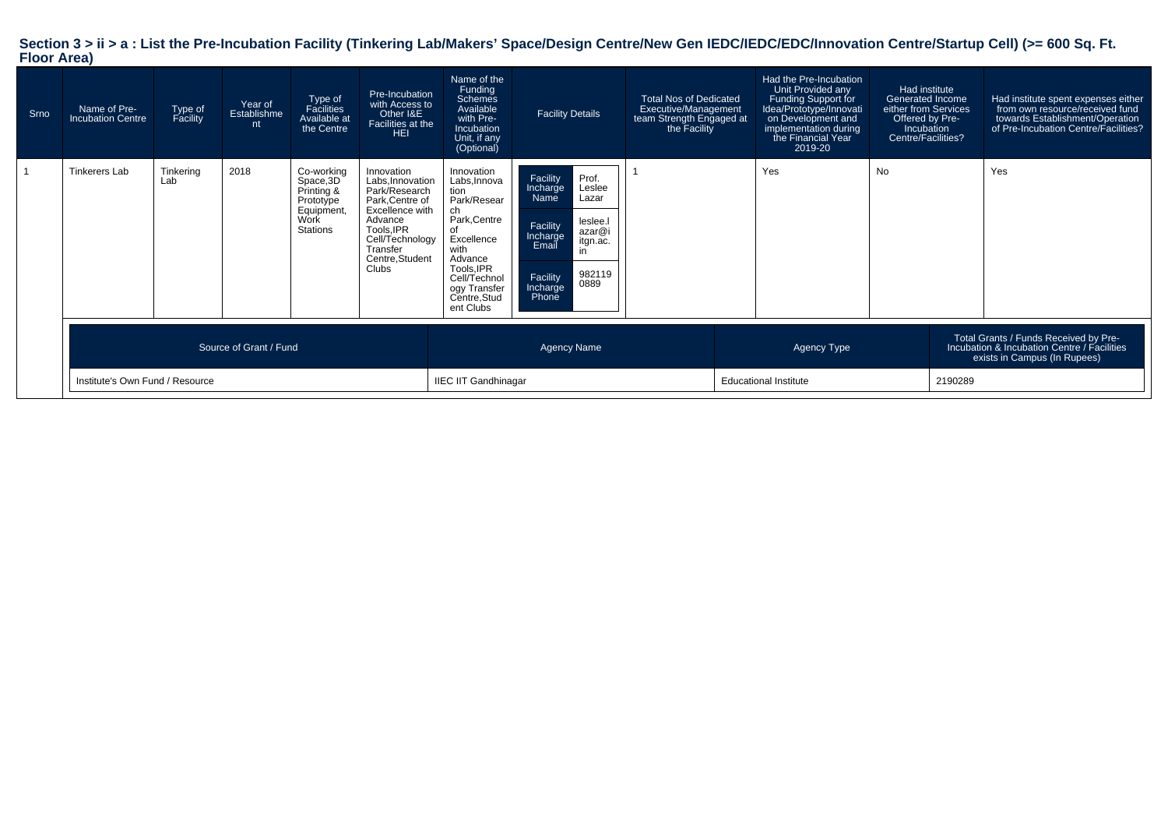# **Section 3 > ii > a : List the Pre-Incubation Facility (Tinkering Lab/Makers' Space/Design Centre/New Gen IEDC/IEDC/EDC/Innovation Centre/Startup Cell) (>= 600 Sq. Ft. Floor Area)**

| Srno | Name of Pre-<br><b>Incubation Centre</b> | Type of<br>Facility | Year of<br>Establishme<br>nt | Type of<br>Facilities<br>Available at<br>the Centre                                         | Pre-Incubation<br>with Access to<br>Other I&E<br>Facilities at the<br><b>HEI</b>                                                                                         | Name of the<br>Funding<br>Schemes<br>Available<br>with Pre-<br>Incubation<br>Unit, if any<br>(Optional)                                                                                   | <b>Facility Details</b>                                                                                                                                                             | <b>Total Nos of Dedicated</b><br>Executive/Management<br>team Strength Engaged at<br>the Facility |             | Had the Pre-Incubation<br>Unit Provided any<br>Funding Support for<br>Idea/Prototype/Innovati<br>on Development and<br>implementation during<br>the Financial Year<br>2019-20 | Had institute<br>Generated Income<br>either from Services<br>Offered by Pre-<br>Incubation<br>Centre/Facilities? |  | Had institute spent expenses either<br>from own resource/received fund<br>towards Establishment/Operation<br>of Pre-Incubation Centre/Facilities? |
|------|------------------------------------------|---------------------|------------------------------|---------------------------------------------------------------------------------------------|--------------------------------------------------------------------------------------------------------------------------------------------------------------------------|-------------------------------------------------------------------------------------------------------------------------------------------------------------------------------------------|-------------------------------------------------------------------------------------------------------------------------------------------------------------------------------------|---------------------------------------------------------------------------------------------------|-------------|-------------------------------------------------------------------------------------------------------------------------------------------------------------------------------|------------------------------------------------------------------------------------------------------------------|--|---------------------------------------------------------------------------------------------------------------------------------------------------|
|      | Tinkerers Lab                            | Tinkering<br>Lab    | 2018                         | Co-working<br>Space, 3D<br>Printing &<br>Prototype<br>Equipment,<br>Work<br><b>Stations</b> | Innovation<br>Labs, Innovation<br>Park/Research<br>Park, Centre of<br>Excellence with<br>Advance<br>Tools.IPR<br>Cell/Technology<br>Transfer<br>Centre, Student<br>Clubs | Innovation<br>Labs, Innova<br>tion<br>Park/Resear<br>ch<br>Park, Centre<br>of<br>Excellence<br>with<br>Advance<br>Tools, IPR<br>Cell/Technol<br>ogy Transfer<br>Centre, Stud<br>ent Clubs | Facility<br>Prof.<br>Leslee<br>Incharge<br>Name<br>Lazar<br>leslee.<br>Facility<br>azar@i<br>Incharge<br>itgn.ac.<br>Email<br>in<br>982119<br>Facility<br>0889<br>Incharge<br>Phone |                                                                                                   |             | Yes                                                                                                                                                                           | <b>No</b>                                                                                                        |  | Yes                                                                                                                                               |
|      |                                          |                     | Source of Grant / Fund       |                                                                                             |                                                                                                                                                                          |                                                                                                                                                                                           | <b>Agency Name</b>                                                                                                                                                                  |                                                                                                   | Agency Type |                                                                                                                                                                               |                                                                                                                  |  | Total Grants / Funds Received by Pre-<br>Incubation & Incubation Centre / Facilities<br>exists in Campus (In Rupees)                              |
|      | Institute's Own Fund / Resource          |                     |                              |                                                                                             | <b>IIEC IIT Gandhinagar</b>                                                                                                                                              |                                                                                                                                                                                           |                                                                                                                                                                                     | <b>Educational Institute</b>                                                                      |             | 2190289                                                                                                                                                                       |                                                                                                                  |  |                                                                                                                                                   |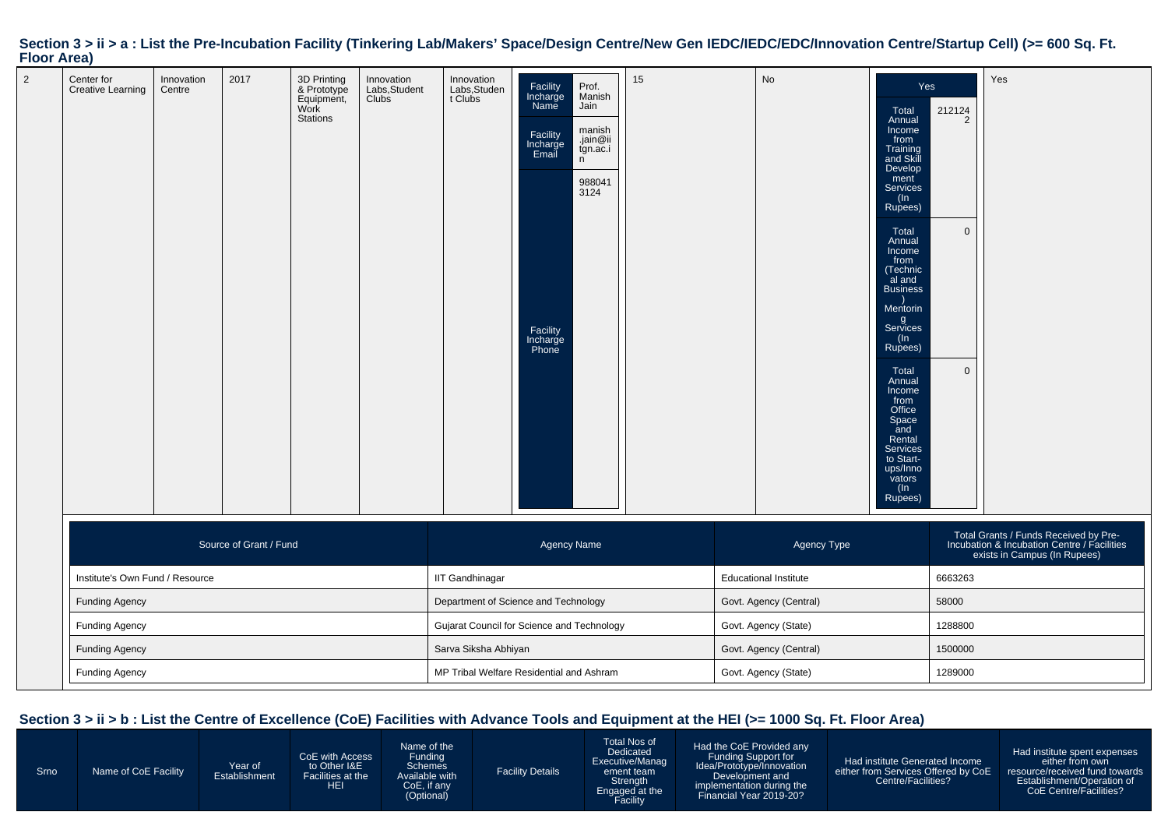#### 2 Center for Creative LearningInnovationCentre2017 3D Printing & Prototype Equipment,Work StationsInnovation Labs,Student**Clubs** Innovation Labs,Student Clubs**Facility**  Incharge NameProf. ManishJainFacility Incharge Emailmanish .jain@ii tgn.ac.i nFacility Incharge Phone988041312415 No YesTotal Annual Income from Training and Skill Develop ment Services(In Rupees)212124 2**Total**  Annual Income from (Technic al and Business) Mentorin g Services(In Rupees)0Total Annual Income from Office Space and Rental Services to Startups/Inno vators (In Rupees)0YesSource of Grant / Fundd and the control of the control of the Agency Name Agency Type and the control of the Agency Type  $\mathsf{A}$ gency Type  $\mathsf{A}$ gency Type and the control of the control of the control of the control of the control of the co Total Grants / Funds Received by Pre-Incubation & Incubation Centre / Facilitiesexists in Campus (In Rupees)Institute's Own Fund / Resource IIT Gandhinagar Educational Institute <sup>6663263</sup> Funding AgencyDepartment of Science and Technology Govt. Agency (Central) 58000 58000 Funding AgencyGujarat Council for Science and Technology Govt. Agency (State) and State 1288800 Funding Agency Sarva Siksha AbhiyanGovt. Agency (Central) 1500000 Funding Agency MP Tribal Welfare Residential and AshramGovt. Agency (State) 1289000

#### Section  $3 > i$  i > a : List the Pre-Incubation Facility (Tinkering Lab/Makers' Space/Design Centre/New Gen IEDC/IEDC/EDC/Innovation Centre/Startup Cell) (>= 600 Sq. Ft. **Floor Area)**

#### **Section 3 > ii > b : List the Centre of Excellence (CoE) Facilities with Advance Tools and Equipment at the HEI (>= 1000 Sq. Ft. Floor Area)**

 FundingSchemes

 CoE, if any(Optional)

SrnoName of CoE Facility Year of Establishment

CoE with Accessto Other I&E Facilities at the**HEI** Name of theAvailable with

Facility Details

Total Nos of Dedicated Executive/Management team Strength Engaged at the**Facility** 

Had the CoE Provided anyFunding Support for Idea/Prototype/InnovationDevelopment and implementation during theFinancial Year 2019-20?

Had institute Generated Income either from Services Offered by CoECentre/Facilities?

Had institute spent expenseseither from own resource/received fund towards Establishment/Operation ofCoE Centre/Facilities?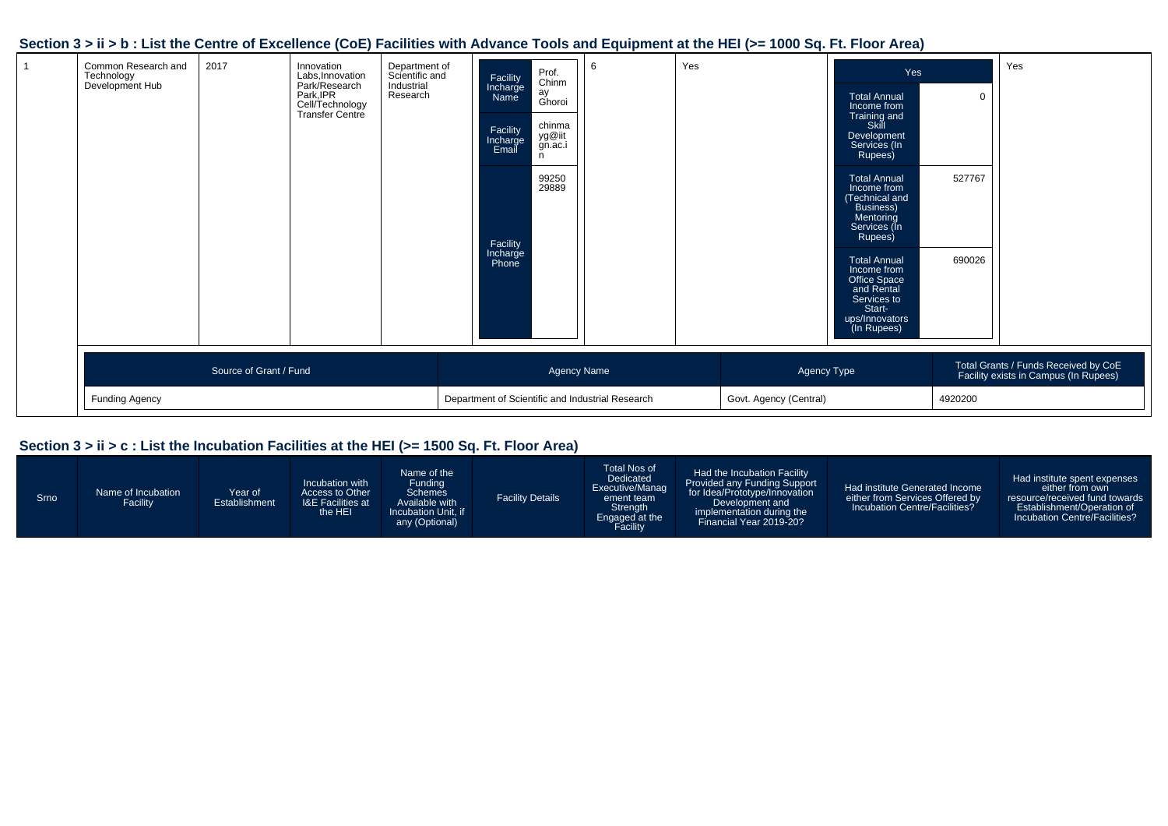# **Section 3 > ii > b : List the Centre of Excellence (CoE) Facilities with Advance Tools and Equipment at the HEI (>= 1000 Sq. Ft. Floor Area)**

| Common Research and<br>Technology<br>Development Hub | 2017                   | Innovation<br>Labs, Innovation<br>Park/Research<br>Park, IPR<br>Cell/Technology<br>Transfer Centre | Department of<br>Scientific and<br>Industrial<br>Research | Facility<br>Incharge<br>Name<br>Facility<br>Incharge<br>Email<br>Facility<br>Incharge<br>Phone | Prof.<br>Chinm<br>ay<br>Ghoroi<br>chinma<br>yg@iit<br>gn.ac.i<br>n<br>99250<br>29889 | 6 | Yes |                        | Yes<br><b>Total Annual</b><br>Income from<br>Training and<br>Skill<br>Development<br>Services (In<br>Rupees)<br><b>Total Annual</b><br>Income from<br>(Technical and<br>Business)<br>Mentoring<br>Services (In<br>Rupees)<br><b>Total Annual</b><br>Income from<br>Office Space<br>and Rental<br>Services to<br>Start-<br>ups/Innovators<br>(In Rupees) | $\mathbf 0$<br>527767<br>690026 | Yes                                                                           |
|------------------------------------------------------|------------------------|----------------------------------------------------------------------------------------------------|-----------------------------------------------------------|------------------------------------------------------------------------------------------------|--------------------------------------------------------------------------------------|---|-----|------------------------|---------------------------------------------------------------------------------------------------------------------------------------------------------------------------------------------------------------------------------------------------------------------------------------------------------------------------------------------------------|---------------------------------|-------------------------------------------------------------------------------|
|                                                      | Source of Grant / Fund |                                                                                                    |                                                           |                                                                                                | Agency Name                                                                          |   |     | Agency Type            |                                                                                                                                                                                                                                                                                                                                                         |                                 | Total Grants / Funds Received by CoE<br>Facility exists in Campus (In Rupees) |
| Funding Agency                                       |                        |                                                                                                    |                                                           | Department of Scientific and Industrial Research                                               |                                                                                      |   |     | Govt. Agency (Central) |                                                                                                                                                                                                                                                                                                                                                         | 4920200                         |                                                                               |

# **Section 3 > ii > c : List the Incubation Facilities at the HEI (>= 1500 Sq. Ft. Floor Area)**

| Srno | Name of Incubation<br>Facility | Year of<br>Establishment | Incubation with<br>Access to Other<br><b>I&amp;E Facilities at</b><br>the HEI | Name of the<br>Funding<br><b>Schemes</b><br>Available with<br>Incubation Unit. if<br>any (Optional) | <b>Facility Details</b> | Total Nos of<br><b>Dedicated</b><br>Executive/Manag<br>ement team<br>Strength<br>Engaged at the<br>Facility | Had the Incubation Facility<br>Provided any Funding Support<br>for Idea/Prototype/Innovation<br>Development and<br>implementation during the<br>Financial Year 2019-20? | Had institute Generated Income<br>either from Services Offered by<br>Incubation Centre/Facilities? | Had institute spent expenses<br>either from own<br>resource/received fund towards<br>Establishment/Operation of<br>Incubation Centre/Facilities? |
|------|--------------------------------|--------------------------|-------------------------------------------------------------------------------|-----------------------------------------------------------------------------------------------------|-------------------------|-------------------------------------------------------------------------------------------------------------|-------------------------------------------------------------------------------------------------------------------------------------------------------------------------|----------------------------------------------------------------------------------------------------|--------------------------------------------------------------------------------------------------------------------------------------------------|
|------|--------------------------------|--------------------------|-------------------------------------------------------------------------------|-----------------------------------------------------------------------------------------------------|-------------------------|-------------------------------------------------------------------------------------------------------------|-------------------------------------------------------------------------------------------------------------------------------------------------------------------------|----------------------------------------------------------------------------------------------------|--------------------------------------------------------------------------------------------------------------------------------------------------|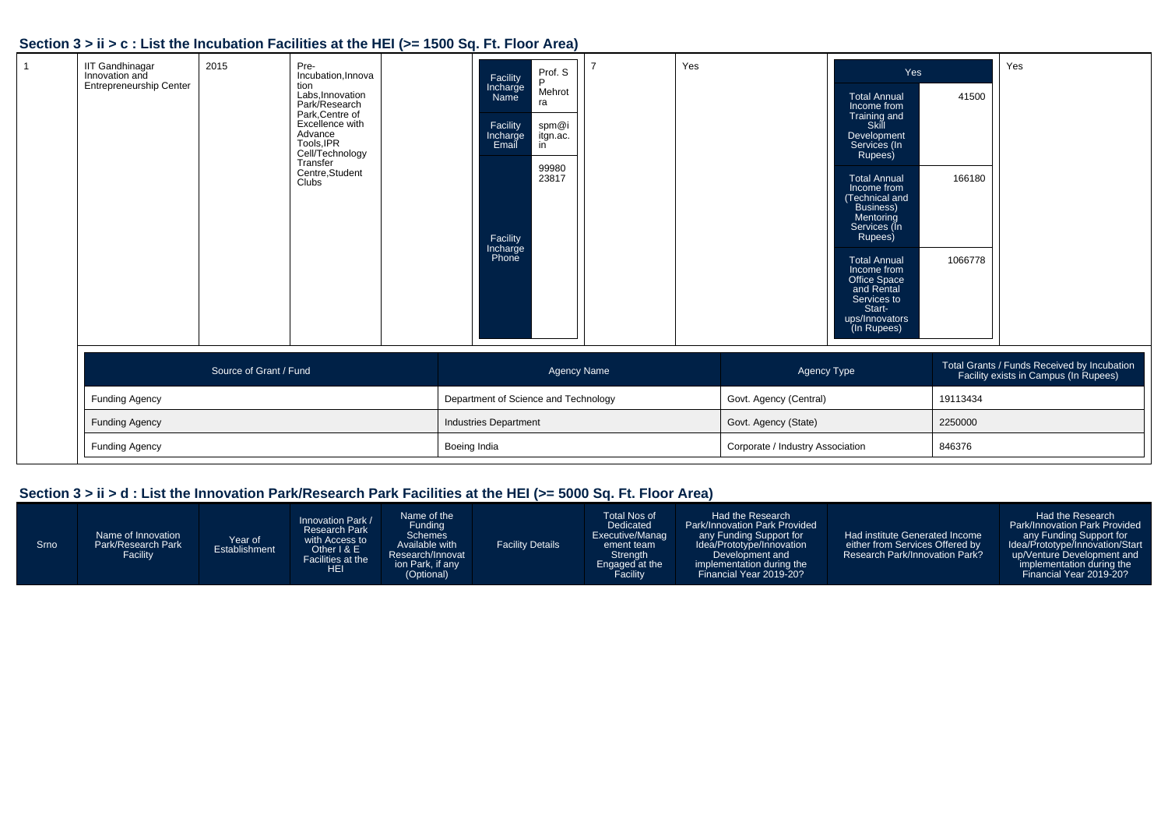# **Section 3 > ii > c : List the Incubation Facilities at the HEI (>= 1500 Sq. Ft. Floor Area)**

| <b>IIT Gandhinagar</b><br>Innovation and<br><b>Entrepreneurship Center</b> | 2015                   | Pre-<br>Incubation, Innova<br>tion<br>Labs, Innovation<br>Park/Research<br>Park, Centre of<br>Excellence with<br>Advance<br>Tools, IPR<br>Cell/Technology<br>Transfer<br>Centre, Student<br>Clubs | Facility<br>Incharge<br>Name<br>Facility<br>Incharge<br>Email<br>Facility<br>Incharge<br>Phone | Prof. S<br>D<br>Mehrot<br>ra<br>spm@i<br>itgn.ac.<br>in<br>99980<br>23817 | Yes |                                  | Yes<br><b>Total Annual</b><br>Income from<br>Training and<br>Skill<br>Development<br>Services (In<br>Rupees)<br><b>Total Annual</b><br>Income from<br>(Technical and<br><b>Business)</b><br>Mentoring<br>Services (In<br>Rupees)<br><b>Total Annual</b><br>Income from<br><b>Office Space</b><br>and Rental<br>Services to<br>Start-<br>ups/Innovators<br>(In Rupees) | 41500<br>166180<br>1066778 | Yes                                                                                  |
|----------------------------------------------------------------------------|------------------------|---------------------------------------------------------------------------------------------------------------------------------------------------------------------------------------------------|------------------------------------------------------------------------------------------------|---------------------------------------------------------------------------|-----|----------------------------------|-----------------------------------------------------------------------------------------------------------------------------------------------------------------------------------------------------------------------------------------------------------------------------------------------------------------------------------------------------------------------|----------------------------|--------------------------------------------------------------------------------------|
|                                                                            | Source of Grant / Fund |                                                                                                                                                                                                   |                                                                                                | <b>Agency Name</b>                                                        |     | Agency Type                      |                                                                                                                                                                                                                                                                                                                                                                       |                            | Total Grants / Funds Received by Incubation<br>Facility exists in Campus (In Rupees) |
| <b>Funding Agency</b>                                                      |                        |                                                                                                                                                                                                   | Department of Science and Technology                                                           |                                                                           |     | Govt. Agency (Central)           |                                                                                                                                                                                                                                                                                                                                                                       | 19113434                   |                                                                                      |
| <b>Funding Agency</b>                                                      |                        |                                                                                                                                                                                                   | Industries Department                                                                          |                                                                           |     | Govt. Agency (State)             |                                                                                                                                                                                                                                                                                                                                                                       | 2250000                    |                                                                                      |
| <b>Funding Agency</b>                                                      |                        |                                                                                                                                                                                                   | Boeing India                                                                                   |                                                                           |     | Corporate / Industry Association |                                                                                                                                                                                                                                                                                                                                                                       | 846376                     |                                                                                      |

# **Section 3 > ii > d : List the Innovation Park/Research Park Facilities at the HEI (>= 5000 Sq. Ft. Floor Area)**

| Srno <sup>1</sup> | Name of Innovation<br>Park/Research Park<br>Facility | Year of<br><b>Establishment</b> | Innovation Park /<br><b>Research Park</b><br>with Access to<br>Other I & E<br>Facilities at the<br><b>HEI</b> | Name of the<br>Funding<br><b>Schemes</b><br>Available with<br>Research/Innovat<br>ion Park, if any<br>(Optional) | <b>Facility Details</b> | Total Nos of<br>Dedicated<br>Executive/Manag<br>ement team<br>Strength<br>Engaged at the | Had the Research<br><b>Park/Innovation Park Provided</b><br>any Funding Support for<br>Idea/Prototype/Innovation<br>Development and<br>implementation during the<br>Financial Year 2019-20? | Had institute Generated Income<br>either from Services Offered by<br><b>Research Park/Innovation Park?</b> | Had the Research<br>Park/Innovation Park Provided<br>any Funding Support for<br>Idea/Prototype/Innovation/Start<br>up/Venture Development and<br>implementation during the<br>Financial Year 2019-20? |
|-------------------|------------------------------------------------------|---------------------------------|---------------------------------------------------------------------------------------------------------------|------------------------------------------------------------------------------------------------------------------|-------------------------|------------------------------------------------------------------------------------------|---------------------------------------------------------------------------------------------------------------------------------------------------------------------------------------------|------------------------------------------------------------------------------------------------------------|-------------------------------------------------------------------------------------------------------------------------------------------------------------------------------------------------------|
|-------------------|------------------------------------------------------|---------------------------------|---------------------------------------------------------------------------------------------------------------|------------------------------------------------------------------------------------------------------------------|-------------------------|------------------------------------------------------------------------------------------|---------------------------------------------------------------------------------------------------------------------------------------------------------------------------------------------|------------------------------------------------------------------------------------------------------------|-------------------------------------------------------------------------------------------------------------------------------------------------------------------------------------------------------|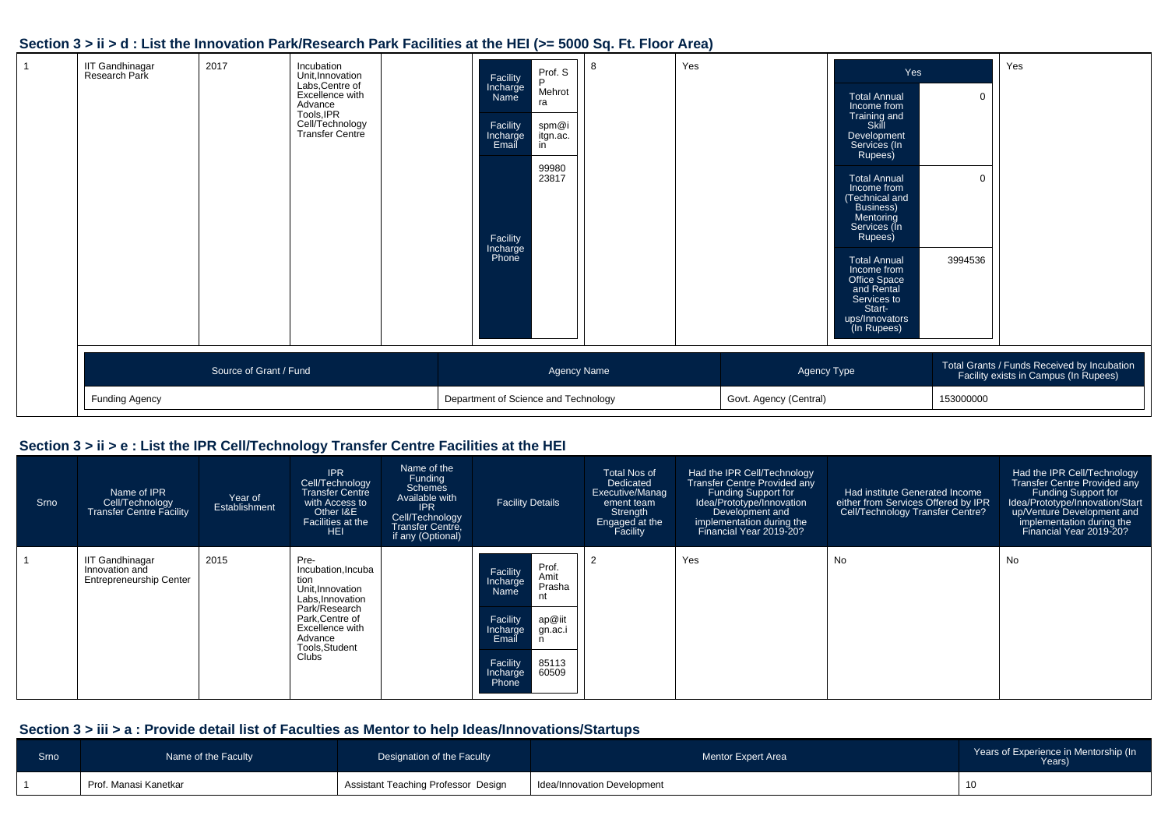### **Section 3 > ii > d : List the Innovation Park/Research Park Facilities at the HEI (>= 5000 Sq. Ft. Floor Area)**

| <b>IIT Gandhinagar</b><br>Research Park | 2017                   | Incubation<br>Unit, Innovation<br>Labs, Centre of<br>Excellence with<br>Advance<br>Tools, IPR<br>Cell/Technology<br>Transfer Centre | Prof. S<br>Facility<br>Incharge<br>Name<br>P<br>Mehrot<br>ra<br>Facility<br>spm@i<br>itgn.ac.<br>Incharge<br>Email<br>in<br>99980<br>23817<br>Facility<br>Incharge<br>Phone | 8                  | Yes |                        | Yes<br><b>Total Annual</b><br>Income from<br>Training and<br>Skill<br>Development<br>Services (In<br>Rupees)<br><b>Total Annual</b><br>Income from<br>(Technical and<br>Business)<br>Mentoring<br>Services (In<br>Rupees)<br><b>Total Annual</b><br>Income from<br>Office Space<br>and Rental<br>Services to<br>Start-<br>ups/Innovators<br>(In Rupees) | $\overline{0}$<br>$\mathbf{0}$<br>3994536 | Yes                                                                                  |
|-----------------------------------------|------------------------|-------------------------------------------------------------------------------------------------------------------------------------|-----------------------------------------------------------------------------------------------------------------------------------------------------------------------------|--------------------|-----|------------------------|---------------------------------------------------------------------------------------------------------------------------------------------------------------------------------------------------------------------------------------------------------------------------------------------------------------------------------------------------------|-------------------------------------------|--------------------------------------------------------------------------------------|
|                                         | Source of Grant / Fund |                                                                                                                                     |                                                                                                                                                                             | <b>Agency Name</b> |     | Agency Type            |                                                                                                                                                                                                                                                                                                                                                         |                                           | Total Grants / Funds Received by Incubation<br>Facility exists in Campus (In Rupees) |
| Funding Agency                          |                        |                                                                                                                                     | Department of Science and Technology                                                                                                                                        |                    |     | Govt. Agency (Central) |                                                                                                                                                                                                                                                                                                                                                         | 153000000                                 |                                                                                      |

# **Section 3 > ii > e : List the IPR Cell/Technology Transfer Centre Facilities at the HEI**

| Srno | Name of IPR<br>Cell/Technology<br><b>Transfer Centre Facility</b>          | Year of<br>Establishment | <b>IPR</b><br>Cell/Technology<br>Transfer Centre<br>with Access to<br>Other I&E<br>Facilities at the<br>HEI.                                                          | Name of the<br>Funding<br><b>Schemes</b><br>Available with<br><b>IPR</b><br>Cell/Technology<br><b>Transfer Centre,</b><br>if any (Optional) | <b>Facility Details</b>                                                                                                                                          | Total Nos of<br>Dedicated<br>Executive/Manag<br>ement team<br>Strength<br>Engaged at the<br>Facility | Had the IPR Cell/Technology<br><b>Transfer Centre Provided any</b><br><b>Funding Support for</b><br>Idea/Prototype/Innovation<br>Development and<br>implementation during the<br>Financial Year 2019-20? | Had institute Generated Income<br>either from Services Offered by IPR<br>Cell/Technology Transfer Centre? | Had the IPR Cell/Technology<br><b>Transfer Centre Provided any</b><br>Funding Support for<br>Idea/Prototype/Innovation/Start<br>up/Venture Development and<br>implementation during the<br>Financial Year 2019-20? |
|------|----------------------------------------------------------------------------|--------------------------|-----------------------------------------------------------------------------------------------------------------------------------------------------------------------|---------------------------------------------------------------------------------------------------------------------------------------------|------------------------------------------------------------------------------------------------------------------------------------------------------------------|------------------------------------------------------------------------------------------------------|----------------------------------------------------------------------------------------------------------------------------------------------------------------------------------------------------------|-----------------------------------------------------------------------------------------------------------|--------------------------------------------------------------------------------------------------------------------------------------------------------------------------------------------------------------------|
|      | <b>IIT Gandhinagar</b><br>Innovation and<br><b>Entrepreneurship Center</b> | 2015                     | Pre-<br>Incubation, Incuba<br>tion<br>Unit, Innovation<br>Labs.Innovation<br>Park/Research<br>Park.Centre of<br>Excellence with<br>Advance<br>Tools, Student<br>Clubs |                                                                                                                                             | Prof.<br>Facility<br>Amit<br>Incharge<br>Prasha<br>Name<br>Facility<br>ap@iit<br>Incharge<br>gn.ac.i<br>Email<br>Facility<br>85113<br>60509<br>Incharge<br>Phone |                                                                                                      | Yes                                                                                                                                                                                                      | <b>No</b>                                                                                                 | No                                                                                                                                                                                                                 |

### **Section 3 > iii > a : Provide detail list of Faculties as Mentor to help Ideas/Innovations/Startups**

| Srno | Name of the Faculty   | Designation of the Faculty          | Mentor Expert Area          | Years of Experience in Mentorship (In<br>Years) |
|------|-----------------------|-------------------------------------|-----------------------------|-------------------------------------------------|
|      | Prof. Manasi Kanetkar | Assistant Teaching Professor Design | Idea/Innovation Development |                                                 |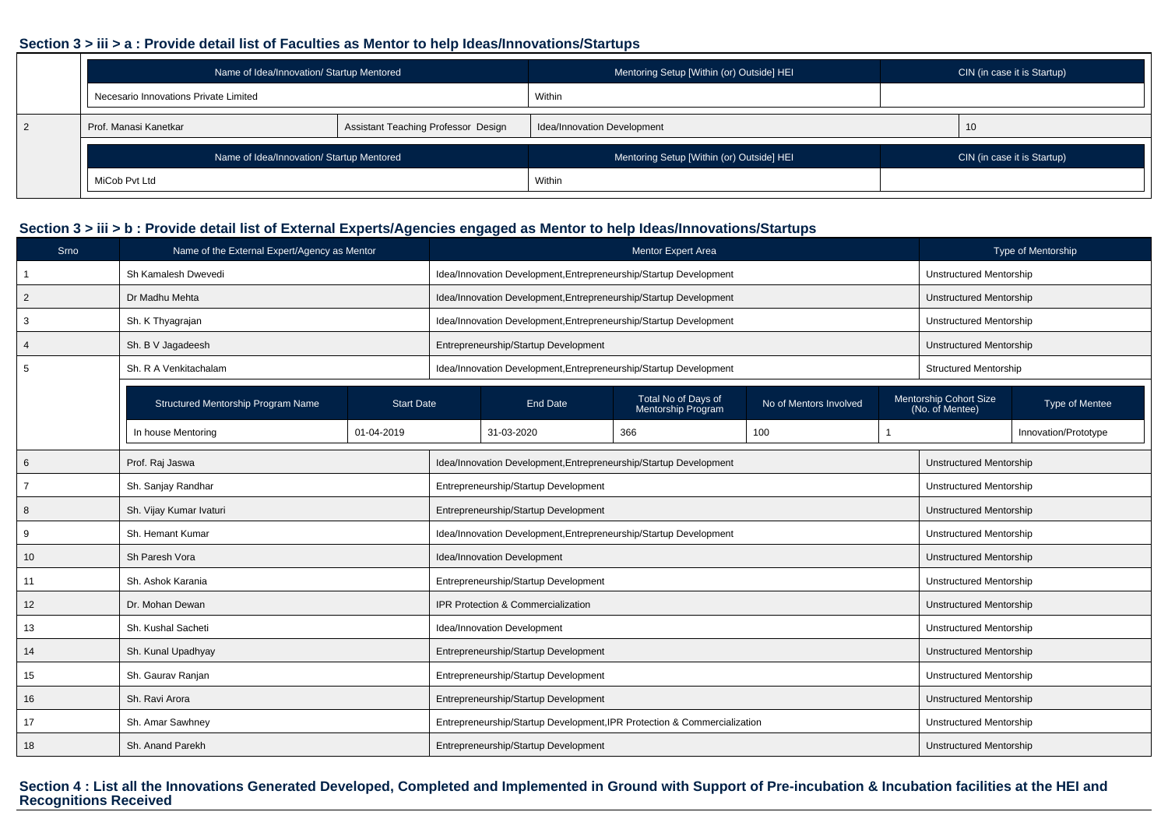#### **Section 3 > iii > a : Provide detail list of Faculties as Mentor to help Ideas/Innovations/Startups**

| Name of Idea/Innovation/ Startup Mentored |                                     | Mentoring Setup [Within (or) Outside] HEI | CIN (in case it is Startup) |
|-------------------------------------------|-------------------------------------|-------------------------------------------|-----------------------------|
| Necesario Innovations Private Limited     |                                     | Within                                    |                             |
| Prof. Manasi Kanetkar                     | Assistant Teaching Professor Design | Idea/Innovation Development               | 10                          |
| Name of Idea/Innovation/ Startup Mentored |                                     | Mentoring Setup [Within (or) Outside] HEI | CIN (in case it is Startup) |
| MiCob Pvt Ltd                             |                                     | Within                                    |                             |

### **Section 3 > iii > b : Provide detail list of External Experts/Agencies engaged as Mentor to help Ideas/Innovations/Startups**

| Srno           | Name of the External Expert/Agency as Mentor |                   |                                                                          | <b>Mentor Expert Area</b>                 |                        |                                                             | Type of Mentorship |  |
|----------------|----------------------------------------------|-------------------|--------------------------------------------------------------------------|-------------------------------------------|------------------------|-------------------------------------------------------------|--------------------|--|
|                | Sh Kamalesh Dwevedi                          |                   | Idea/Innovation Development, Entrepreneurship/Startup Development        |                                           |                        | <b>Unstructured Mentorship</b>                              |                    |  |
| $\overline{2}$ | Dr Madhu Mehta                               |                   | Idea/Innovation Development, Entrepreneurship/Startup Development        |                                           |                        | Unstructured Mentorship                                     |                    |  |
| 3              | Sh. K Thyagrajan                             |                   | Idea/Innovation Development, Entrepreneurship/Startup Development        |                                           |                        | <b>Unstructured Mentorship</b>                              |                    |  |
| 4              | Sh. B V Jagadeesh                            |                   | Entrepreneurship/Startup Development                                     |                                           |                        | Unstructured Mentorship                                     |                    |  |
|                | Sh. R A Venkitachalam                        |                   | Idea/Innovation Development, Entrepreneurship/Startup Development        |                                           |                        | <b>Structured Mentorship</b>                                |                    |  |
|                | Structured Mentorship Program Name           | <b>Start Date</b> | <b>End Date</b>                                                          | Total No of Days of<br>Mentorship Program | No of Mentors Involved | Mentorship Cohort Size<br>(No. of Mentee)<br>Type of Mentee |                    |  |
|                | In house Mentoring                           | 01-04-2019        | 31-03-2020                                                               | Innovation/Prototype                      |                        |                                                             |                    |  |
| 6              | Prof. Raj Jaswa                              |                   | Idea/Innovation Development, Entrepreneurship/Startup Development        | Unstructured Mentorship                   |                        |                                                             |                    |  |
|                | Sh. Sanjay Randhar                           |                   | Entrepreneurship/Startup Development                                     |                                           |                        | Unstructured Mentorship                                     |                    |  |
| 8              | Sh. Vijay Kumar Ivaturi                      |                   | Entrepreneurship/Startup Development                                     |                                           |                        | Unstructured Mentorship                                     |                    |  |
| 9              | Sh. Hemant Kumar                             |                   | Idea/Innovation Development, Entrepreneurship/Startup Development        |                                           |                        | Unstructured Mentorship                                     |                    |  |
| 10             | Sh Paresh Vora                               |                   | Idea/Innovation Development                                              |                                           |                        | Unstructured Mentorship                                     |                    |  |
| 11             | Sh. Ashok Karania                            |                   | Entrepreneurship/Startup Development                                     |                                           |                        | <b>Unstructured Mentorship</b>                              |                    |  |
| 12             | Dr. Mohan Dewan                              |                   | IPR Protection & Commercialization                                       |                                           |                        | Unstructured Mentorship                                     |                    |  |
| 13             | Sh. Kushal Sacheti                           |                   | Idea/Innovation Development                                              |                                           |                        | <b>Unstructured Mentorship</b>                              |                    |  |
| 14             | Sh. Kunal Upadhyay                           |                   | Entrepreneurship/Startup Development                                     |                                           |                        | Unstructured Mentorship                                     |                    |  |
| 15             | Sh. Gaurav Ranjan                            |                   | Entrepreneurship/Startup Development                                     | Unstructured Mentorship                   |                        |                                                             |                    |  |
| 16             | Sh. Ravi Arora                               |                   | Entrepreneurship/Startup Development                                     |                                           |                        | Unstructured Mentorship                                     |                    |  |
| 17             | Sh. Amar Sawhney                             |                   | Entrepreneurship/Startup Development, IPR Protection & Commercialization |                                           |                        | Unstructured Mentorship                                     |                    |  |
| 18             | Sh. Anand Parekh                             |                   | Entrepreneurship/Startup Development                                     |                                           |                        | <b>Unstructured Mentorship</b>                              |                    |  |

**Section 4 : List all the Innovations Generated Developed, Completed and Implemented in Ground with Support of Pre-incubation & Incubation facilities at the HEI and Recognitions Received**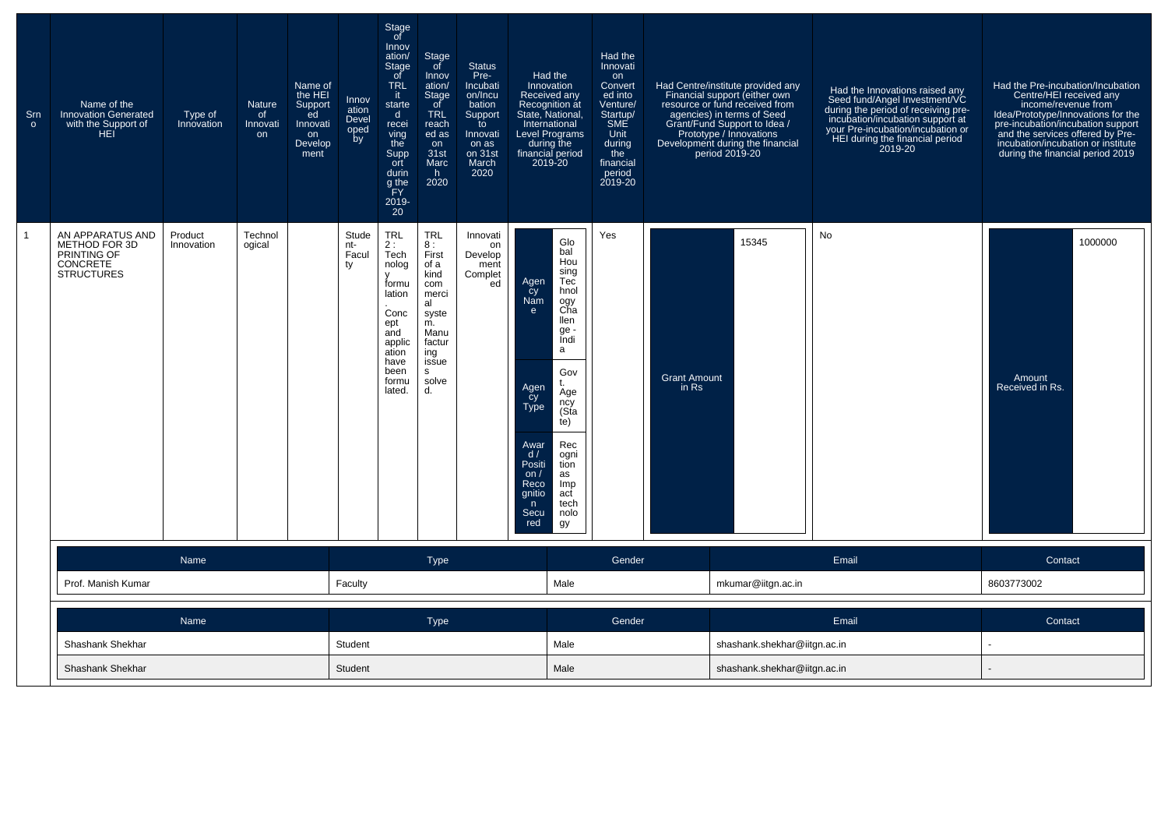| Srn<br>$\circ$ | Name of the<br><b>Innovation Generated</b><br>with the Support of<br>HEI                 | Type of<br>Innovation | <b>Nature</b><br>of<br>Innovati<br>on | Name of<br>the HEI<br>Support<br>ed<br>Innovati<br>on<br>Develop<br>ment | Innov<br>ation<br>Devel<br>oped<br>by | Stage<br>of<br>Innov<br>ation/<br>Stage<br>$\circ$ f<br><b>TRL</b><br>it.<br>starte<br>d<br>recei<br>ving<br>the<br>Supp<br>ort<br>durin<br>g the<br>FY<br>2019-<br>$20^{\circ}$ | Stage<br>of<br>Innov<br>ation/<br><b>Stage</b><br>of<br><b>TRL</b><br>reach<br>ed as<br>on<br>31st<br>Marc<br>h.<br>2020             | <b>Status</b><br>Pre-<br>Incubati<br>on/Incu<br>bation<br>Support<br>to<br>Innovati<br>on as<br>on 31st<br>March<br>2020 | Had the<br>Innovation<br>Received any<br>Recognition at<br>State, National,<br>International<br>Level Programs<br>during the<br>financial period<br>2019-20 |                                                                                                                                                                                        | Had the<br>Innovati<br>on<br>Convert<br>ed into<br>Venture/<br>Startup/<br><b>SME</b><br>Unit<br>during<br>the<br>financial<br>period<br>2019-20 |                                | Had Centre/institute provided any<br>Financial support (either own<br>resource or fund received from<br>agencies) in terms of Seed<br>Grant/Fund Support to Idea /<br>Prototype / Innovations<br>Development during the financial<br>period 2019-20 | Had the Innovations raised any<br>Seed fund/Angel Investment/VC<br>during the period of receiving pre-<br>incubation/incubation support at<br>your Pre-incubation/incubation or<br>HEI during the financial period<br>2019-20 | Had the Pre-incubation/Incubation<br>Centre/HEI received any<br>income/revenue from<br>Idea/Prototype/Innovations for the<br>pre-incubation/incubation support<br>and the services offered by Pre-<br>incubation/incubation or institute<br>during the financial period 2019 |
|----------------|------------------------------------------------------------------------------------------|-----------------------|---------------------------------------|--------------------------------------------------------------------------|---------------------------------------|----------------------------------------------------------------------------------------------------------------------------------------------------------------------------------|--------------------------------------------------------------------------------------------------------------------------------------|--------------------------------------------------------------------------------------------------------------------------|-------------------------------------------------------------------------------------------------------------------------------------------------------------|----------------------------------------------------------------------------------------------------------------------------------------------------------------------------------------|--------------------------------------------------------------------------------------------------------------------------------------------------|--------------------------------|-----------------------------------------------------------------------------------------------------------------------------------------------------------------------------------------------------------------------------------------------------|-------------------------------------------------------------------------------------------------------------------------------------------------------------------------------------------------------------------------------|------------------------------------------------------------------------------------------------------------------------------------------------------------------------------------------------------------------------------------------------------------------------------|
|                | AN APPARATUS AND<br>METHOD FOR 3D<br>PRINTING OF<br><b>CONCRETE</b><br><b>STRUCTURES</b> | Product<br>Innovation | Technol<br>ogical                     |                                                                          | Stude<br>nt-<br>Facul<br>ty           | <b>TRL</b><br>2:<br>Tech<br>nolog<br>formu<br>lation<br>Conc<br>ept<br>and<br>applic<br>ation<br>have<br>been<br>formu<br>lated.                                                 | <b>TRL</b><br>8:<br>First<br>of a<br>kind<br>com<br>merci<br>al<br>syste<br>m.<br>Manu<br>factur<br>ing<br>issue<br>s<br>solve<br>d. | Innovati<br>on<br>Develop<br>ment<br>Complet<br>ed                                                                       | Agen<br>cy<br>Nam<br>e<br>Agen<br>Cy<br>Type<br>Awar<br>d/<br>Positi<br>on $/$<br>Reco<br>gnitio<br>n<br>Secu<br>red                                        | Glo<br>bal<br>Hou<br>sing<br>Tec<br>hnol<br>ogy<br>Cha<br>llen<br>ge<br>Indi<br>a<br>Gov<br>Age<br>ncy<br>(Sta<br>(e)<br>Rec<br>ogni<br>tion<br>as<br>Imp<br>act<br>tech<br>nolo<br>gy | Yes                                                                                                                                              | <b>Grant Amount</b><br>$in$ Rs | 15345                                                                                                                                                                                                                                               | No                                                                                                                                                                                                                            | 1000000<br>Amount<br>Received in Rs.                                                                                                                                                                                                                                         |
|                |                                                                                          | Name                  |                                       |                                                                          |                                       |                                                                                                                                                                                  | <b>Type</b>                                                                                                                          |                                                                                                                          |                                                                                                                                                             |                                                                                                                                                                                        | Gender                                                                                                                                           |                                |                                                                                                                                                                                                                                                     | Email                                                                                                                                                                                                                         | Contact                                                                                                                                                                                                                                                                      |
|                | Prof. Manish Kumar                                                                       |                       |                                       |                                                                          | Faculty                               |                                                                                                                                                                                  |                                                                                                                                      |                                                                                                                          |                                                                                                                                                             | Male                                                                                                                                                                                   |                                                                                                                                                  |                                | mkumar@iitgn.ac.in                                                                                                                                                                                                                                  |                                                                                                                                                                                                                               | 8603773002                                                                                                                                                                                                                                                                   |
|                |                                                                                          | Name                  |                                       |                                                                          |                                       |                                                                                                                                                                                  | <b>Type</b>                                                                                                                          |                                                                                                                          |                                                                                                                                                             |                                                                                                                                                                                        | Gender                                                                                                                                           |                                |                                                                                                                                                                                                                                                     | Email                                                                                                                                                                                                                         | Contact                                                                                                                                                                                                                                                                      |
|                | Shashank Shekhar                                                                         |                       |                                       |                                                                          | Student                               |                                                                                                                                                                                  |                                                                                                                                      |                                                                                                                          |                                                                                                                                                             | Male                                                                                                                                                                                   |                                                                                                                                                  |                                | shashank.shekhar@iitgn.ac.in                                                                                                                                                                                                                        |                                                                                                                                                                                                                               | $\sim$                                                                                                                                                                                                                                                                       |
|                | Shashank Shekhar                                                                         |                       |                                       |                                                                          | Student                               |                                                                                                                                                                                  |                                                                                                                                      |                                                                                                                          | Male                                                                                                                                                        |                                                                                                                                                                                        |                                                                                                                                                  | shashank.shekhar@iitgn.ac.in   |                                                                                                                                                                                                                                                     |                                                                                                                                                                                                                               |                                                                                                                                                                                                                                                                              |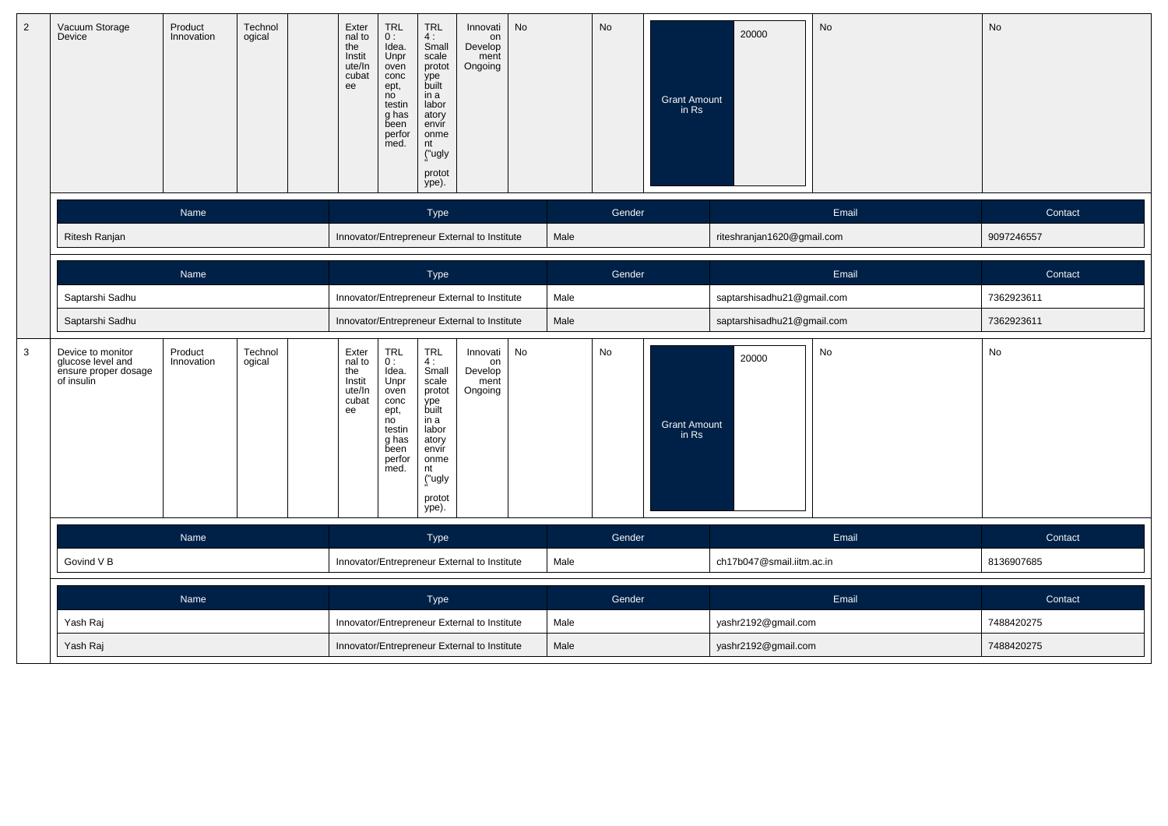| $\overline{2}$ | Vacuum Storage<br>Device                                                     | Product<br>Innovation | Technol<br>ogical | Exter<br>nal to<br>the<br>Instit<br>ute/In<br>cubat<br>ee | TRL<br>0:<br>Idea.<br>Unpr<br>oven<br>conc<br>ept,<br>no<br>testin<br>g has<br>been<br>perfor<br>med. | TRL<br>4:<br>Small<br>scale<br>protot<br>ype<br>built<br>in a<br>labor<br>atory<br>envir<br>onme<br>nt<br>("ugly<br>protot<br>ype).        | Innovati<br>on<br>Develop<br>ment<br>Ongoing | No |      | No     | <b>Grant Amount</b><br>in Rs | 20000                      | No    | No         |
|----------------|------------------------------------------------------------------------------|-----------------------|-------------------|-----------------------------------------------------------|-------------------------------------------------------------------------------------------------------|--------------------------------------------------------------------------------------------------------------------------------------------|----------------------------------------------|----|------|--------|------------------------------|----------------------------|-------|------------|
|                |                                                                              | Name                  |                   |                                                           |                                                                                                       | Type                                                                                                                                       |                                              |    |      | Gender |                              |                            | Email | Contact    |
|                | Ritesh Ranjan                                                                |                       |                   |                                                           |                                                                                                       |                                                                                                                                            | Innovator/Entrepreneur External to Institute |    | Male |        |                              | riteshranjan1620@gmail.com |       | 9097246557 |
|                |                                                                              | Name                  |                   |                                                           |                                                                                                       | Type                                                                                                                                       |                                              |    |      | Gender |                              |                            | Email | Contact    |
|                | Saptarshi Sadhu                                                              |                       |                   |                                                           |                                                                                                       |                                                                                                                                            | Innovator/Entrepreneur External to Institute |    | Male |        |                              | saptarshisadhu21@gmail.com |       | 7362923611 |
|                | Saptarshi Sadhu                                                              |                       |                   |                                                           |                                                                                                       |                                                                                                                                            | Innovator/Entrepreneur External to Institute |    | Male |        |                              | saptarshisadhu21@gmail.com |       | 7362923611 |
| 3              | Device to monitor<br>glucose level and<br>ensure proper dosage<br>of insulin | Product<br>Innovation | Technol<br>ogical | Exter<br>nal to<br>the<br>Instit<br>ute/In<br>cubat<br>ee | TRL<br>0:<br>Idea.<br>Unpr<br>oven<br>conc<br>ept,<br>no<br>testin<br>g has<br>been<br>perfor<br>med. | <b>TRL</b><br>4:<br>Small<br>scale<br>protot<br>ype<br>built<br>in a<br>labor<br>atory<br>envir<br>onme<br>nt<br>("ugly<br>protot<br>ype). | Innovati<br>on<br>Develop<br>ment<br>Ongoing | No |      | No     | <b>Grant Amount</b><br>in Rs | 20000                      | No    | No         |
|                |                                                                              | Name                  |                   |                                                           |                                                                                                       | Type                                                                                                                                       |                                              |    |      | Gender |                              |                            | Email | Contact    |
|                | Govind V B                                                                   |                       |                   |                                                           |                                                                                                       |                                                                                                                                            | Innovator/Entrepreneur External to Institute |    | Male |        |                              | ch17b047@smail.iitm.ac.in  |       | 8136907685 |
|                |                                                                              | Name                  |                   |                                                           |                                                                                                       | Type                                                                                                                                       |                                              |    |      | Gender |                              |                            | Email | Contact    |
|                | Yash Raj                                                                     |                       |                   |                                                           |                                                                                                       |                                                                                                                                            | Innovator/Entrepreneur External to Institute |    | Male |        |                              | yashr2192@gmail.com        |       | 7488420275 |
|                | Yash Raj                                                                     |                       |                   |                                                           |                                                                                                       |                                                                                                                                            | Innovator/Entrepreneur External to Institute |    | Male |        |                              | yashr2192@gmail.com        |       | 7488420275 |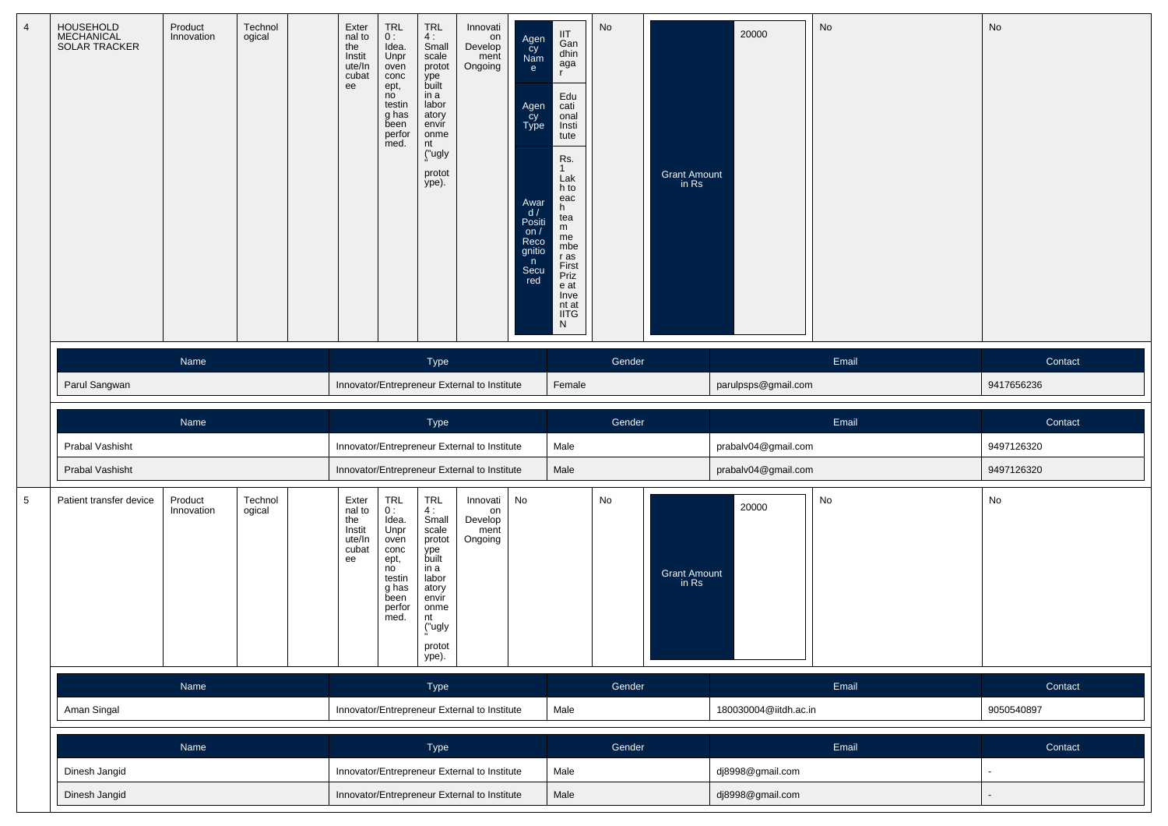| $\overline{4}$ | HOUSEHOLD<br>MECHANICAL<br><b>SOLAR TRACKER</b> | Product<br>Innovation | Technol<br>ogical | Exter<br>nal to<br>the<br>Instit<br>ute/In<br>cubat<br>ee | <b>TRL</b><br>0:<br>Idea.<br>Unpr<br>oven<br>conc<br>ept,<br>no<br>testin<br>g has<br>been<br>perfor<br>med. | TRL<br>4:<br>Small<br>scale<br>protot<br>ype<br>built<br>in a<br>labor<br>atory<br>envír<br>onme<br>nt<br>("ugly<br>protot<br>ype). | Innovati<br>on<br>Develop<br>ment<br>Ongoing | Agen<br>cy<br>Nam<br>e<br>Agen<br>Cy<br>Type<br>Awar<br>d/<br>Positi<br>on $/$<br>Reco<br>gnitio<br>n<br>Secu<br>red | IIT<br>Gan<br>dhin<br>aga<br>$\mathbf{r}$<br>Edu<br>cati<br>onal<br>Insti<br>tute<br>Rs.<br>$\mathbf{1}$<br>Lak<br>h to<br>eac<br>h<br>tea<br>m<br>me<br>mbe<br>r as<br>First<br>Priz<br>e at<br>Inve<br>nt at<br><b>IITG</b><br>N | No     | <b>Grant Amount</b><br>in Rs | 20000                 | No    | No         |
|----------------|-------------------------------------------------|-----------------------|-------------------|-----------------------------------------------------------|--------------------------------------------------------------------------------------------------------------|-------------------------------------------------------------------------------------------------------------------------------------|----------------------------------------------|----------------------------------------------------------------------------------------------------------------------|------------------------------------------------------------------------------------------------------------------------------------------------------------------------------------------------------------------------------------|--------|------------------------------|-----------------------|-------|------------|
|                |                                                 | Name                  |                   |                                                           |                                                                                                              | Type                                                                                                                                |                                              |                                                                                                                      |                                                                                                                                                                                                                                    | Gender |                              |                       | Email | Contact    |
|                | Parul Sangwan                                   |                       |                   |                                                           |                                                                                                              |                                                                                                                                     | Innovator/Entrepreneur External to Institute |                                                                                                                      | Female                                                                                                                                                                                                                             |        |                              | parulpsps@gmail.com   |       | 9417656236 |
|                |                                                 | Name                  |                   |                                                           |                                                                                                              | Type                                                                                                                                |                                              |                                                                                                                      |                                                                                                                                                                                                                                    | Gender |                              |                       | Email | Contact    |
|                |                                                 |                       |                   |                                                           |                                                                                                              |                                                                                                                                     |                                              |                                                                                                                      |                                                                                                                                                                                                                                    |        |                              |                       |       |            |
|                | Prabal Vashisht                                 |                       |                   |                                                           |                                                                                                              |                                                                                                                                     | Innovator/Entrepreneur External to Institute |                                                                                                                      | Male                                                                                                                                                                                                                               |        |                              | prabalv04@gmail.com   |       | 9497126320 |
|                | Prabal Vashisht                                 |                       |                   |                                                           |                                                                                                              |                                                                                                                                     | Innovator/Entrepreneur External to Institute |                                                                                                                      | Male                                                                                                                                                                                                                               |        |                              | prabalv04@gmail.com   |       | 9497126320 |
| $\,$ 5 $\,$    | Patient transfer device                         | Product<br>Innovation | Technol<br>ogical | Exter<br>nal to<br>the<br>Instit<br>ute/In<br>cubat<br>ee | TRL<br>0:<br>Idea.<br>Unpr<br>oven<br>conc<br>ept,<br>no<br>testin<br>g has<br>been<br>perfor<br>med.        | TRL<br>4:<br>Small<br>scale<br>protot<br>ype<br>built<br>in a<br>labor<br>atory<br>envir<br>onme<br>nt<br>("ugly<br>protot<br>ype). | Innovati<br>on<br>Develop<br>ment<br>Ongoing | No                                                                                                                   |                                                                                                                                                                                                                                    | No     | <b>Grant Amount</b><br>in Rs | 20000                 | No    | No         |
|                |                                                 | Name                  |                   |                                                           |                                                                                                              | Type                                                                                                                                |                                              |                                                                                                                      |                                                                                                                                                                                                                                    | Gender |                              |                       | Email | Contact    |
|                | Aman Singal                                     |                       |                   |                                                           |                                                                                                              |                                                                                                                                     | Innovator/Entrepreneur External to Institute |                                                                                                                      | Male                                                                                                                                                                                                                               |        |                              | 180030004@iitdh.ac.in |       | 9050540897 |
|                |                                                 | Name                  |                   |                                                           |                                                                                                              |                                                                                                                                     |                                              |                                                                                                                      |                                                                                                                                                                                                                                    | Gender |                              |                       | Email | Contact    |
|                | Dinesh Jangid                                   |                       |                   |                                                           |                                                                                                              | Type                                                                                                                                | Innovator/Entrepreneur External to Institute |                                                                                                                      | Male                                                                                                                                                                                                                               |        |                              | dj8998@gmail.com      |       |            |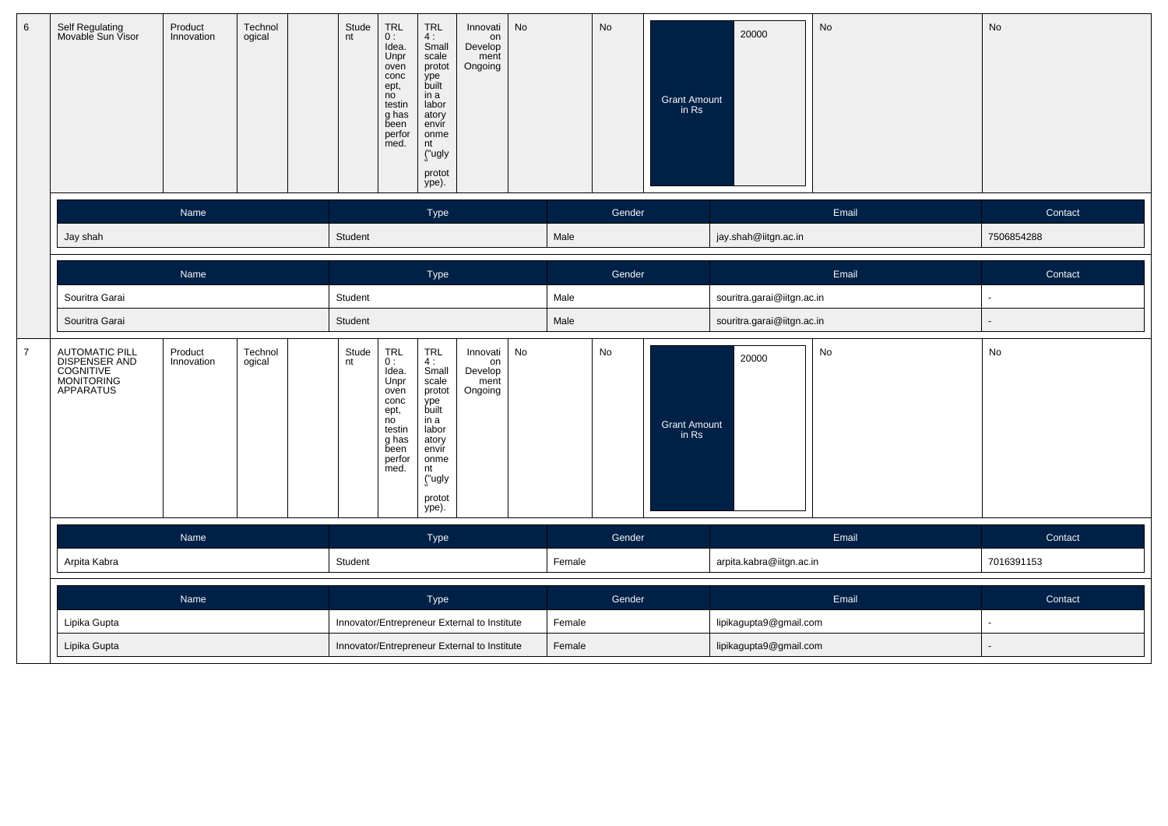| 6              | Self Regulating<br>Movable Sun Visor                                    | Product<br>Technol<br>ogical<br>Innovation | Stude<br><b>TRL</b><br><b>TRL</b><br>Innovati<br>nt<br>0:<br>$4:$<br>Small<br>on<br>Idea.<br>Develop<br>Unpr<br>scale<br>ment<br>Ongoing<br>oven<br>protot<br>ype<br>built<br>conc<br>ept,<br>no<br>in a<br>labor<br>testin<br>g has<br>atory<br>been<br>envir<br>perfor<br>onme<br>med.<br>nt<br>("ugly<br>protot<br>ype). | No<br>No<br>Grant Amount<br>in Rs        | No<br>20000                | No             |
|----------------|-------------------------------------------------------------------------|--------------------------------------------|-----------------------------------------------------------------------------------------------------------------------------------------------------------------------------------------------------------------------------------------------------------------------------------------------------------------------------|------------------------------------------|----------------------------|----------------|
|                |                                                                         | Name                                       | Type                                                                                                                                                                                                                                                                                                                        | Gender                                   | Email                      | Contact        |
|                | Jay shah                                                                |                                            | Student                                                                                                                                                                                                                                                                                                                     | Male                                     | jay.shah@iitgn.ac.in       | 7506854288     |
|                |                                                                         | Name                                       | Type                                                                                                                                                                                                                                                                                                                        | Gender                                   | Email                      | Contact        |
|                | Souritra Garai                                                          |                                            | Student                                                                                                                                                                                                                                                                                                                     | Male                                     | souritra.garai@iitgn.ac.in | $\sim$         |
|                | Souritra Garai                                                          |                                            | Student                                                                                                                                                                                                                                                                                                                     | Male                                     | souritra.garai@iitgn.ac.in |                |
| $\overline{7}$ | AUTOMATIC PILL<br>DISPENSER AND<br>COGNITIVE<br>MONITORING<br>APPARATUS | Technol<br>Product<br>Innovation<br>ogical | TRL<br>Stude<br>nt<br><b>TRL</b><br>Innovati<br>$0:$<br>Idea<br>4:<br>on<br>Small<br>Develop<br>Unpr<br>scale<br>ment<br>protot<br>Ongoing<br>oven<br>ype<br>conc<br>ept,<br>no<br>built<br>in a<br>testin<br>labor<br>g has<br>atory<br>been<br>envir<br>onme<br>perfor<br>med.<br>nt<br>("ugly<br>protot<br>ype).         | No<br>No<br><b>Grant Amount</b><br>in Rs | No<br>20000                | No             |
|                |                                                                         | Name                                       | Type                                                                                                                                                                                                                                                                                                                        | Gender                                   | Email                      | Contact        |
|                | Arpita Kabra                                                            |                                            | Student                                                                                                                                                                                                                                                                                                                     | Female                                   | arpita.kabra@iitgn.ac.in   | 7016391153     |
|                |                                                                         | Name                                       | Type                                                                                                                                                                                                                                                                                                                        | Gender                                   | Email                      | Contact        |
|                | Lipika Gupta                                                            |                                            | Innovator/Entrepreneur External to Institute                                                                                                                                                                                                                                                                                | Female                                   | lipikagupta9@gmail.com     | $\blacksquare$ |
|                | Lipika Gupta                                                            |                                            | Innovator/Entrepreneur External to Institute                                                                                                                                                                                                                                                                                | Female                                   | lipikagupta9@gmail.com     |                |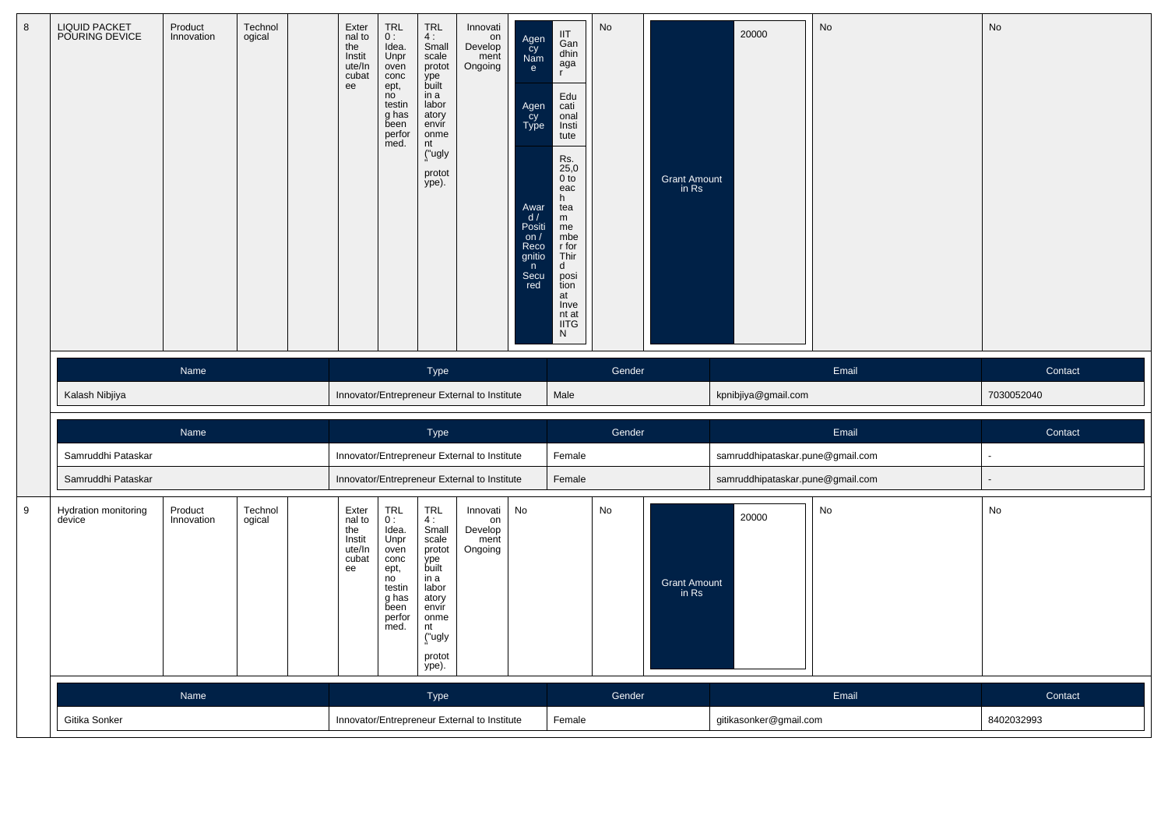| 8 | <b>LIQUID PACKET</b><br>POURING DEVICE | Product<br>Innovation | Technol<br>ogical | Exter<br>nal to<br>the<br>Instit<br>ute/In<br>cubat<br>ee | <b>TRL</b><br>0:<br>Idea.<br>Unpr<br>oven<br>conc<br>ept,<br>no<br>testin<br>g has<br>been<br>perfor<br>med. | TRL<br>4 :<br>Small<br>scale<br>protot<br>ype<br>built<br>in a<br>labor<br>atory<br>envir<br>onme<br>nt<br>("ugly<br>protot<br>ype). | Innovati<br>on<br>Develop<br>ment<br>Ongoing | Agen<br>Cy<br>Nam<br>e<br>Agen<br>Cy<br>Type<br>Awar<br>d/<br>Positi<br>on /<br>Reco<br>gnitio<br>n<br>Secu<br>red | IIT<br>Gan<br>dhin<br>aga<br>$\mathbf{r}$<br>Edu<br>cati<br>onal<br>Insti<br>tute<br>Rs.<br>$^{25,0}_{0}$<br>eac<br>h.<br>tea<br>m<br>me<br>mbe<br>$r$ for<br>Thir<br>d<br>posi<br>tion<br>at<br>Inve<br>nt at<br><b>IITG</b><br>N | No     | Grant Amount<br>in Rs | 20000                            | No                           | No         |
|---|----------------------------------------|-----------------------|-------------------|-----------------------------------------------------------|--------------------------------------------------------------------------------------------------------------|--------------------------------------------------------------------------------------------------------------------------------------|----------------------------------------------|--------------------------------------------------------------------------------------------------------------------|------------------------------------------------------------------------------------------------------------------------------------------------------------------------------------------------------------------------------------|--------|-----------------------|----------------------------------|------------------------------|------------|
|   |                                        | Name                  |                   |                                                           |                                                                                                              | Type                                                                                                                                 |                                              |                                                                                                                    |                                                                                                                                                                                                                                    | Gender |                       |                                  | Email                        | Contact    |
|   | Kalash Nibjiya                         |                       |                   |                                                           |                                                                                                              |                                                                                                                                      | Innovator/Entrepreneur External to Institute |                                                                                                                    | Male                                                                                                                                                                                                                               |        |                       | kpnibjiya@gmail.com              |                              | 7030052040 |
|   |                                        | Name                  |                   |                                                           |                                                                                                              | <b>Type</b>                                                                                                                          |                                              |                                                                                                                    |                                                                                                                                                                                                                                    | Gender |                       |                                  | Email                        | Contact    |
|   | Samruddhi Pataskar                     |                       |                   |                                                           |                                                                                                              |                                                                                                                                      | Innovator/Entrepreneur External to Institute |                                                                                                                    | Female                                                                                                                                                                                                                             |        |                       | samruddhipataskar.pune@gmail.com |                              | $\sim$     |
|   | Samruddhi Pataskar                     |                       |                   |                                                           |                                                                                                              |                                                                                                                                      | Innovator/Entrepreneur External to Institute |                                                                                                                    | Female                                                                                                                                                                                                                             |        |                       | samruddhipataskar.pune@gmail.com |                              |            |
| 9 | Hydration monitoring<br>device         | Product<br>Innovation | Technol<br>ogical | Exter<br>nal to<br>the<br>Instit<br>ute/In<br>cubat<br>ee | <b>TRL</b><br>0:<br>Idea.<br>Unpr<br>oven<br>conc<br>ept,<br>no<br>testin<br>g has<br>been<br>perfor<br>med. | TRL<br>4:<br>Small<br>scale<br>protot<br>ype<br>built<br>in a<br>labor<br>atory<br>envir<br>onme<br>nt<br>("ugly<br>protot<br>ype).  | Innovati<br>on<br>Develop<br>ment<br>Ongoing | No                                                                                                                 |                                                                                                                                                                                                                                    | No     | Grant Amount<br>in Rs | 20000                            | $\operatorname{\mathsf{No}}$ | No         |
|   |                                        | Name                  |                   |                                                           |                                                                                                              | <b>Type</b>                                                                                                                          |                                              |                                                                                                                    |                                                                                                                                                                                                                                    | Gender |                       |                                  | Email                        | Contact    |
|   | Gitika Sonker                          |                       |                   |                                                           |                                                                                                              |                                                                                                                                      | Innovator/Entrepreneur External to Institute |                                                                                                                    | Female                                                                                                                                                                                                                             |        |                       | gitikasonker@gmail.com           |                              | 8402032993 |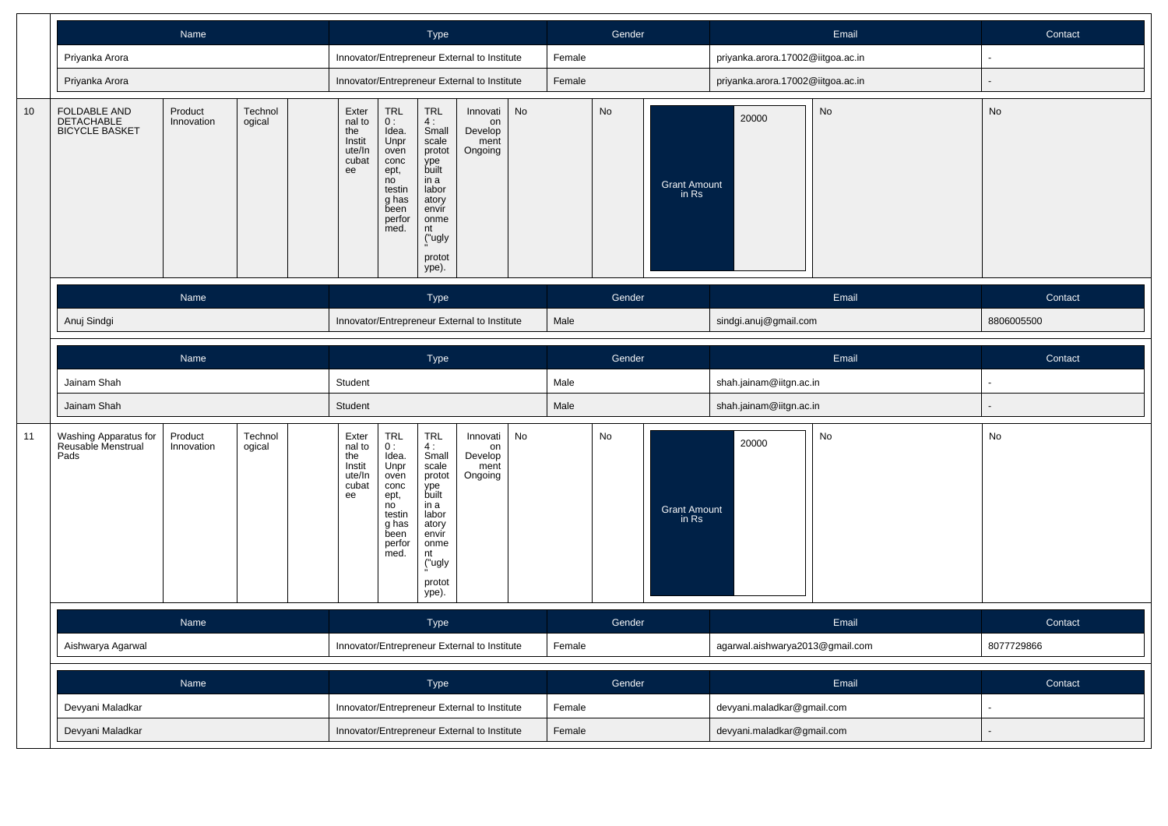|    | Name                                                                                                     | Type                                                                                                                                                                                                                                                                                                                                                                                    | Gender                             | Email                             | Contact        |
|----|----------------------------------------------------------------------------------------------------------|-----------------------------------------------------------------------------------------------------------------------------------------------------------------------------------------------------------------------------------------------------------------------------------------------------------------------------------------------------------------------------------------|------------------------------------|-----------------------------------|----------------|
|    | Priyanka Arora                                                                                           | Innovator/Entrepreneur External to Institute                                                                                                                                                                                                                                                                                                                                            | Female                             | priyanka.arora.17002@iitgoa.ac.in | $\sim$         |
|    | Priyanka Arora                                                                                           | Innovator/Entrepreneur External to Institute                                                                                                                                                                                                                                                                                                                                            | Female                             | priyanka.arora.17002@iitgoa.ac.in |                |
| 10 | FOLDABLE AND<br>Product<br>Technol<br><b>DETACHABLE</b><br>Innovation<br>ogical<br><b>BICYCLE BASKET</b> | Exter<br><b>TRL</b><br>TRL<br>No<br>Innovati<br>nal to<br>0:<br>4:<br>on<br>Develop<br>the<br>Idea.<br>Small<br>Instit<br>Unpr<br>scale<br>ment<br>ute/In<br>protot<br>Ongoing<br>oven<br>cubat<br>conc<br>ype<br>built<br>ept,<br>ee<br>no<br>in a<br>labor<br>testin<br>atory<br>g has<br>envir<br>been<br>perfor<br>onme<br>med.<br>nt<br>("ugly<br>protot<br>ype).                  | No<br><b>Grant Amount</b><br>in Rs | No<br>20000                       | No             |
|    | Name                                                                                                     | Type                                                                                                                                                                                                                                                                                                                                                                                    | Gender                             | Email                             | Contact        |
|    | Anuj Sindgi                                                                                              | Innovator/Entrepreneur External to Institute                                                                                                                                                                                                                                                                                                                                            | Male                               | sindgi.anuj@gmail.com             | 8806005500     |
|    | Name                                                                                                     | <b>Type</b>                                                                                                                                                                                                                                                                                                                                                                             | Gender                             | Email                             | Contact        |
|    | Jainam Shah                                                                                              | Student                                                                                                                                                                                                                                                                                                                                                                                 | Male                               | shah.jainam@iitgn.ac.in           |                |
|    | Jainam Shah                                                                                              | Student                                                                                                                                                                                                                                                                                                                                                                                 | Male                               | shah.jainam@iitgn.ac.in           |                |
| 11 | Product<br>Technol<br>Washing Apparatus for<br>Reusable Menstrual<br>ogical<br>Innovation<br>Pads        | TRL<br>$\ensuremath{\mathsf{TRL}}$<br>No<br>Exter<br>Innovati<br>nal to<br>0:<br>4:<br>on<br>Develop<br>the<br>Idea.<br>Small<br>Unpr<br>Instit<br>scale<br>ment<br>ute/In<br>oven<br>protot<br>Ongoing<br>cubat<br>conc<br>ype<br>built<br>ee<br>ept,<br>in a<br>no<br>labor<br>testin<br>g has<br>atory<br>envír<br>been<br>perfor<br>onme<br>med.<br>nt<br>("ugly<br>protot<br>ype). | No<br><b>Grant Amount</b><br>in Rs | No<br>20000                       | No             |
|    | Name                                                                                                     | <b>Type</b>                                                                                                                                                                                                                                                                                                                                                                             | Gender                             | Email                             | Contact        |
|    | Aishwarya Agarwal                                                                                        | Innovator/Entrepreneur External to Institute                                                                                                                                                                                                                                                                                                                                            | Female                             | agarwal.aishwarya2013@gmail.com   | 8077729866     |
|    | Name                                                                                                     | Type                                                                                                                                                                                                                                                                                                                                                                                    | Gender                             | Email                             | Contact        |
|    | Devyani Maladkar                                                                                         | Innovator/Entrepreneur External to Institute                                                                                                                                                                                                                                                                                                                                            | Female                             | devyani.maladkar@gmail.com        |                |
|    | Devyani Maladkar                                                                                         | Innovator/Entrepreneur External to Institute                                                                                                                                                                                                                                                                                                                                            | Female                             | devyani.maladkar@gmail.com        | $\blacksquare$ |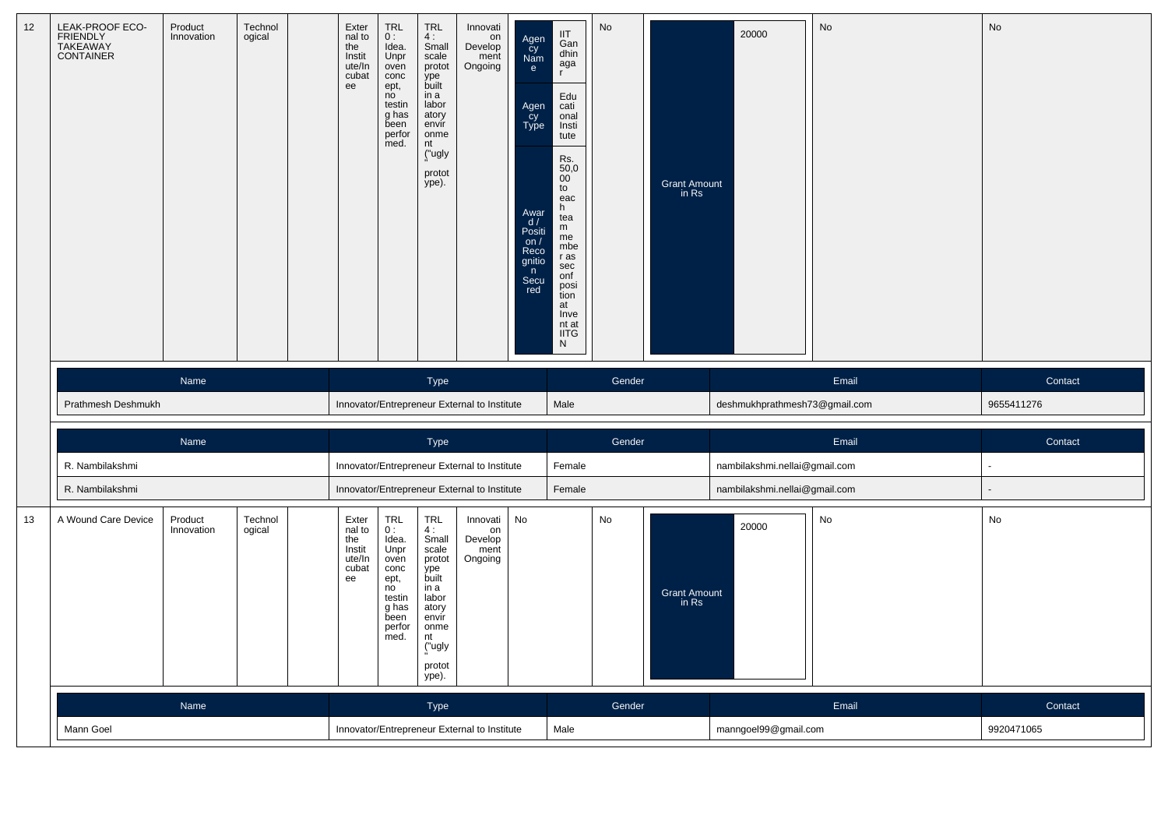| 12 | LEAK-PROOF ECO-<br>FRIENDLY<br>TAKEAWAY<br>CONTAINER | Product<br>Innovation | Technol<br>ogical                            | Exter<br>nal to<br>the<br>Instit<br>ute/In<br>cubat<br>ee | TRL<br>0:<br>Idea.<br>Unpr<br>oven<br>conc<br>ept,<br>no<br>testin<br>g has<br>been<br>perfor<br>med. | <b>TRL</b><br>4:<br>Small<br>scale<br>protot<br>ype<br>built<br>in a<br>labor<br>atory<br>envir<br>onme<br>nt<br>("ugly<br>protot<br>ype). | Innovati<br>on<br>Develop<br>ment<br>Ongoing | Agen<br>cy<br>Nam<br>e<br>Agen<br>Cy<br>Type<br>Awar<br>$\frac{d}{d}$<br>Positi<br>on $/$<br>Reco<br>gnitio<br>n<br>Secu<br>red | IIT<br>Gan<br>dhin<br>aga<br>$\mathsf{r}$<br>Edu<br>cati<br>onal<br>Insti<br>tute<br>Rs.<br>$\frac{50,0}{00}$<br>${\sf to}$<br>eac<br>h<br>tea<br>m<br>me<br>mbe<br>r as<br>sec<br>onf<br>posi<br>tion<br>at<br>Inve<br>nt at<br><b>IITG</b><br>N | No     | <b>Grant Amount</b><br>in Rs | 20000                         | No         | No         |
|----|------------------------------------------------------|-----------------------|----------------------------------------------|-----------------------------------------------------------|-------------------------------------------------------------------------------------------------------|--------------------------------------------------------------------------------------------------------------------------------------------|----------------------------------------------|---------------------------------------------------------------------------------------------------------------------------------|---------------------------------------------------------------------------------------------------------------------------------------------------------------------------------------------------------------------------------------------------|--------|------------------------------|-------------------------------|------------|------------|
|    |                                                      | Name                  |                                              |                                                           |                                                                                                       | Type                                                                                                                                       |                                              |                                                                                                                                 |                                                                                                                                                                                                                                                   | Gender |                              |                               | Email      | Contact    |
|    | Prathmesh Deshmukh                                   |                       |                                              |                                                           |                                                                                                       |                                                                                                                                            | Innovator/Entrepreneur External to Institute |                                                                                                                                 | Male                                                                                                                                                                                                                                              |        |                              | deshmukhprathmesh73@gmail.com |            | 9655411276 |
|    |                                                      | Name                  |                                              |                                                           |                                                                                                       | Type                                                                                                                                       |                                              |                                                                                                                                 |                                                                                                                                                                                                                                                   | Gender |                              |                               | Email      | Contact    |
|    | R. Nambilakshmi                                      |                       |                                              |                                                           |                                                                                                       |                                                                                                                                            | Innovator/Entrepreneur External to Institute |                                                                                                                                 | Female                                                                                                                                                                                                                                            |        |                              | nambilakshmi.nellai@gmail.com |            |            |
|    | R. Nambilakshmi                                      |                       |                                              |                                                           |                                                                                                       |                                                                                                                                            | Innovator/Entrepreneur External to Institute |                                                                                                                                 | Female                                                                                                                                                                                                                                            |        |                              | nambilakshmi.nellai@gmail.com |            |            |
| 13 | A Wound Care Device                                  | Product<br>Innovation | Technol<br>ogical                            | Exter<br>nal to<br>the<br>Instit<br>ute/In<br>cubat<br>ee | TRL<br>0:<br>Idea.<br>Unpr<br>oven<br>conc<br>ept,<br>no<br>testin<br>g has<br>been<br>perfor<br>med. | <b>TRL</b><br>4:<br>Small<br>scale<br>protot<br>ype<br>built<br>in a<br>labor<br>atory<br>envir<br>onme<br>nt<br>("ugly<br>protot<br>ype). | Innovati<br>on<br>Develop<br>ment<br>Ongoing | No                                                                                                                              |                                                                                                                                                                                                                                                   | No     | Grant Amount<br>in Rs        | 20000                         | No         | No         |
|    |                                                      | Name                  |                                              |                                                           |                                                                                                       | Type                                                                                                                                       |                                              |                                                                                                                                 |                                                                                                                                                                                                                                                   | Gender |                              |                               | Email      | Contact    |
|    | Mann Goel                                            |                       | Innovator/Entrepreneur External to Institute |                                                           |                                                                                                       |                                                                                                                                            |                                              | Male                                                                                                                            |                                                                                                                                                                                                                                                   |        | manngoel99@gmail.com         |                               | 9920471065 |            |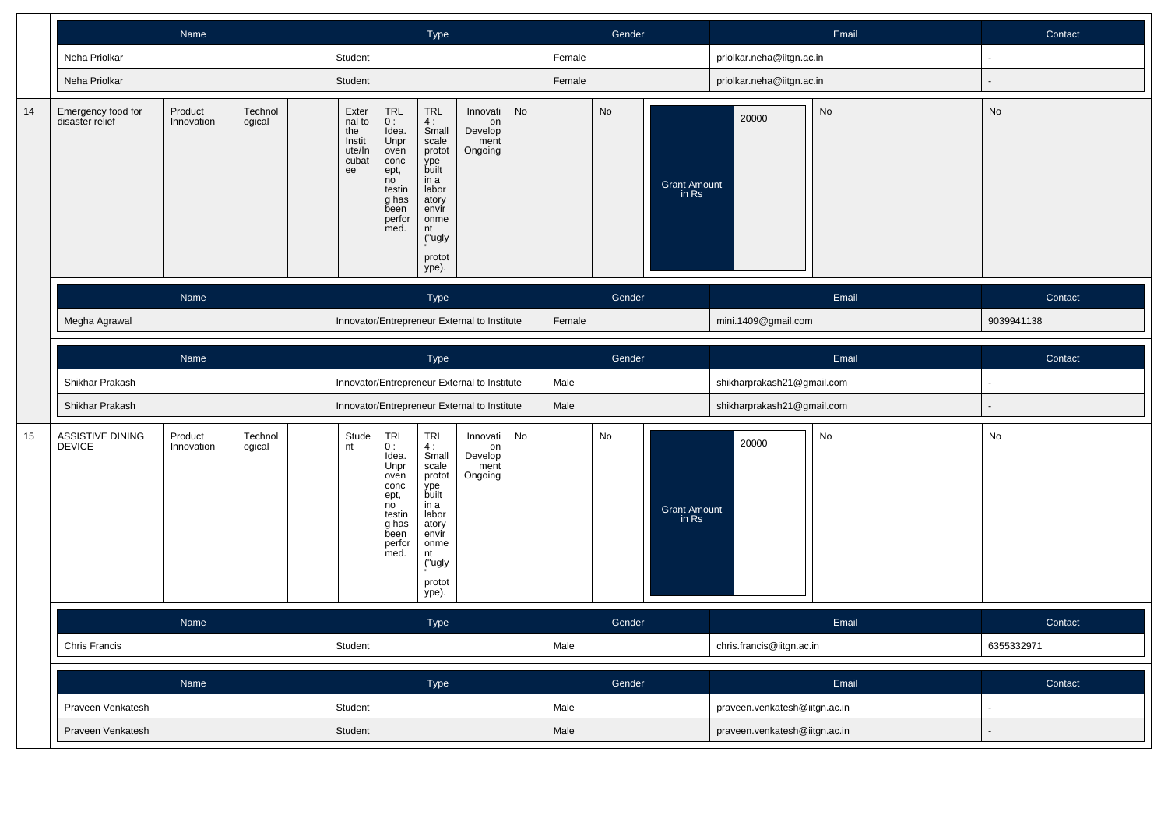|    |                                       | Name                                                                |                   |                                              |                                                                                                              | <b>Type</b>                                                                                                                                |                                              |      | Gender<br>Female |        |                               |                            | Email                        | Contact    |
|----|---------------------------------------|---------------------------------------------------------------------|-------------------|----------------------------------------------|--------------------------------------------------------------------------------------------------------------|--------------------------------------------------------------------------------------------------------------------------------------------|----------------------------------------------|------|------------------|--------|-------------------------------|----------------------------|------------------------------|------------|
|    | Neha Priolkar                         |                                                                     |                   | Student                                      |                                                                                                              |                                                                                                                                            |                                              |      |                  |        |                               | priolkar.neha@iitgn.ac.in  |                              | ÷,         |
|    | Neha Priolkar                         |                                                                     |                   | Student                                      |                                                                                                              |                                                                                                                                            |                                              |      | Female           |        |                               | priolkar.neha@iitgn.ac.in  |                              |            |
| 14 | Emergency food for<br>disaster relief | Product<br>Technol<br>Innovation<br>ogical<br>Name<br>Megha Agrawal |                   |                                              | <b>TRL</b><br>0:<br>Idea.<br>Unpr<br>oven<br>conc<br>ept,<br>no<br>testin<br>g has<br>been<br>perfor<br>med. | <b>TRL</b><br>4:<br>Small<br>scale<br>protot<br>ype<br>built<br>in a<br>labor<br>atory<br>envir<br>onme<br>nt<br>("ugly<br>protot<br>ype). | Innovati<br>on<br>Develop<br>ment<br>Ongoing | No   |                  | No     | <b>Grant Amount</b><br>in Rs  | 20000                      | $\operatorname{\mathsf{No}}$ | No         |
|    |                                       |                                                                     |                   |                                              |                                                                                                              | Type                                                                                                                                       |                                              |      |                  | Gender |                               | Email                      |                              | Contact    |
|    |                                       |                                                                     |                   |                                              |                                                                                                              |                                                                                                                                            | Innovator/Entrepreneur External to Institute |      | Female           |        |                               | mini.1409@gmail.com        |                              | 9039941138 |
|    | Name                                  |                                                                     |                   | Type                                         |                                                                                                              |                                                                                                                                            |                                              |      | Gender           |        |                               | Email                      |                              | Contact    |
|    | Shikhar Prakash                       |                                                                     |                   | Innovator/Entrepreneur External to Institute |                                                                                                              |                                                                                                                                            |                                              |      | Male             |        |                               | shikharprakash21@gmail.com |                              |            |
|    | Shikhar Prakash                       |                                                                     |                   |                                              |                                                                                                              |                                                                                                                                            | Innovator/Entrepreneur External to Institute |      | Male             |        |                               | shikharprakash21@gmail.com |                              |            |
| 15 | ASSISTIVE DINING<br>DEVICE            | Product<br>Innovation                                               | Technol<br>ogical | Stude<br>nt                                  | $TRL$<br>$0:$<br>Idea.<br>Unpr<br>oven<br>conc<br>ept,<br>no<br>testin<br>g has<br>been<br>perfor<br>med.    | TRL<br>4:<br>Small<br>scale<br>protot<br>ype<br>built<br>in a<br>labor<br>atory<br>envír<br>onme<br>nt<br>("ugly<br>protot<br>ype).        | Innovati<br>on<br>Develop<br>ment<br>Ongoing | No   |                  | No     | Grant Amount<br>in Rs         | 20000                      | No                           | No         |
|    | Name                                  |                                                                     |                   |                                              |                                                                                                              | <b>Type</b>                                                                                                                                |                                              |      |                  | Gender |                               |                            | Email                        | Contact    |
|    | Chris Francis                         |                                                                     |                   | Student                                      |                                                                                                              |                                                                                                                                            |                                              | Male |                  |        | chris.francis@iitgn.ac.in     |                            | 6355332971                   |            |
|    |                                       | Name                                                                |                   |                                              |                                                                                                              | Type                                                                                                                                       |                                              |      |                  | Gender |                               |                            | Email                        | Contact    |
|    | Praveen Venkatesh                     |                                                                     |                   | Student                                      |                                                                                                              |                                                                                                                                            |                                              | Male |                  |        | praveen.venkatesh@iitgn.ac.in |                            | $\sim$                       |            |
|    | Praveen Venkatesh                     |                                                                     | Student           |                                              |                                                                                                              |                                                                                                                                            |                                              | Male |                  |        | praveen.venkatesh@iitgn.ac.in |                            |                              |            |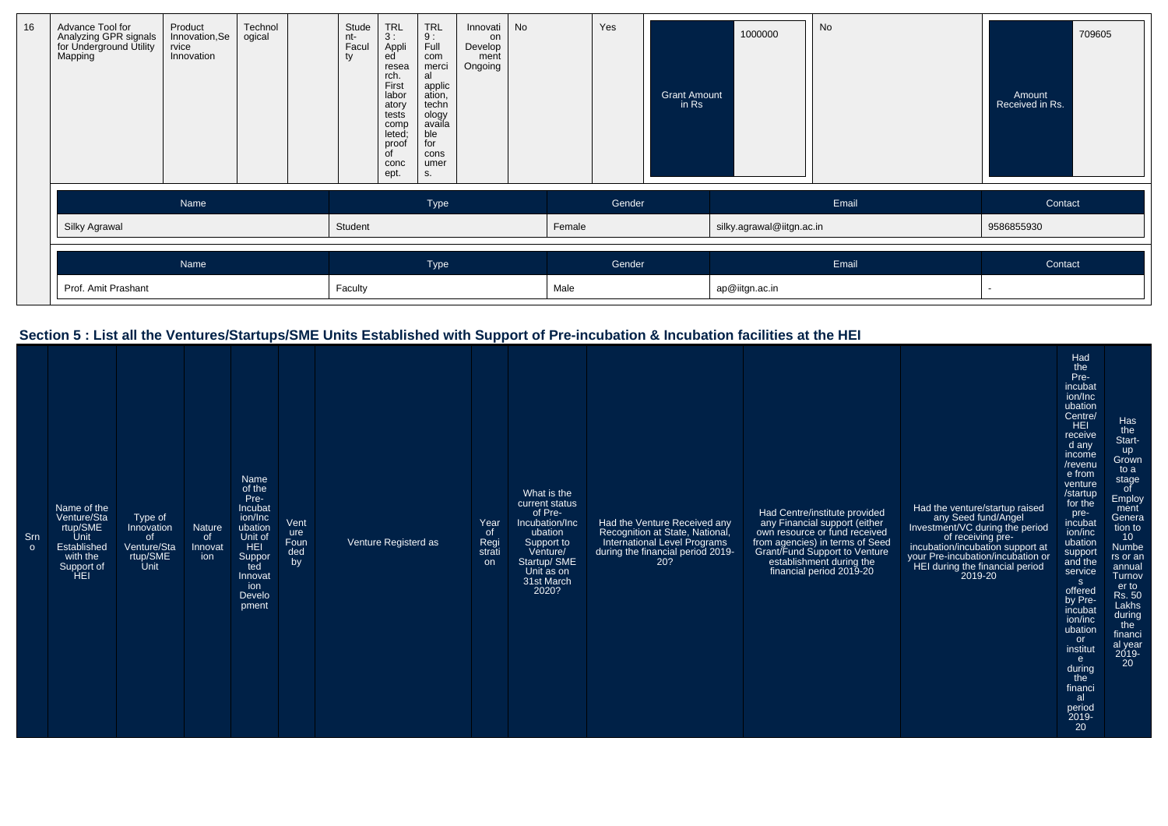| 16 | Advance Tool for<br>Analyzing GPR signals<br>for Underground Utility<br>Mapping | Product<br>Innovation, Se<br>rvice<br>Innovation | Technol<br>ogical | Stude<br>nt-<br>Facul<br>ty | <b>TRL</b><br>3:<br>Appli<br>ed<br>resea<br>rch.<br>First<br>labor<br>atory<br>tests<br>comp<br>leted;<br>proof<br>$\overline{C}$<br>conc<br>ept. | <b>TRL</b><br>9:<br>Full<br>com<br>merci<br>al<br>applic<br>ation,<br>techn<br>ology<br>availa<br>ble<br>for<br>cons<br>umer<br>S. | Innovati<br>on<br>Develop<br>ment<br>Ongoing | No |        | Yes    | <b>Grant Amount</b><br>in Rs | 1000000                   | No    | Amount<br>Received in Rs. | 709605 |
|----|---------------------------------------------------------------------------------|--------------------------------------------------|-------------------|-----------------------------|---------------------------------------------------------------------------------------------------------------------------------------------------|------------------------------------------------------------------------------------------------------------------------------------|----------------------------------------------|----|--------|--------|------------------------------|---------------------------|-------|---------------------------|--------|
|    |                                                                                 | Name                                             |                   |                             |                                                                                                                                                   | Type                                                                                                                               |                                              |    |        | Gender |                              |                           | Email | Contact                   |        |
|    | Silky Agrawal                                                                   |                                                  |                   | Student                     |                                                                                                                                                   |                                                                                                                                    |                                              |    | Female |        |                              | silky.agrawal@iitgn.ac.in |       | 9586855930                |        |
|    |                                                                                 | Name                                             |                   |                             |                                                                                                                                                   | Type                                                                                                                               |                                              |    |        | Gender |                              |                           | Email | Contact                   |        |
|    | Prof. Amit Prashant                                                             |                                                  |                   | Faculty                     |                                                                                                                                                   |                                                                                                                                    |                                              |    | Male   |        |                              | ap@iitgn.ac.in            |       |                           |        |

#### **Section 5 : List all the Ventures/Startups/SME Units Established with Support of Pre-incubation & Incubation facilities at the HEI**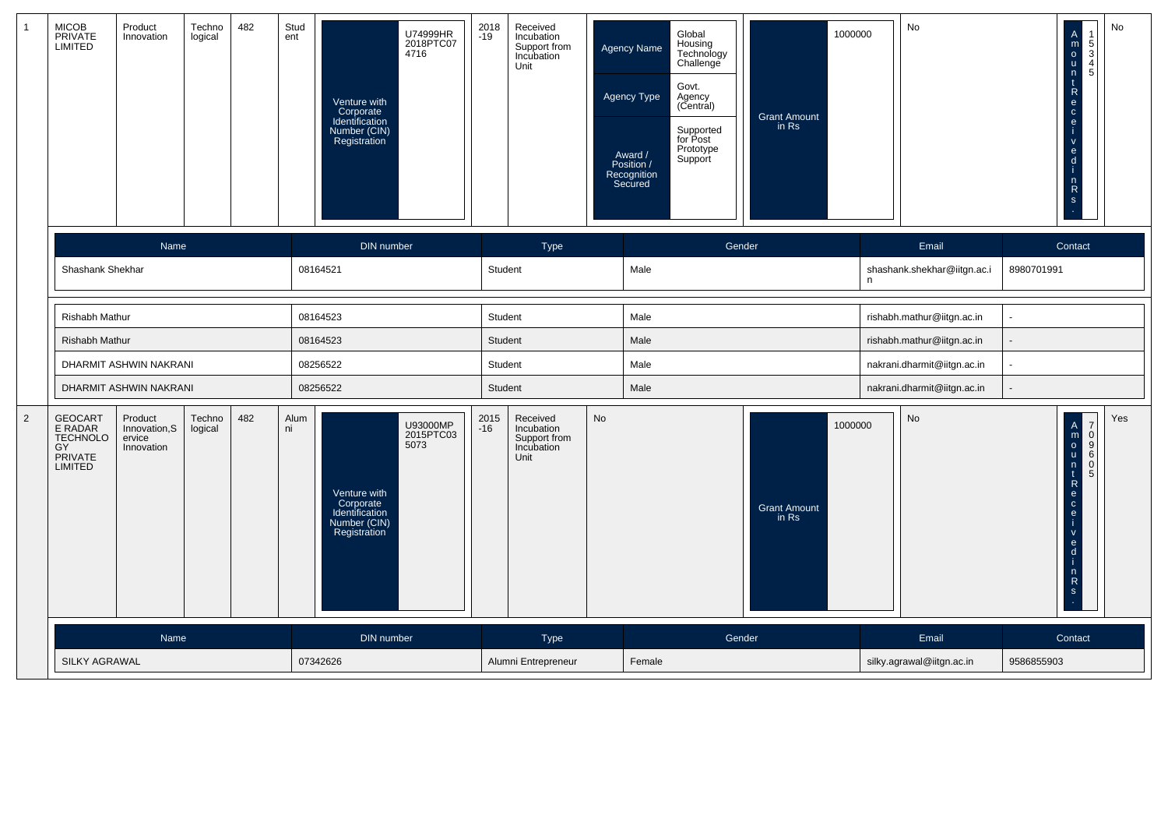| $\mathbf{1}$   | MICOB<br>PRIVATE<br>LIMITED                                                     | Product<br>Innovation                            | Techno<br>logical | 482 | Stud<br>ent | Venture with<br>Corporate<br>Identification<br>Number (CIN)<br>Registration | U74999HR<br>2018PTC07<br>4716 | 2018<br>$-19$ | Received<br>Incubation<br>Support from<br>Incubation<br>Unit |           | Global<br>Housing<br>Technology<br><b>Agency Name</b><br>Challenge<br>Govt.<br>Agency Type<br>Agency<br>(Central)<br>Supported<br>for Post<br>Prototype<br>Award /<br>Position /<br>Support<br>Recognition<br>Secured |        | 1000000<br><b>Grant Amount</b><br>in Rs |   | No                          |            | $\overline{A}$<br>mountRecei<br>$\frac{5}{3}$<br>4<br>5<br>$\mathsf{V}$<br>$\frac{e}{1}$<br>$n \nR$<br>s              | No  |
|----------------|---------------------------------------------------------------------------------|--------------------------------------------------|-------------------|-----|-------------|-----------------------------------------------------------------------------|-------------------------------|---------------|--------------------------------------------------------------|-----------|-----------------------------------------------------------------------------------------------------------------------------------------------------------------------------------------------------------------------|--------|-----------------------------------------|---|-----------------------------|------------|-----------------------------------------------------------------------------------------------------------------------|-----|
|                |                                                                                 | Name                                             |                   |     |             | <b>DIN</b> number                                                           |                               |               | Type                                                         |           |                                                                                                                                                                                                                       | Gender |                                         |   | Email                       |            | Contact                                                                                                               |     |
|                | Shashank Shekhar                                                                |                                                  |                   |     |             | 08164521                                                                    |                               | Student       |                                                              |           | Male                                                                                                                                                                                                                  |        |                                         | n | shashank.shekhar@iitgn.ac.i | 8980701991 |                                                                                                                       |     |
|                | <b>Rishabh Mathur</b>                                                           |                                                  |                   |     |             | 08164523                                                                    |                               | Student       |                                                              |           | Male                                                                                                                                                                                                                  |        |                                         |   | rishabh.mathur@iitgn.ac.in  |            |                                                                                                                       |     |
|                | Rishabh Mathur                                                                  |                                                  |                   |     |             | 08164523                                                                    |                               | Student       |                                                              |           | Male                                                                                                                                                                                                                  |        |                                         |   | rishabh.mathur@iitgn.ac.in  |            |                                                                                                                       |     |
|                |                                                                                 | DHARMIT ASHWIN NAKRANI                           |                   |     |             | 08256522                                                                    |                               | Student       |                                                              |           | Male                                                                                                                                                                                                                  |        |                                         |   | nakrani.dharmit@iitgn.ac.in | ÷.         |                                                                                                                       |     |
|                |                                                                                 | DHARMIT ASHWIN NAKRANI                           |                   |     |             | 08256522                                                                    |                               | Student       |                                                              |           | Male                                                                                                                                                                                                                  |        |                                         |   | nakrani.dharmit@iitgn.ac.in |            |                                                                                                                       |     |
| $\overline{2}$ | <b>GEOCART</b><br>E RADAR<br><b>TECHNOLO</b><br>GY<br>PRIVATE<br><b>LIMITED</b> | Product<br>Innovation, S<br>ervice<br>Innovation | Techno<br>logical | 482 | Alum<br>ni  | Venture with<br>Corporate<br>Identification<br>Number (CIN)<br>Registration | U93000MP<br>2015PTC03<br>5073 | 2015<br>$-16$ | Received<br>Incubation<br>Support from<br>Incubation<br>Unit | <b>No</b> |                                                                                                                                                                                                                       |        | 1000000<br><b>Grant Amount</b><br>in Rs |   | <b>No</b>                   |            | $\begin{bmatrix} 7 \\ 0 \\ 9 \\ 6 \end{bmatrix}$<br>$\mathbf 0$<br>5<br>$\mathsf{V}$<br>$\frac{e}{d}$<br>$n \nR$<br>s | Yes |
|                |                                                                                 | Name                                             |                   |     |             | <b>DIN</b> number                                                           |                               |               | <b>Type</b>                                                  |           |                                                                                                                                                                                                                       | Gender |                                         |   | Email                       |            | Contact                                                                                                               |     |
|                | SILKY AGRAWAL                                                                   |                                                  |                   |     |             | 07342626                                                                    |                               |               | Alumni Entrepreneur                                          |           | Female                                                                                                                                                                                                                |        |                                         |   | silky.agrawal@iitgn.ac.in   | 9586855903 |                                                                                                                       |     |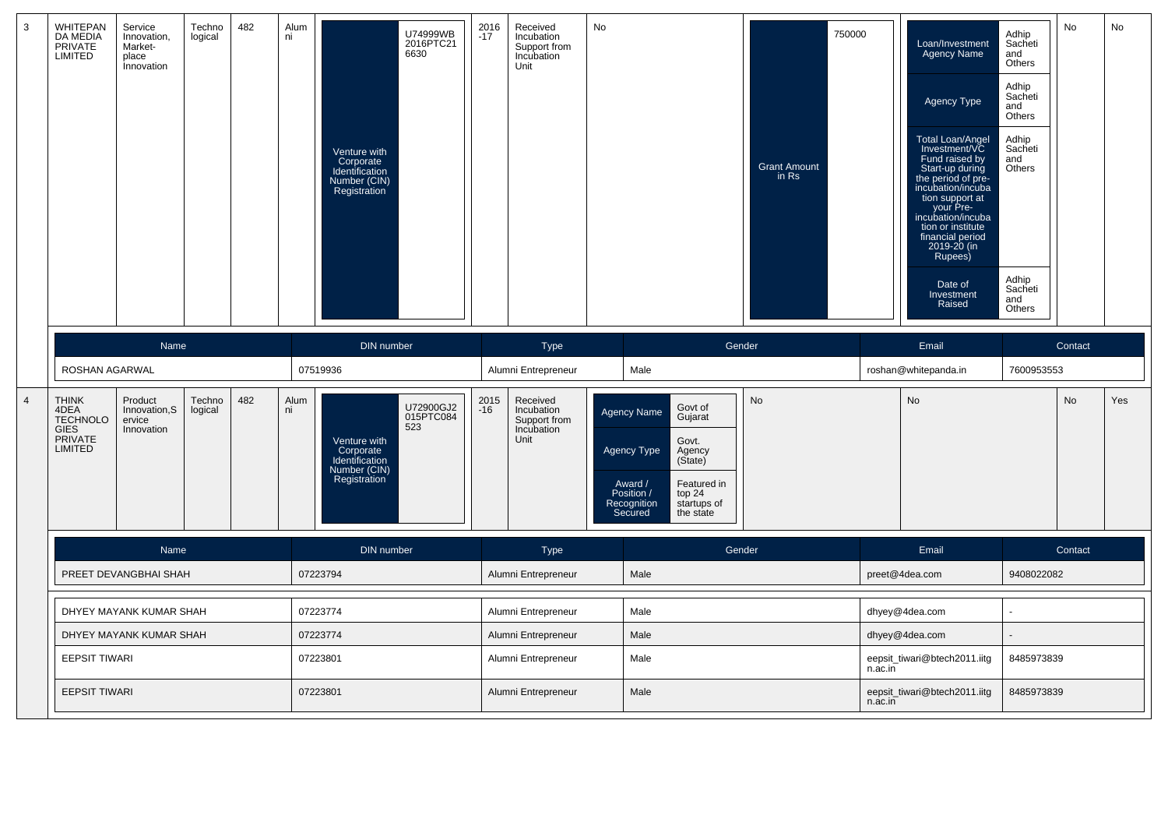| 3              | WHITEPAN<br>WITTEFAN<br>DA MEDIA<br>PRIVATE<br>LIMITED                              | Service<br>Innovation,<br>Market-<br>place<br>Innovation | Techno<br>logical | 482 | Alum<br>ni | Venture with<br>Corporate<br>Identification<br>Number (CIN)<br>Registration | U74999WB<br>2016PTC21<br>6630 | 2016<br>-17   | Received<br>Incubation<br>Support from<br>Incubation<br>Unit | No |                                                                                                                                                                                                      |        | <b>Grant Amount</b><br>in Rs | 750000 |         | Loan/Investment<br>Agency Name<br>Agency Type<br>Total Loan/Angel<br>Investment/VC<br>Fund raised by<br>Start-up during<br>the period of pre-<br>incubation/incuba<br>tion support at<br>your Pre-<br>incubation/incuba<br>tion or institute<br>financial period<br>$2019 - 20$ (in<br>Rupees)<br>Date of<br>Investment<br>Raised | Adhip<br>Sacheti<br>and<br>Others<br>Adhip<br>Sacheti<br>and<br>Others<br>Adhip<br>Sacheti<br>and<br>Others<br>Adhip<br>Sacheti<br>and<br>Others | <b>No</b> | No  |
|----------------|-------------------------------------------------------------------------------------|----------------------------------------------------------|-------------------|-----|------------|-----------------------------------------------------------------------------|-------------------------------|---------------|--------------------------------------------------------------|----|------------------------------------------------------------------------------------------------------------------------------------------------------------------------------------------------------|--------|------------------------------|--------|---------|-----------------------------------------------------------------------------------------------------------------------------------------------------------------------------------------------------------------------------------------------------------------------------------------------------------------------------------|--------------------------------------------------------------------------------------------------------------------------------------------------|-----------|-----|
|                |                                                                                     | Name                                                     |                   |     |            | DIN number                                                                  |                               |               | Type                                                         |    |                                                                                                                                                                                                      | Gender |                              |        |         | Email                                                                                                                                                                                                                                                                                                                             |                                                                                                                                                  | Contact   |     |
|                | ROSHAN AGARWAL                                                                      |                                                          |                   |     |            | 07519936                                                                    |                               |               | Alumni Entrepreneur                                          |    | Male                                                                                                                                                                                                 |        |                              |        |         | roshan@whitepanda.in                                                                                                                                                                                                                                                                                                              | 7600953553                                                                                                                                       |           |     |
| $\overline{4}$ | <b>THINK</b><br>4DEA<br><b>TECHNOLO</b><br><b>GIES</b><br>PRIVATE<br><b>LIMITED</b> | Product<br>Innovation, S<br>ervice<br>Innovation         | Techno<br>logical | 482 | Alum<br>ni | Venture with<br>Corporate<br>Identification<br>Number (CIN)<br>Registration | U72900GJ2<br>015PTC084<br>523 | 2015<br>$-16$ | Received<br>Incubation<br>Support from<br>Incubation<br>Unit |    | Govt of<br><b>Agency Name</b><br>Gujarat<br>Govt.<br><b>Agency Type</b><br>Agency<br>(State)<br>Featured in<br>Award /<br>Position /<br>top 24<br>Recognition<br>startups of<br>Secured<br>the state |        | <b>No</b>                    |        |         | No                                                                                                                                                                                                                                                                                                                                |                                                                                                                                                  | No        | Yes |
|                |                                                                                     | Name                                                     |                   |     |            | <b>DIN</b> number                                                           |                               |               | Type                                                         |    |                                                                                                                                                                                                      | Gender |                              |        |         | Email                                                                                                                                                                                                                                                                                                                             |                                                                                                                                                  | Contact   |     |
|                |                                                                                     | PREET DEVANGBHAI SHAH                                    |                   |     |            | 07223794                                                                    |                               |               | Alumni Entrepreneur                                          |    | Male                                                                                                                                                                                                 |        |                              |        |         | preet@4dea.com                                                                                                                                                                                                                                                                                                                    | 9408022082                                                                                                                                       |           |     |
|                |                                                                                     | DHYEY MAYANK KUMAR SHAH                                  |                   |     |            | 07223774                                                                    |                               |               | Alumni Entrepreneur                                          |    | Male                                                                                                                                                                                                 |        |                              |        |         | dhyey@4dea.com                                                                                                                                                                                                                                                                                                                    |                                                                                                                                                  |           |     |
|                |                                                                                     | DHYEY MAYANK KUMAR SHAH                                  |                   |     |            | 07223774                                                                    |                               |               | Alumni Entrepreneur                                          |    | Male                                                                                                                                                                                                 |        |                              |        |         | dhyey@4dea.com                                                                                                                                                                                                                                                                                                                    |                                                                                                                                                  |           |     |
|                | <b>EEPSIT TIWARI</b>                                                                |                                                          |                   |     |            | 07223801                                                                    |                               |               | Alumni Entrepreneur                                          |    | Male                                                                                                                                                                                                 |        |                              |        | n.ac.in | eepsit_tiwari@btech2011.iitg                                                                                                                                                                                                                                                                                                      | 8485973839                                                                                                                                       |           |     |
|                | <b>EEPSIT TIWARI</b>                                                                |                                                          |                   |     |            | 07223801                                                                    |                               |               | Alumni Entrepreneur                                          |    | Male                                                                                                                                                                                                 |        |                              |        | n.ac.in | eepsit_tiwari@btech2011.iitg                                                                                                                                                                                                                                                                                                      | 8485973839                                                                                                                                       |           |     |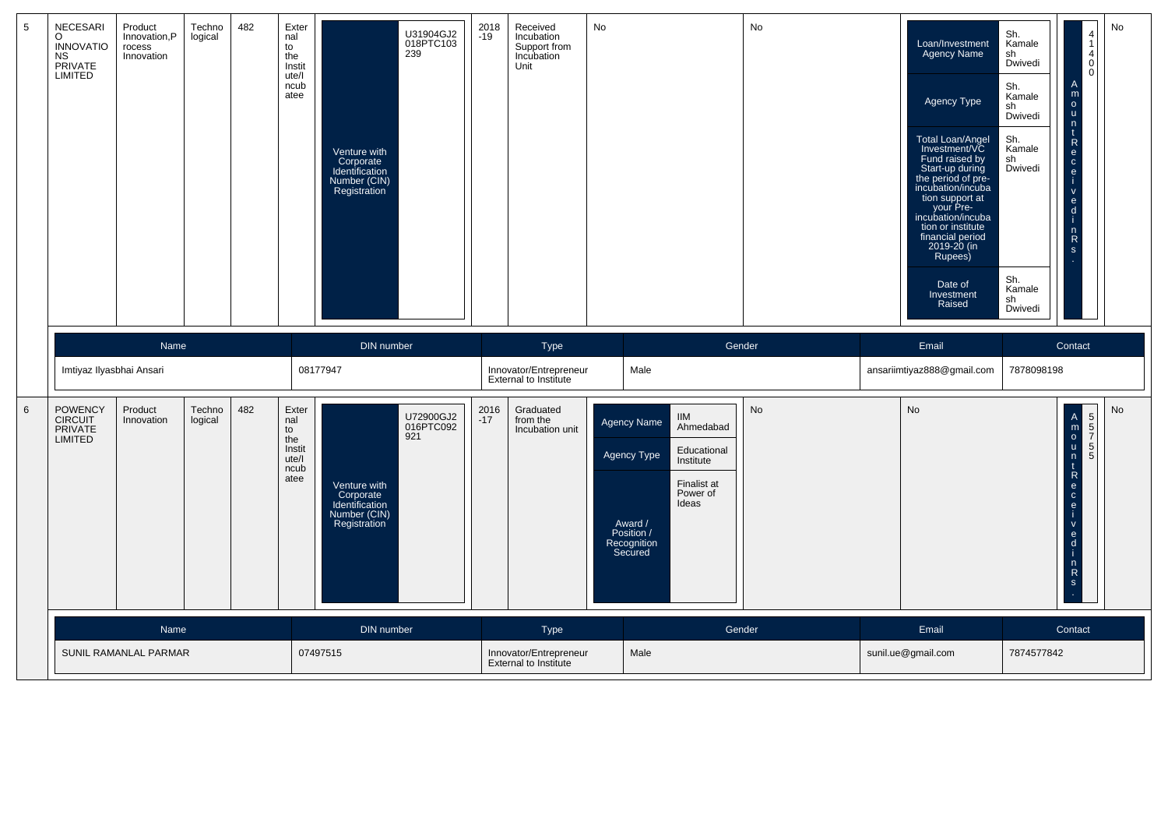| 5              | <b>NECESARI</b><br>$\circ$<br><b>INNOVATIO</b><br><b>NS</b><br>PRIVATE<br>LIMITED | Product<br>Innovation, P<br>rocess<br>Innovation | Techno<br>logical | 482 | Exter<br>nal<br>to<br>the<br>Instit<br>ute/l<br>ncub<br>atee | Venture with<br>Corporate<br>Identification<br>Number (CIN)<br>Registration | U31904GJ2<br>018PTC103<br>239 | 2018<br>$-19$ | Received<br>Incubation<br>Support from<br>Incubation<br>Unit | No                                                                            |                                                                                         | No        | Loan/Investment<br><b>Agency Name</b><br>Agency Type<br>Total Loan/Angel<br>Investment/VC<br>Fund raised by<br>Start-up during<br>the period of pre-<br>incubation/incuba<br>tion support at<br>your Pre-<br>incubation/incuba<br>tion or institute<br>financial period<br>2019-20 (in<br>Rupees)<br>Date of<br>Investment<br>Raised | Sh.<br>Kamale<br>sh<br>Dwivedi<br>Sh.<br>Kamale<br>sh<br>Dwivedi<br>Sh.<br>Kamale<br>sh<br>Dwivedi<br>Sh.<br>Kamale<br>sh<br>Dwivedi | $\overline{4}$<br>$\overline{1}$<br>$\overline{4}$<br>$\mathbf 0$<br>$\Omega$<br>m<br>$\circ$<br><b>u</b><br>n<br>$\mathsf{R}$<br>$\mathbf{e}$<br>$\mathbf{C}$<br>$\mathbf{e}$<br>$\mathsf{v}$<br>$\mathbf{e}$<br>d<br>$n \nR$<br>$\mathbf{s}$ | No |
|----------------|-----------------------------------------------------------------------------------|--------------------------------------------------|-------------------|-----|--------------------------------------------------------------|-----------------------------------------------------------------------------|-------------------------------|---------------|--------------------------------------------------------------|-------------------------------------------------------------------------------|-----------------------------------------------------------------------------------------|-----------|--------------------------------------------------------------------------------------------------------------------------------------------------------------------------------------------------------------------------------------------------------------------------------------------------------------------------------------|--------------------------------------------------------------------------------------------------------------------------------------|------------------------------------------------------------------------------------------------------------------------------------------------------------------------------------------------------------------------------------------------|----|
|                |                                                                                   | Name                                             |                   |     |                                                              | DIN number                                                                  |                               |               | <b>Type</b>                                                  |                                                                               | Gender                                                                                  |           | Email                                                                                                                                                                                                                                                                                                                                |                                                                                                                                      | Contact                                                                                                                                                                                                                                        |    |
|                | Imtiyaz Ilyasbhai Ansari                                                          |                                                  |                   |     |                                                              | 08177947                                                                    |                               |               | Innovator/Entrepreneur<br>External to Institute              | Male                                                                          |                                                                                         |           | ansariimtiyaz888@gmail.com                                                                                                                                                                                                                                                                                                           | 7878098198                                                                                                                           |                                                                                                                                                                                                                                                |    |
| $6\phantom{1}$ | <b>POWENCY</b><br>CIRCUIT<br><b>PRIVATE</b><br><b>LIMITED</b>                     | Product<br>Innovation                            | Techno<br>logical | 482 | Exter<br>nal<br>to<br>the<br>Instit<br>ute/l<br>ncub<br>atee | Venture with<br>Corporate<br>Identification<br>Number (CIN)<br>Registration | U72900GJ2<br>016PTC092<br>921 | 2016<br>$-17$ | Graduated<br>from the<br>Incubation unit                     | Agency Name<br>Agency Type<br>Award /<br>Position /<br>Recognition<br>Secured | <b>IIM</b><br>Ahmedabad<br>Educational<br>Institute<br>Finalist at<br>Power of<br>Ideas | <b>No</b> | No                                                                                                                                                                                                                                                                                                                                   |                                                                                                                                      | $\begin{bmatrix} A \\ m \\ o \\ u \end{bmatrix}$<br>$\begin{bmatrix} 5 \\ 5 \end{bmatrix}$<br>5 <br>n<br>5<br>$\frac{t}{R}$<br>$\frac{e}{i}$<br>$\alpha$ or $\alpha$<br>$\frac{n}{s}$                                                          | No |
|                |                                                                                   | Name                                             |                   |     |                                                              | <b>DIN</b> number                                                           |                               |               | <b>Type</b>                                                  |                                                                               | Gender                                                                                  |           | Email                                                                                                                                                                                                                                                                                                                                |                                                                                                                                      | Contact                                                                                                                                                                                                                                        |    |
|                |                                                                                   | SUNIL RAMANLAL PARMAR                            |                   |     |                                                              | 07497515                                                                    |                               |               | Innovator/Entrepreneur<br><b>External to Institute</b>       | Male                                                                          |                                                                                         |           | sunil.ue@gmail.com                                                                                                                                                                                                                                                                                                                   | 7874577842                                                                                                                           |                                                                                                                                                                                                                                                |    |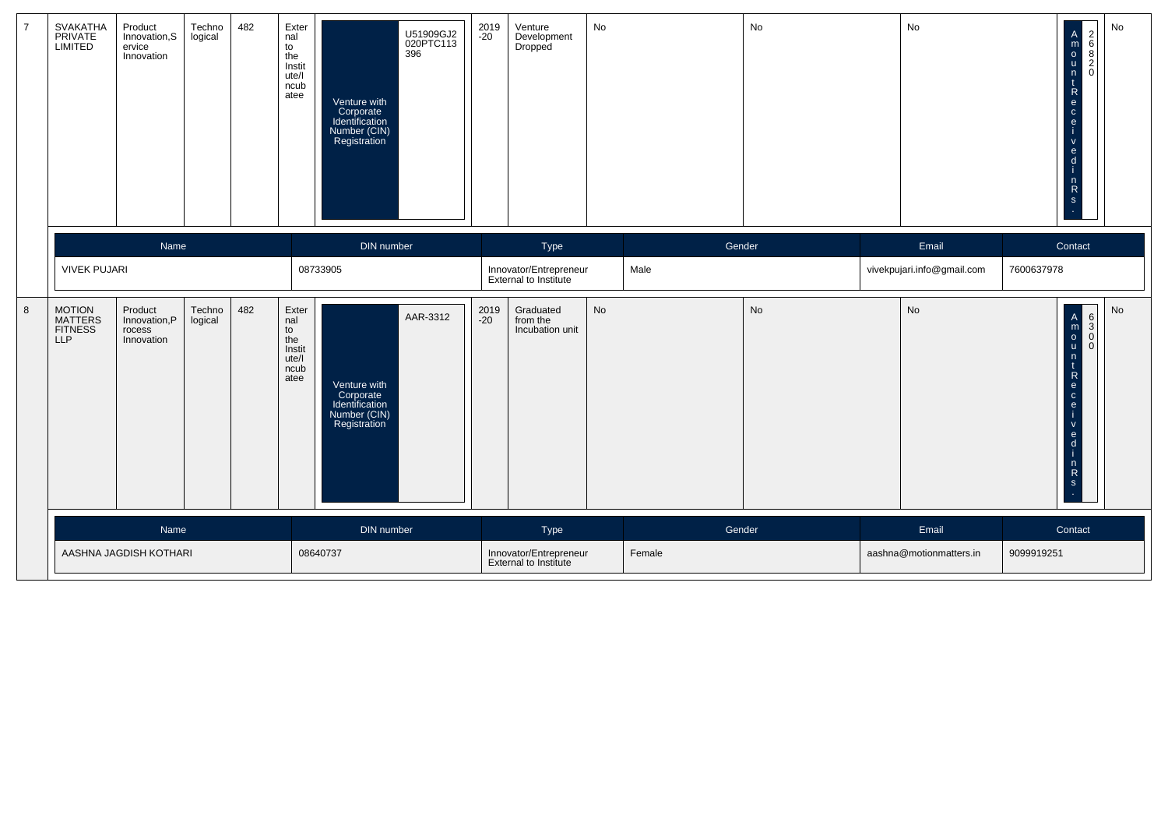| $\overline{7}$ | SVAKATHA<br>PRIVATE<br>LIMITED             | Product<br>Innovation, S<br>ervice<br>Innovation | Techno<br>logical | 482 | Exter<br>nal<br>to<br>the<br>Instit<br>ute/l<br>ncub<br>atee | 396<br>Venture with<br>Corporate<br>Identification<br>Number (CIN)<br>Registration | U51909GJ2<br>020PTC113 | 2019<br>-20   | Venture<br>Development<br><b>Dropped</b>        | No |        | No | No                         | $\mathbf{C}$<br>e.<br>e<br>$\overline{n}$                                     | $\begin{array}{c}\n2 \\ 6 \\ 2\n\end{array}$<br>$\overline{A}$<br>$\mathop{\mathsf{m}}\limits_{\mathsf{O}}$<br>$\mathbf{u}$<br>$\mathbf 0$<br>n<br>R<br>e<br>${\sf R}$<br>S | No |
|----------------|--------------------------------------------|--------------------------------------------------|-------------------|-----|--------------------------------------------------------------|------------------------------------------------------------------------------------|------------------------|---------------|-------------------------------------------------|----|--------|----|----------------------------|-------------------------------------------------------------------------------|-----------------------------------------------------------------------------------------------------------------------------------------------------------------------------|----|
|                |                                            | Name                                             |                   |     |                                                              | DIN number                                                                         |                        |               | Type                                            |    | Gender |    | Email                      | Contact                                                                       |                                                                                                                                                                             |    |
|                | <b>VIVEK PUJARI</b>                        |                                                  |                   |     |                                                              | 08733905                                                                           |                        |               | Innovator/Entrepreneur<br>External to Institute |    | Male   |    | vivekpujari.info@gmail.com | 7600637978                                                                    |                                                                                                                                                                             |    |
| $\bf 8$        | MOTION<br>MATTERS<br>FITNESS<br><b>LLP</b> | Product<br>Innovation, P<br>rocess<br>Innovation | Techno<br>logical | 482 | Exter<br>nal<br>to<br>the<br>Instit<br>ute/l<br>ncub<br>atee | Venture with<br>Corporate<br>Identification<br>Number (CIN)<br>Registration        | AAR-3312               | 2019<br>$-20$ | Graduated<br>from the<br>Incubation unit        | No |        | No | No                         | e.<br>$\mathbf{C}$<br>$\mathbf{e}$<br>e.<br>$\mathsf{d}$<br>n<br>$\mathbf{s}$ | $\begin{array}{c c}\nA & 6 \\ m & 3 \\ 0 & 0\n\end{array}$<br>$\mathbf{0}$<br><b>u</b><br>n<br>R<br>$\ddot{\mathsf{R}}$                                                     | No |
|                |                                            | Name                                             |                   |     |                                                              | DIN number                                                                         |                        |               | Type                                            |    | Gender |    | Email                      | Contact                                                                       |                                                                                                                                                                             |    |
|                |                                            | AASHNA JAGDISH KOTHARI                           |                   |     |                                                              | 08640737                                                                           |                        |               | Innovator/Entrepreneur<br>External to Institute |    | Female |    | aashna@motionmatters.in    | 9099919251                                                                    |                                                                                                                                                                             |    |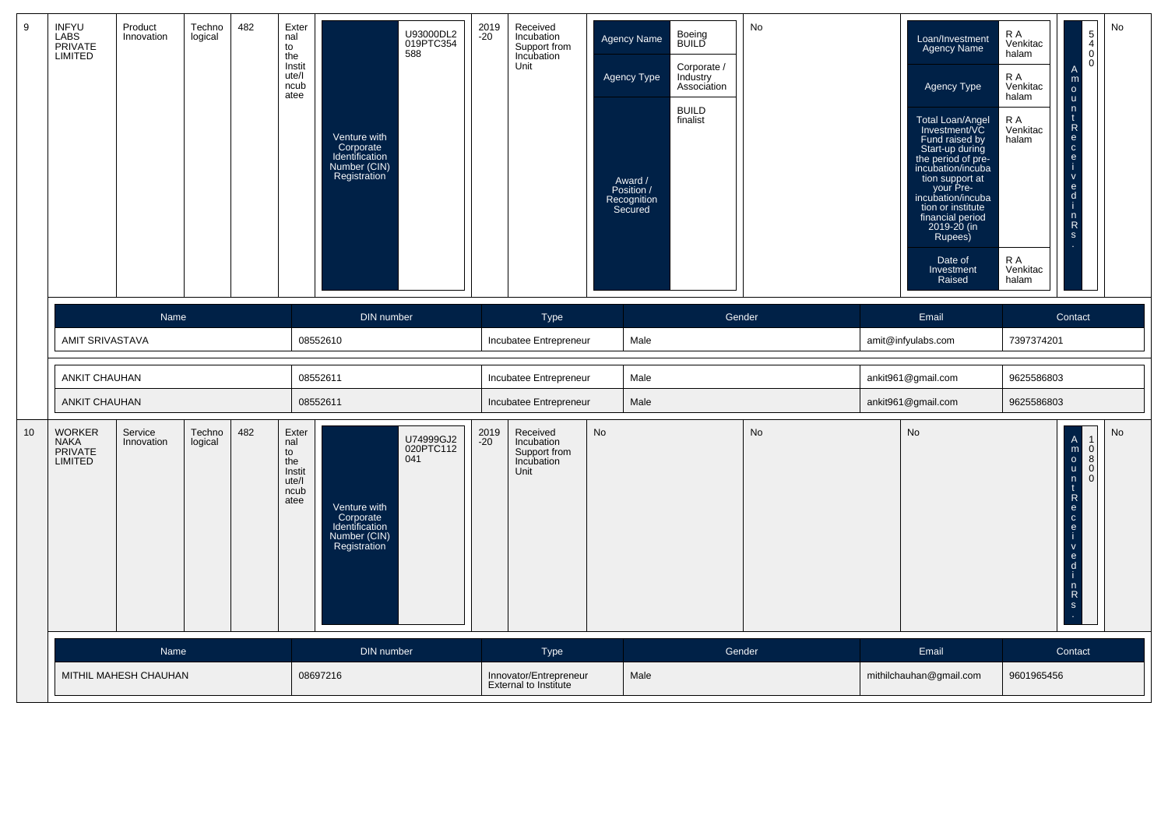| 9  | <b>INFYU</b><br><b>LABS</b><br>PRIVATE<br>LIMITED  | Product<br>Innovation | Techno<br>logical | 482 | Exter<br>nal<br>to<br>the<br>Instit<br>ute/l<br>ncub<br>atee | U93000DL2<br>019PTC354<br>588<br>Venture with<br>Corporate<br>Identification<br>Number (CIN)<br>Registration               | 2019<br>$-20$ | Received<br>Incubation<br>Support from<br>Incubation<br>Unit |    | Agency Name<br>Agency Type<br>Award /<br>Position /<br>Recognition<br>Secured | Boeing<br>BUILD<br>Corporate /<br>Industry<br>Associátion<br><b>BUILD</b><br>finalist | No        | Loan/Investment<br>Agency Name<br>Agency Type<br>Total Loan/Angel<br>Investment/VC<br>Fund raised by<br>Start-up during<br>the period of pre-<br>incubation/incuba<br>tion support at<br>your Pre-<br>incubation/incuba<br>tion or institute<br>financial period<br>2019-20 (in<br>Rupees)<br>Date of<br>Investment<br>Raised | R A<br>Venkitac<br>halam<br>R A<br>Venkitac<br>halam<br>R A<br>Venkitac<br>halam<br>R A<br>Venkitac<br>halam | $\begin{bmatrix} 5 \\ 4 \\ 0 \end{bmatrix}$<br> 0 <br>$\overline{A}$<br>${\sf m}$<br>$\overset{\mathsf{o}}{\mathsf{u}}$<br>$\frac{n}{t}$<br>$\mathsf{R}$<br>$\overline{e}$ o $\overline{e}$ i<br>$rac{6}{1}$<br>$\frac{n}{R}$<br>$\mathbf{s}$ | No        |
|----|----------------------------------------------------|-----------------------|-------------------|-----|--------------------------------------------------------------|----------------------------------------------------------------------------------------------------------------------------|---------------|--------------------------------------------------------------|----|-------------------------------------------------------------------------------|---------------------------------------------------------------------------------------|-----------|-------------------------------------------------------------------------------------------------------------------------------------------------------------------------------------------------------------------------------------------------------------------------------------------------------------------------------|--------------------------------------------------------------------------------------------------------------|-----------------------------------------------------------------------------------------------------------------------------------------------------------------------------------------------------------------------------------------------|-----------|
|    |                                                    | Name                  |                   |     |                                                              | DIN number                                                                                                                 |               | Type                                                         |    |                                                                               | Gender                                                                                |           | Email                                                                                                                                                                                                                                                                                                                         |                                                                                                              | Contact                                                                                                                                                                                                                                       |           |
|    | AMIT SRIVASTAVA                                    |                       |                   |     |                                                              | 08552610                                                                                                                   |               | Incubatee Entrepreneur                                       |    | Male                                                                          |                                                                                       |           | amit@infyulabs.com                                                                                                                                                                                                                                                                                                            | 7397374201                                                                                                   |                                                                                                                                                                                                                                               |           |
|    | <b>ANKIT CHAUHAN</b>                               |                       |                   |     |                                                              | 08552611                                                                                                                   |               | Incubatee Entrepreneur                                       |    | Male                                                                          |                                                                                       |           | ankit961@gmail.com                                                                                                                                                                                                                                                                                                            | 9625586803                                                                                                   |                                                                                                                                                                                                                                               |           |
|    | <b>ANKIT CHAUHAN</b>                               |                       |                   |     |                                                              | 08552611                                                                                                                   |               | Incubatee Entrepreneur                                       |    | Male                                                                          |                                                                                       |           | ankit961@gmail.com                                                                                                                                                                                                                                                                                                            | 9625586803                                                                                                   |                                                                                                                                                                                                                                               |           |
| 10 | <b>WORKER</b><br><b>NAKA</b><br>PRIVATE<br>LIMITED | Service<br>Innovation | Techno<br>logical | 482 | Exter<br>nal<br>to<br>the<br>Instit<br>ute/l<br>ncub<br>atee | U74999GJ2<br>020PTC112<br>041<br>Venture with<br>Corporate<br>Identification<br><b>Number (CIN)</b><br><b>Registration</b> | 2019<br>$-20$ | Received<br>Incubation<br>Support from<br>Incubation<br>Unit | No |                                                                               |                                                                                       | <b>No</b> | No                                                                                                                                                                                                                                                                                                                            |                                                                                                              | A<br>M<br>O<br>u<br>n<br>t<br>R<br>e<br>c<br>e<br>i<br>$\begin{bmatrix} 1 \\ 0 \\ 8 \end{bmatrix}$<br>$\Omega$<br>$\Omega$<br>$rac{6}{1}$<br>$\begin{bmatrix} n \\ R \\ s \end{bmatrix}$                                                      | <b>No</b> |
|    |                                                    | Name                  |                   |     |                                                              | DIN number                                                                                                                 |               | <b>Type</b>                                                  |    |                                                                               | Gender                                                                                |           | Email                                                                                                                                                                                                                                                                                                                         |                                                                                                              | Contact                                                                                                                                                                                                                                       |           |
|    |                                                    | MITHIL MAHESH CHAUHAN |                   |     |                                                              | 08697216                                                                                                                   |               | Innovator/Entrepreneur<br>External to Institute              |    | Male                                                                          |                                                                                       |           | mithilchauhan@gmail.com                                                                                                                                                                                                                                                                                                       | 9601965456                                                                                                   |                                                                                                                                                                                                                                               |           |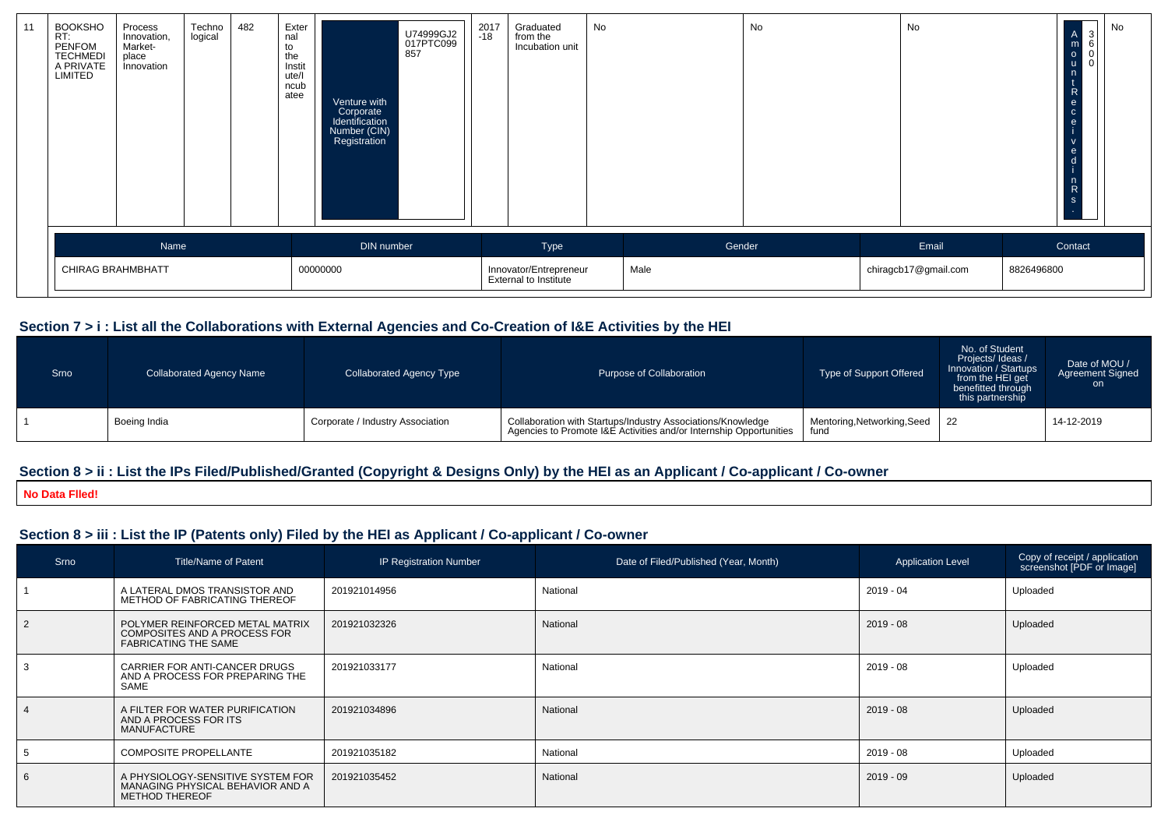| 11 | <b>BOOKSHO</b><br>RT:<br>PENFOM<br><b>TECHMEDI</b><br>A PRIVATE<br>LIMITED | Process<br>Innovation,<br>Market-<br>place<br>Innovation | Techno<br>logical | 482 | Exter<br>nal<br>to<br>the<br>Instit<br>ute/l<br>ncub<br>atee | Venture with<br>Corporate<br>Identification<br>Number (CIN)<br>Registration | U74999GJ2<br>017PTC099<br>857 | 2017<br>-18 | Graduated<br>from the<br>Incubation unit               | No |        | No | No                   |            | 3 <br>$\begin{array}{ccc} A & 3 \\ m & 6 \\ o & 0 \end{array}$<br>$\mathbf 0$<br>- u<br>n<br>R<br>$\mathbf{e}$<br>$\mathbf{c}$<br>e<br>V<br>$\mathbf{e}$<br>- a<br>$\mathsf{n}$<br>${\sf R}$<br><sub>S</sub> | No |
|----|----------------------------------------------------------------------------|----------------------------------------------------------|-------------------|-----|--------------------------------------------------------------|-----------------------------------------------------------------------------|-------------------------------|-------------|--------------------------------------------------------|----|--------|----|----------------------|------------|--------------------------------------------------------------------------------------------------------------------------------------------------------------------------------------------------------------|----|
|    |                                                                            | Name                                                     |                   |     |                                                              | DIN number                                                                  |                               |             | Type                                                   |    | Gender |    | Email                |            | Contact                                                                                                                                                                                                      |    |
|    | CHIRAG BRAHMBHATT                                                          |                                                          |                   |     |                                                              | 00000000                                                                    |                               |             | Innovator/Entrepreneur<br><b>External to Institute</b> |    | Male   |    | chiragcb17@gmail.com | 8826496800 |                                                                                                                                                                                                              |    |

### **Section 7 > i : List all the Collaborations with External Agencies and Co-Creation of I&E Activities by the HEI**

| Srno | <b>Collaborated Agency Name</b> | Collaborated Agency Type         | Purpose of Collaboration                                                                                                          | Type of Support Offered             | No. of Student<br>Projects/Ideas /<br>Innovation / Startups<br>from the HEI get<br>benefitted through<br>this partnership | Date of MOU /<br><b>Agreement Signed</b><br><b>on</b> |
|------|---------------------------------|----------------------------------|-----------------------------------------------------------------------------------------------------------------------------------|-------------------------------------|---------------------------------------------------------------------------------------------------------------------------|-------------------------------------------------------|
|      | Boeing India                    | Corporate / Industry Association | Collaboration with Startups/Industry Associations/Knowledge<br>Agencies to Promote I&E Activities and/or Internship Opportunities | Mentoring, Networking, Seed<br>fund | l 22                                                                                                                      | 14-12-2019                                            |

### **Section 8 > ii : List the IPs Filed/Published/Granted (Copyright & Designs Only) by the HEI as an Applicant / Co-applicant / Co-owner**

**No Data Flled!**

# **Section 8 > iii : List the IP (Patents only) Filed by the HEI as Applicant / Co-applicant / Co-owner**

| Srno | <b>Title/Name of Patent</b>                                                                    | <b>IP Registration Number</b> | Date of Filed/Published (Year, Month) | <b>Application Level</b> | Copy of receipt / application<br>screenshot [PDF or Image] |
|------|------------------------------------------------------------------------------------------------|-------------------------------|---------------------------------------|--------------------------|------------------------------------------------------------|
|      | A LATERAL DMOS TRANSISTOR AND<br>METHOD OF FABRICATING THEREOF                                 | 201921014956                  | National                              | $2019 - 04$              | Uploaded                                                   |
| 2    | POLYMER REINFORCED METAL MATRIX<br>COMPOSITES AND A PROCESS FOR<br><b>FABRICATING THE SAME</b> | 201921032326                  | National                              | $2019 - 08$              | Uploaded                                                   |
| 3    | CARRIER FOR ANTI-CANCER DRUGS<br>AND A PROCESS FOR PREPARING THE<br>SAME                       | 201921033177                  | National                              | $2019 - 08$              | Uploaded                                                   |
|      | A FILTER FOR WATER PURIFICATION<br>AND A PROCESS FOR ITS<br>MANUFACTURE                        | 201921034896                  | National                              | $2019 - 08$              | Uploaded                                                   |
| 5    | <b>COMPOSITE PROPELLANTE</b>                                                                   | 201921035182                  | National                              | 2019 - 08                | Uploaded                                                   |
| 6    | A PHYSIOLOGY-SENSITIVE SYSTEM FOR<br>MANAGING PHYSICAL BEHAVIOR AND A<br><b>METHOD THEREOF</b> | 201921035452                  | National                              | $2019 - 09$              | Uploaded                                                   |